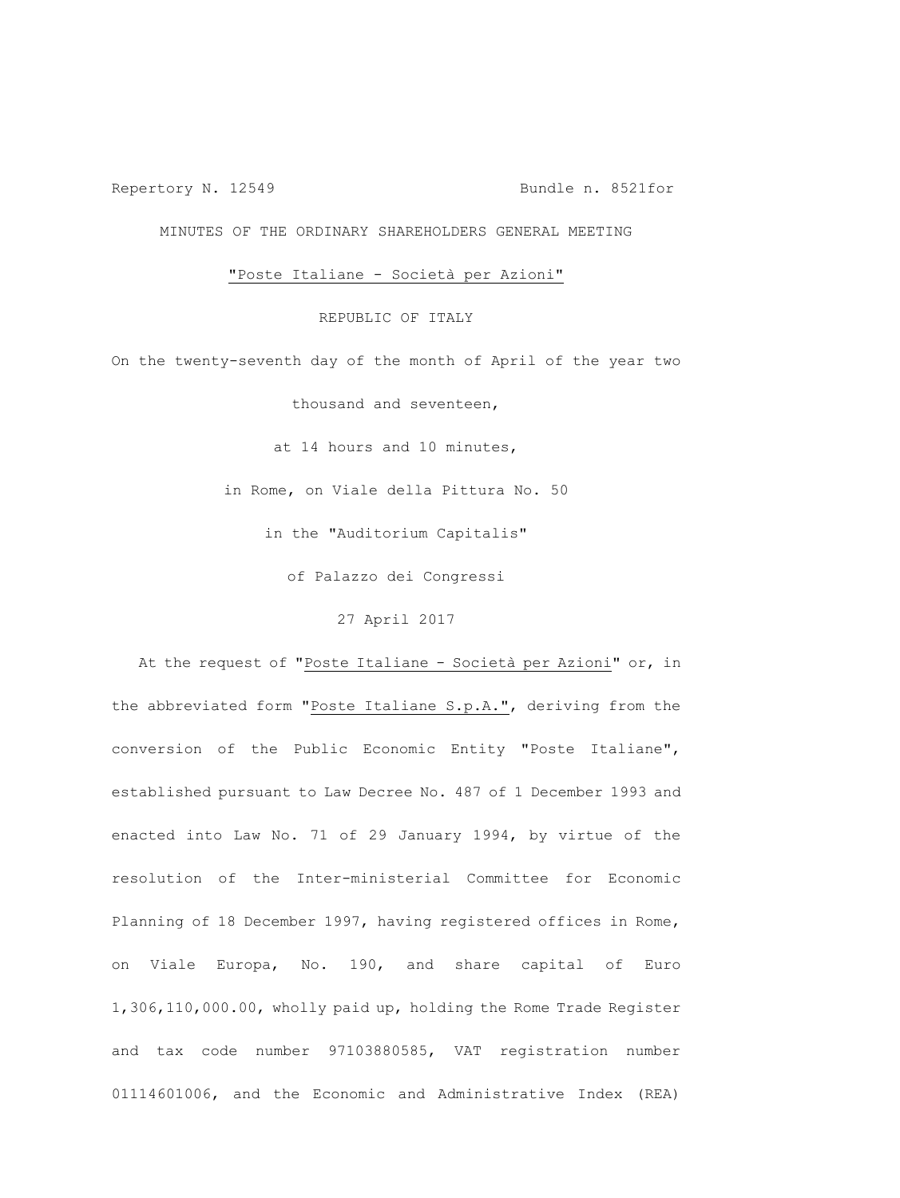Repertory N. 12549 Bundle n. 8521for

MINUTES OF THE ORDINARY SHAREHOLDERS GENERAL MEETING

"Poste Italiane - Società per Azioni"

REPUBLIC OF ITALY

On the twenty-seventh day of the month of April of the year two

thousand and seventeen,

at 14 hours and 10 minutes,

in Rome, on Viale della Pittura No. 50

in the "Auditorium Capitalis"

of Palazzo dei Congressi

27 April 2017

At the request of "Poste Italiane - Società per Azioni" or, in the abbreviated form "Poste Italiane S.p.A.", deriving from the conversion of the Public Economic Entity "Poste Italiane", established pursuant to Law Decree No. 487 of 1 December 1993 and enacted into Law No. 71 of 29 January 1994, by virtue of the resolution of the Inter-ministerial Committee for Economic Planning of 18 December 1997, having registered offices in Rome, on Viale Europa, No. 190, and share capital of Euro 1,306,110,000.00, wholly paid up, holding the Rome Trade Register and tax code number 97103880585, VAT registration number 01114601006, and the Economic and Administrative Index (REA)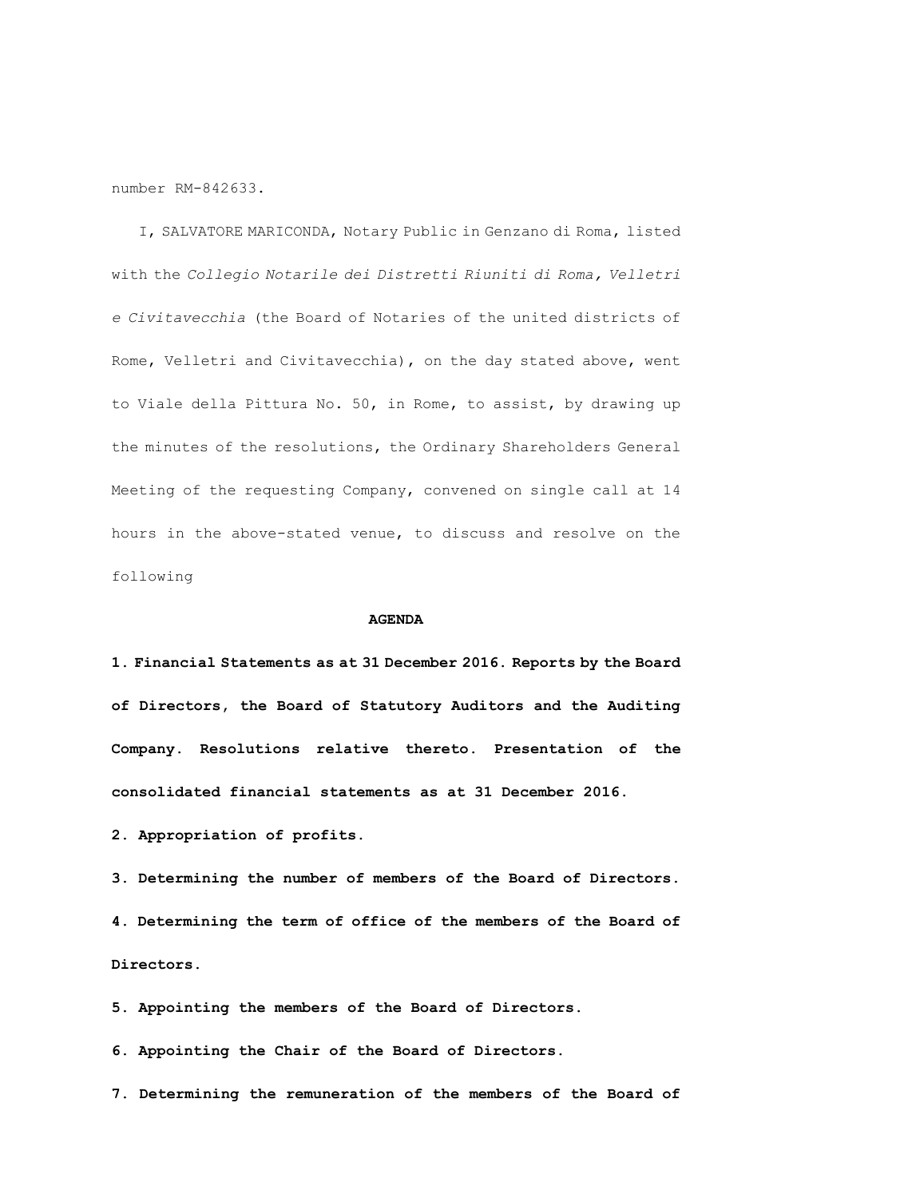number RM-842633.

I, SALVATORE MARICONDA, Notary Public in Genzano di Roma, listed with the *Collegio Notarile dei Distretti Riuniti di Roma, Velletri e Civitavecchia* (the Board of Notaries of the united districts of Rome, Velletri and Civitavecchia), on the day stated above, went to Viale della Pittura No. 50, in Rome, to assist, by drawing up the minutes of the resolutions, the Ordinary Shareholders General Meeting of the requesting Company, convened on single call at 14 hours in the above-stated venue, to discuss and resolve on the following

#### **AGENDA**

**1. Financial Statements as at 31 December 2016. Reports by the Board of Directors, the Board of Statutory Auditors and the Auditing Company. Resolutions relative thereto. Presentation of the consolidated financial statements as at 31 December 2016.**

**2. Appropriation of profits.**

**3. Determining the number of members of the Board of Directors. 4. Determining the term of office of the members of the Board of Directors.** 

**5. Appointing the members of the Board of Directors.** 

**6. Appointing the Chair of the Board of Directors.** 

**7. Determining the remuneration of the members of the Board of**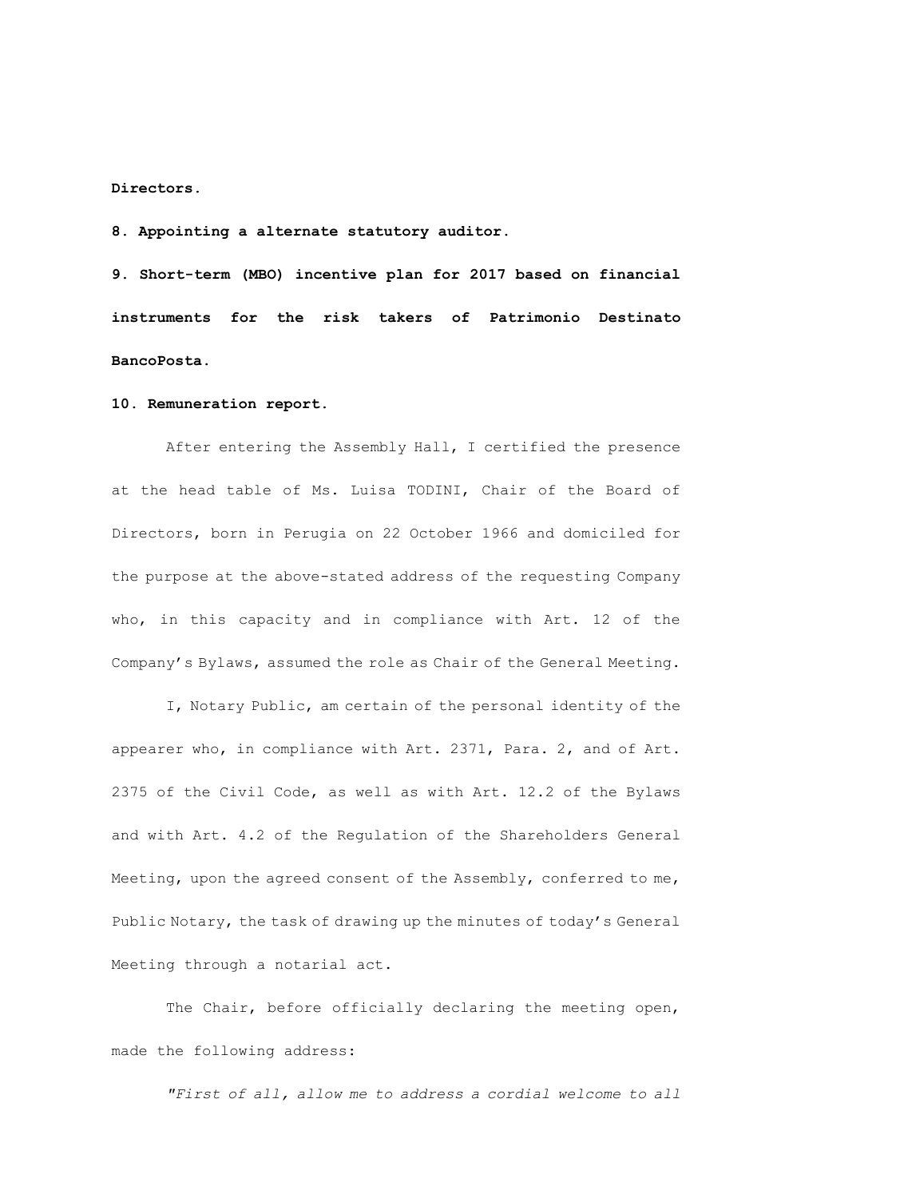**Directors.** 

**8. Appointing a alternate statutory auditor.** 

**9. Short-term (MBO) incentive plan for 2017 based on financial instruments for the risk takers of Patrimonio Destinato BancoPosta.**

## **10. Remuneration report.**

After entering the Assembly Hall, I certified the presence at the head table of Ms. Luisa TODINI, Chair of the Board of Directors, born in Perugia on 22 October 1966 and domiciled for the purpose at the above-stated address of the requesting Company who, in this capacity and in compliance with Art. 12 of the Company's Bylaws, assumed the role as Chair of the General Meeting.

I, Notary Public, am certain of the personal identity of the appearer who, in compliance with Art. 2371, Para. 2, and of Art. 2375 of the Civil Code, as well as with Art. 12.2 of the Bylaws and with Art. 4.2 of the Regulation of the Shareholders General Meeting, upon the agreed consent of the Assembly, conferred to me, Public Notary, the task of drawing up the minutes of today's General Meeting through a notarial act.

The Chair, before officially declaring the meeting open, made the following address:

*"First of all, allow me to address a cordial welcome to all*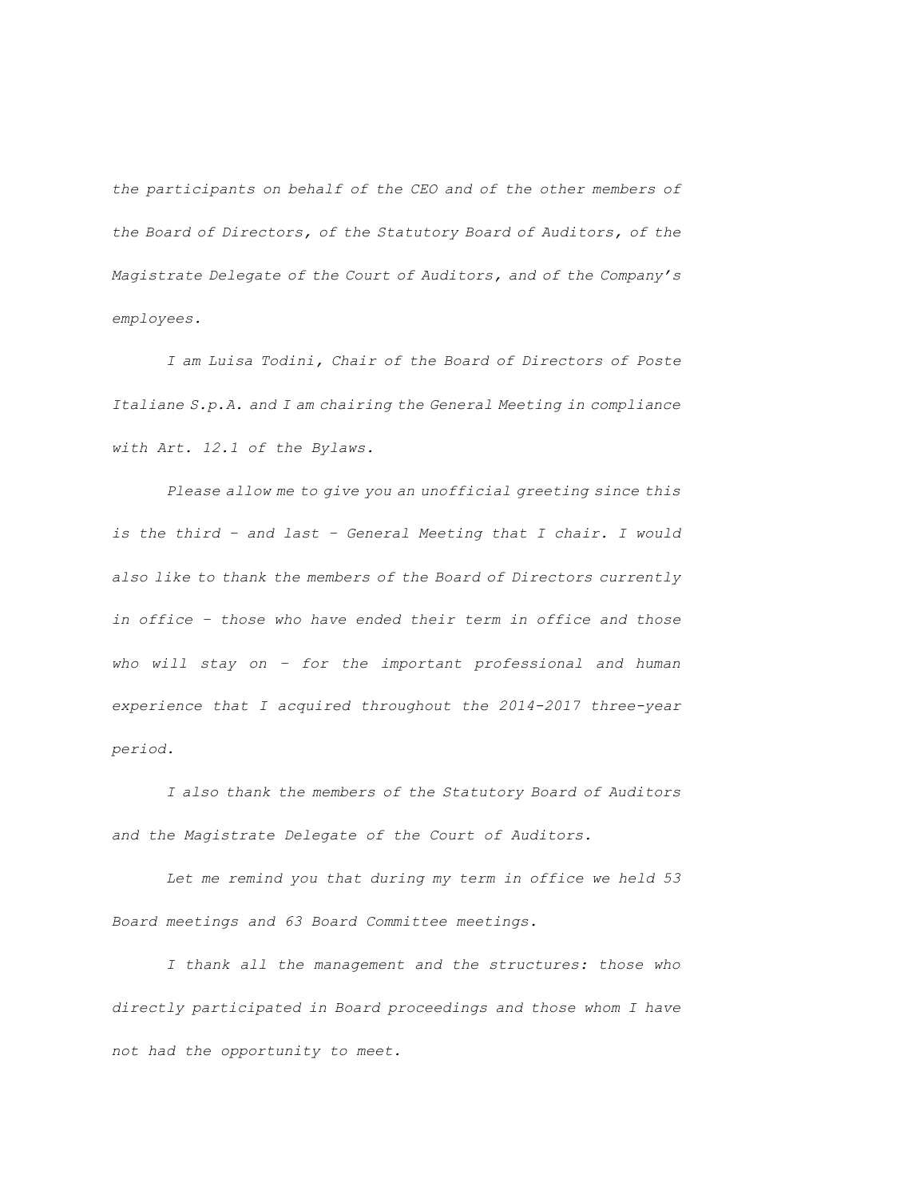*the participants on behalf of the CEO and of the other members of the Board of Directors, of the Statutory Board of Auditors, of the Magistrate Delegate of the Court of Auditors, and of the Company's employees.*

*I am Luisa Todini, Chair of the Board of Directors of Poste Italiane S.p.A. and I am chairing the General Meeting in compliance with Art. 12.1 of the Bylaws.*

*Please allow me to give you an unofficial greeting since this is the third – and last – General Meeting that I chair. I would also like to thank the members of the Board of Directors currently in office – those who have ended their term in office and those who will stay on – for the important professional and human experience that I acquired throughout the 2014-2017 three-year period.*

*I also thank the members of the Statutory Board of Auditors and the Magistrate Delegate of the Court of Auditors.*

*Let me remind you that during my term in office we held 53 Board meetings and 63 Board Committee meetings.*

*I thank all the management and the structures: those who directly participated in Board proceedings and those whom I have not had the opportunity to meet.*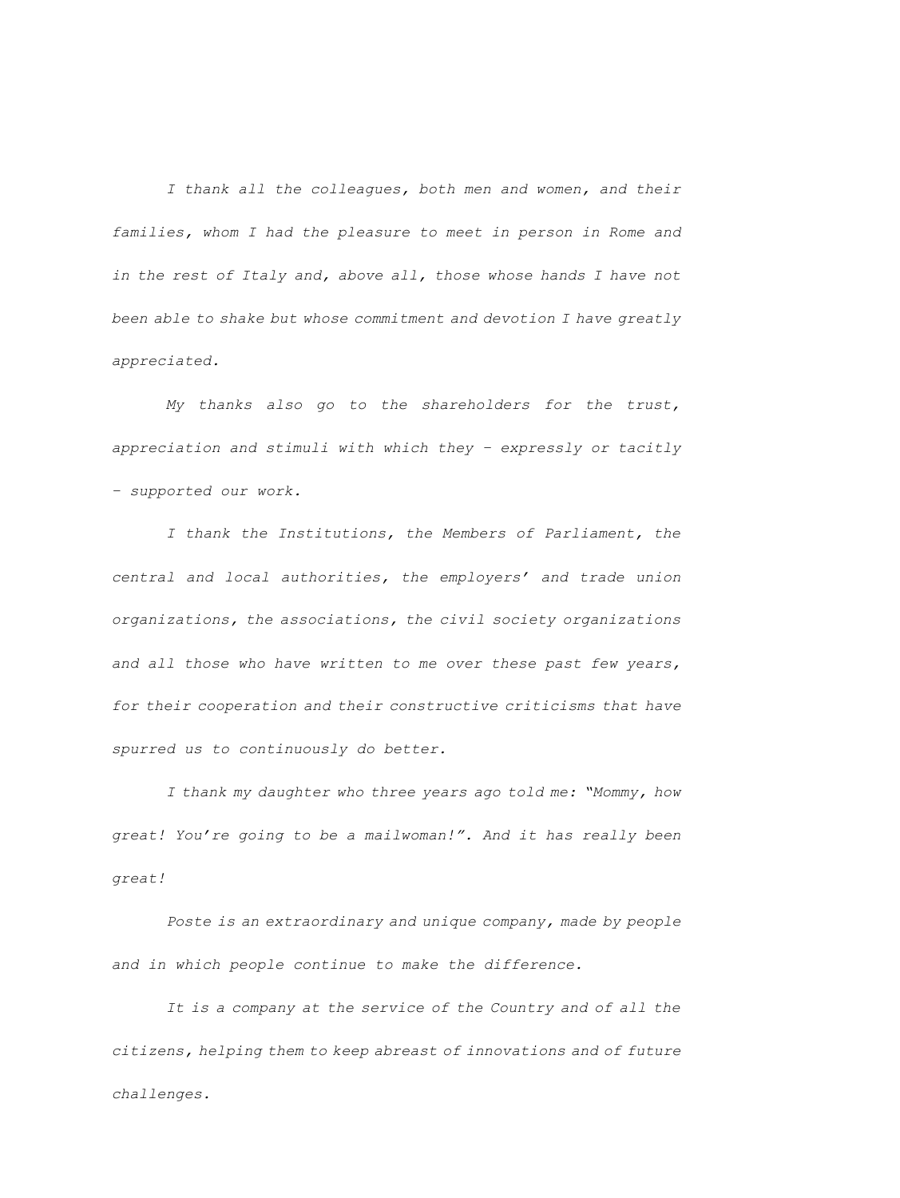*I thank all the colleagues, both men and women, and their families, whom I had the pleasure to meet in person in Rome and in the rest of Italy and, above all, those whose hands I have not been able to shake but whose commitment and devotion I have greatly appreciated.*

*My thanks also go to the shareholders for the trust, appreciation and stimuli with which they – expressly or tacitly – supported our work.* 

*I thank the Institutions, the Members of Parliament, the central and local authorities, the employers' and trade union organizations, the associations, the civil society organizations and all those who have written to me over these past few years, for their cooperation and their constructive criticisms that have spurred us to continuously do better.*

*I thank my daughter who three years ago told me: "Mommy, how great! You're going to be a mailwoman!". And it has really been great!*

*Poste is an extraordinary and unique company, made by people and in which people continue to make the difference.* 

*It is a company at the service of the Country and of all the citizens, helping them to keep abreast of innovations and of future challenges.*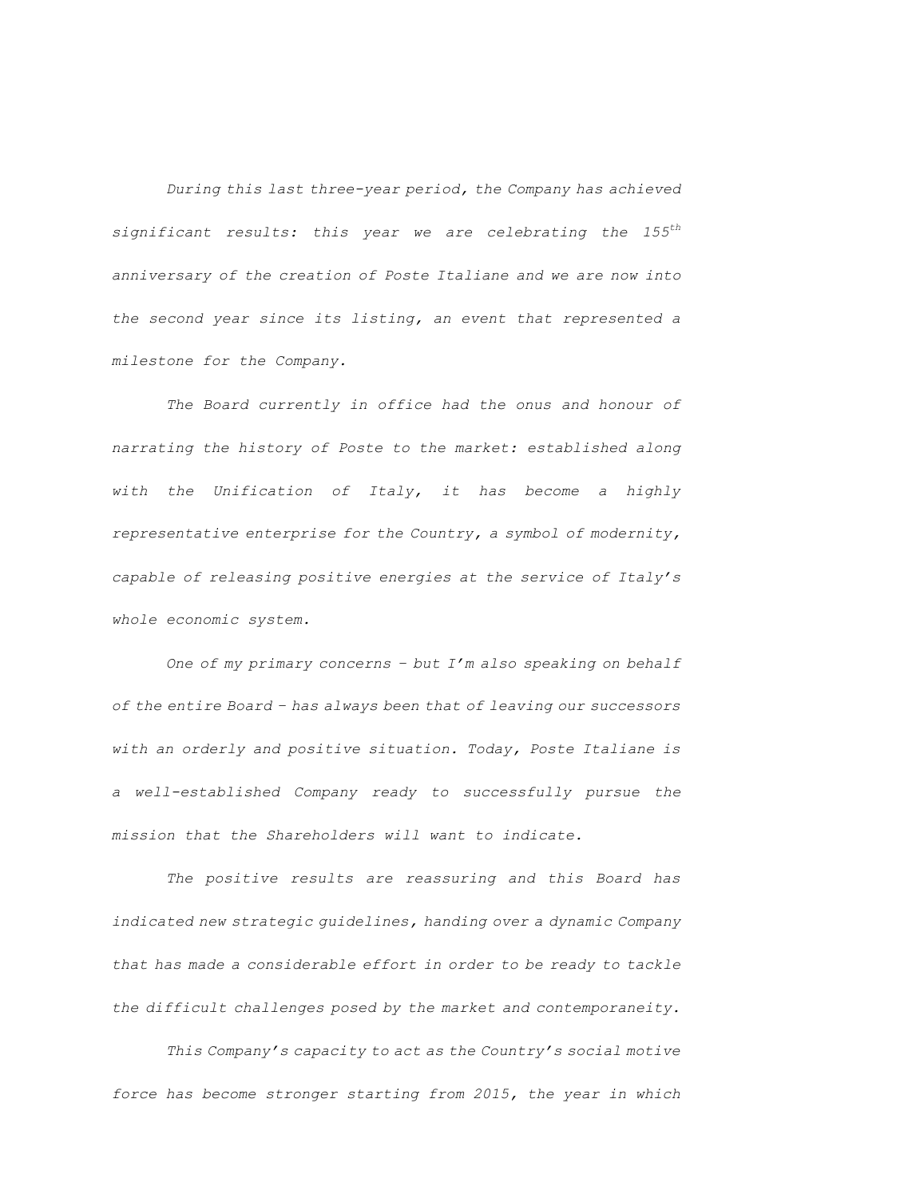*During this last three-year period, the Company has achieved significant results: this year we are celebrating the 155th anniversary of the creation of Poste Italiane and we are now into the second year since its listing, an event that represented a milestone for the Company.* 

*The Board currently in office had the onus and honour of narrating the history of Poste to the market: established along with the Unification of Italy, it has become a highly representative enterprise for the Country, a symbol of modernity, capable of releasing positive energies at the service of Italy's whole economic system.* 

*One of my primary concerns – but I'm also speaking on behalf of the entire Board – has always been that of leaving our successors with an orderly and positive situation. Today, Poste Italiane is a well-established Company ready to successfully pursue the mission that the Shareholders will want to indicate.*

*The positive results are reassuring and this Board has indicated new strategic guidelines, handing over a dynamic Company that has made a considerable effort in order to be ready to tackle the difficult challenges posed by the market and contemporaneity.* 

*This Company's capacity to act as the Country's social motive force has become stronger starting from 2015, the year in which*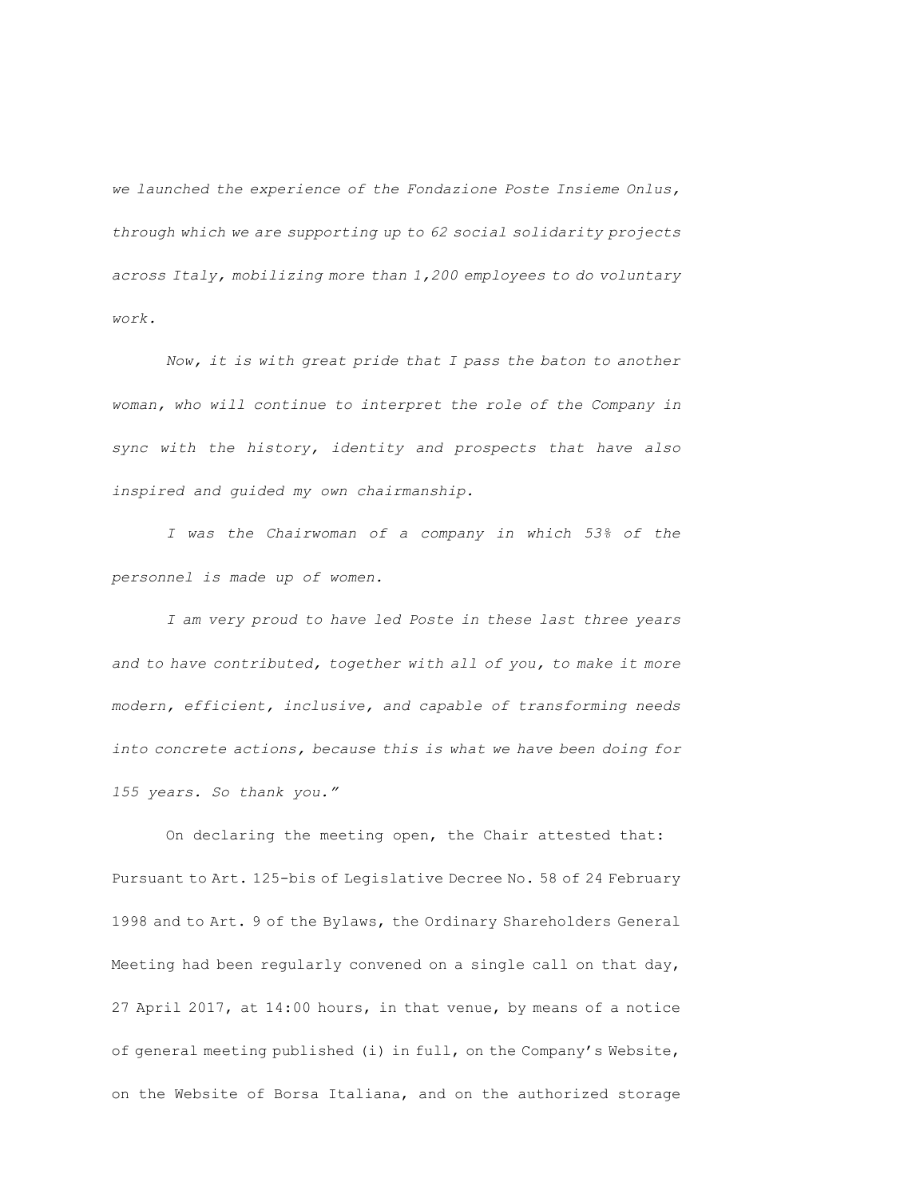*we launched the experience of the Fondazione Poste Insieme Onlus, through which we are supporting up to 62 social solidarity projects across Italy, mobilizing more than 1,200 employees to do voluntary work.* 

*Now, it is with great pride that I pass the baton to another woman, who will continue to interpret the role of the Company in sync with the history, identity and prospects that have also inspired and guided my own chairmanship.* 

*I was the Chairwoman of a company in which 53% of the personnel is made up of women.* 

*I am very proud to have led Poste in these last three years and to have contributed, together with all of you, to make it more modern, efficient, inclusive, and capable of transforming needs into concrete actions, because this is what we have been doing for 155 years. So thank you."* 

On declaring the meeting open, the Chair attested that: Pursuant to Art. 125-bis of Legislative Decree No. 58 of 24 February 1998 and to Art. 9 of the Bylaws, the Ordinary Shareholders General Meeting had been regularly convened on a single call on that day, 27 April 2017, at 14:00 hours, in that venue, by means of a notice of general meeting published (i) in full, on the Company's Website, on the Website of Borsa Italiana, and on the authorized storage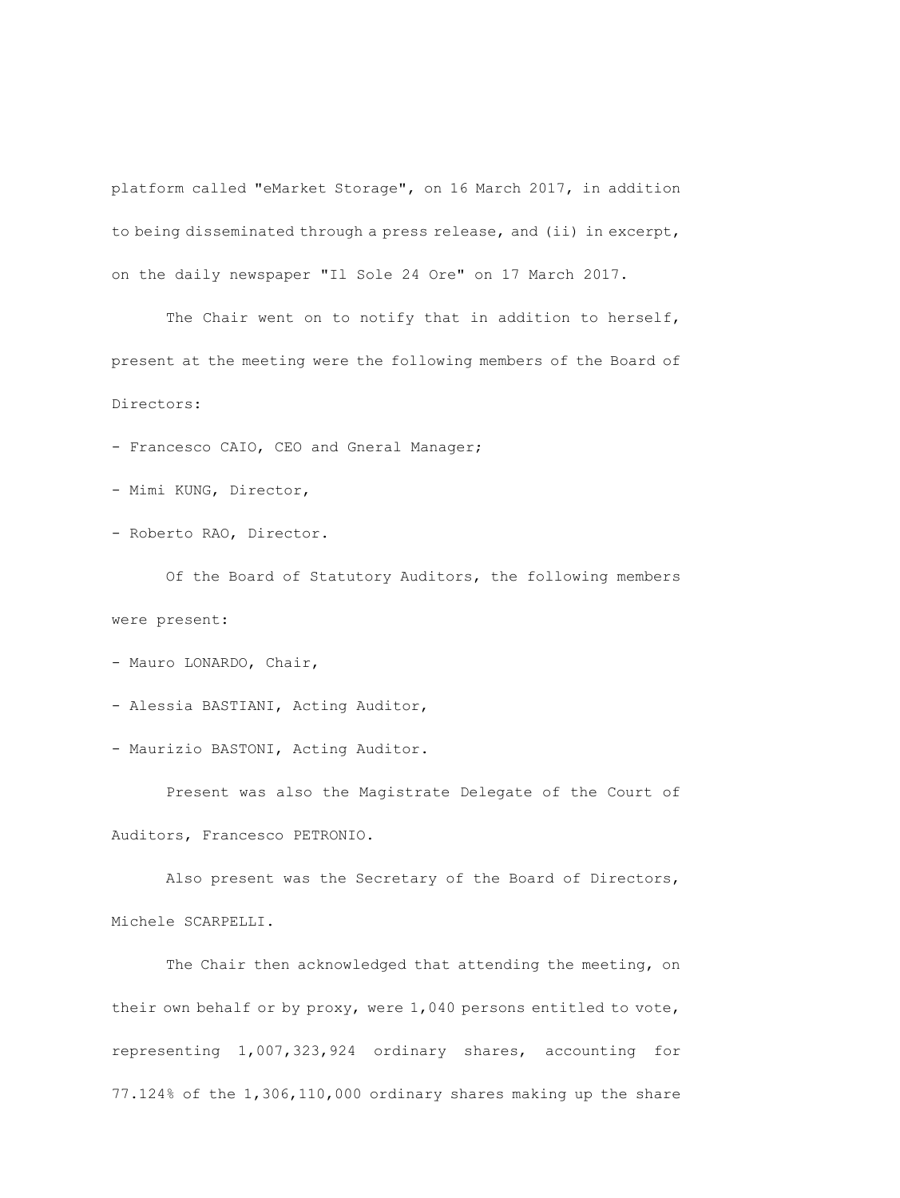platform called "eMarket Storage", on 16 March 2017, in addition to being disseminated through a press release, and (ii) in excerpt, on the daily newspaper "Il Sole 24 Ore" on 17 March 2017.

The Chair went on to notify that in addition to herself, present at the meeting were the following members of the Board of Directors:

- Francesco CAIO, CEO and Gneral Manager;

- Mimi KUNG, Director,

- Roberto RAO, Director.

Of the Board of Statutory Auditors, the following members were present:

- Mauro LONARDO, Chair,

- Alessia BASTIANI, Acting Auditor,

- Maurizio BASTONI, Acting Auditor.

Present was also the Magistrate Delegate of the Court of Auditors, Francesco PETRONIO.

Also present was the Secretary of the Board of Directors, Michele SCARPELLI.

The Chair then acknowledged that attending the meeting, on their own behalf or by proxy, were 1,040 persons entitled to vote, representing 1,007,323,924 ordinary shares, accounting for 77.124% of the 1,306,110,000 ordinary shares making up the share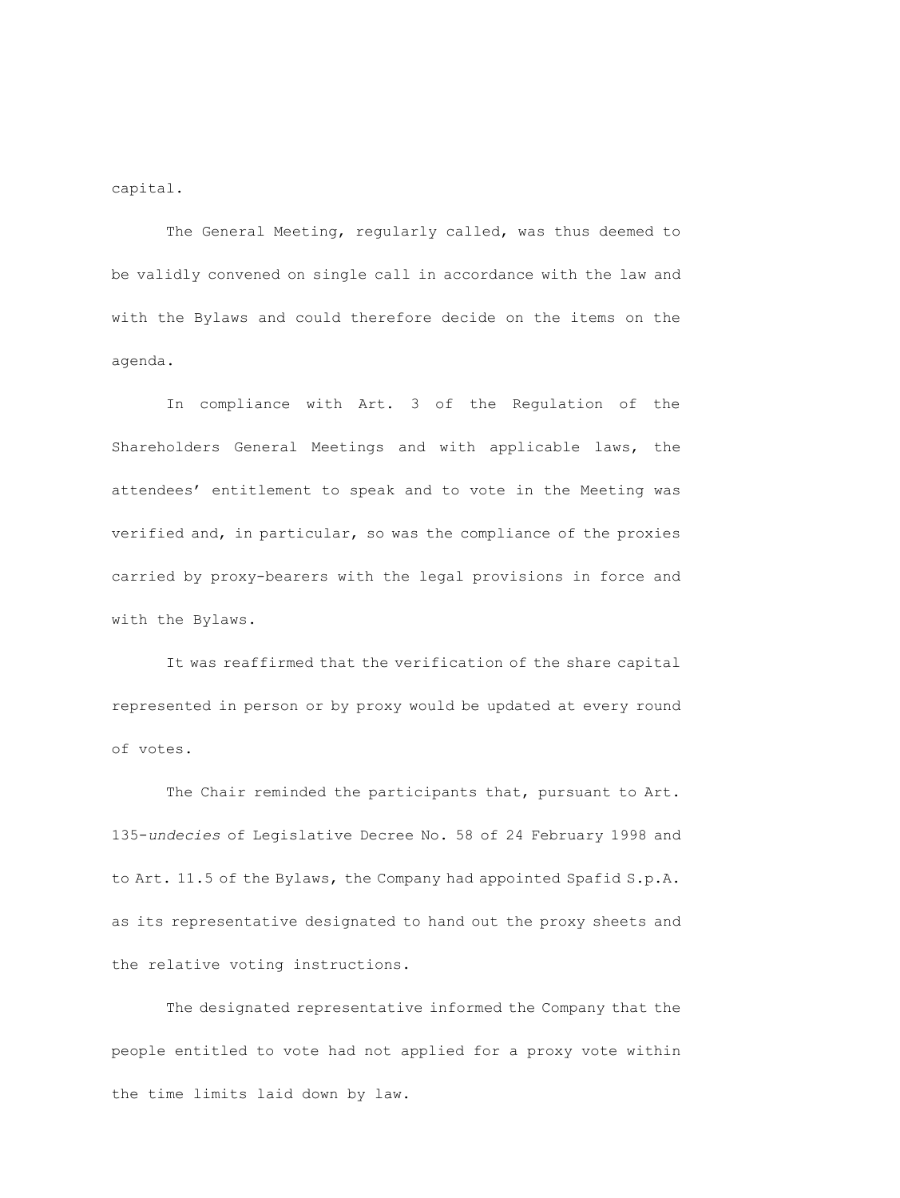capital.

The General Meeting, regularly called, was thus deemed to be validly convened on single call in accordance with the law and with the Bylaws and could therefore decide on the items on the agenda.

In compliance with Art. 3 of the Regulation of the Shareholders General Meetings and with applicable laws, the attendees' entitlement to speak and to vote in the Meeting was verified and, in particular, so was the compliance of the proxies carried by proxy-bearers with the legal provisions in force and with the Bylaws.

It was reaffirmed that the verification of the share capital represented in person or by proxy would be updated at every round of votes.

The Chair reminded the participants that, pursuant to Art. 135-*undecies* of Legislative Decree No. 58 of 24 February 1998 and to Art. 11.5 of the Bylaws, the Company had appointed Spafid S.p.A. as its representative designated to hand out the proxy sheets and the relative voting instructions.

The designated representative informed the Company that the people entitled to vote had not applied for a proxy vote within the time limits laid down by law.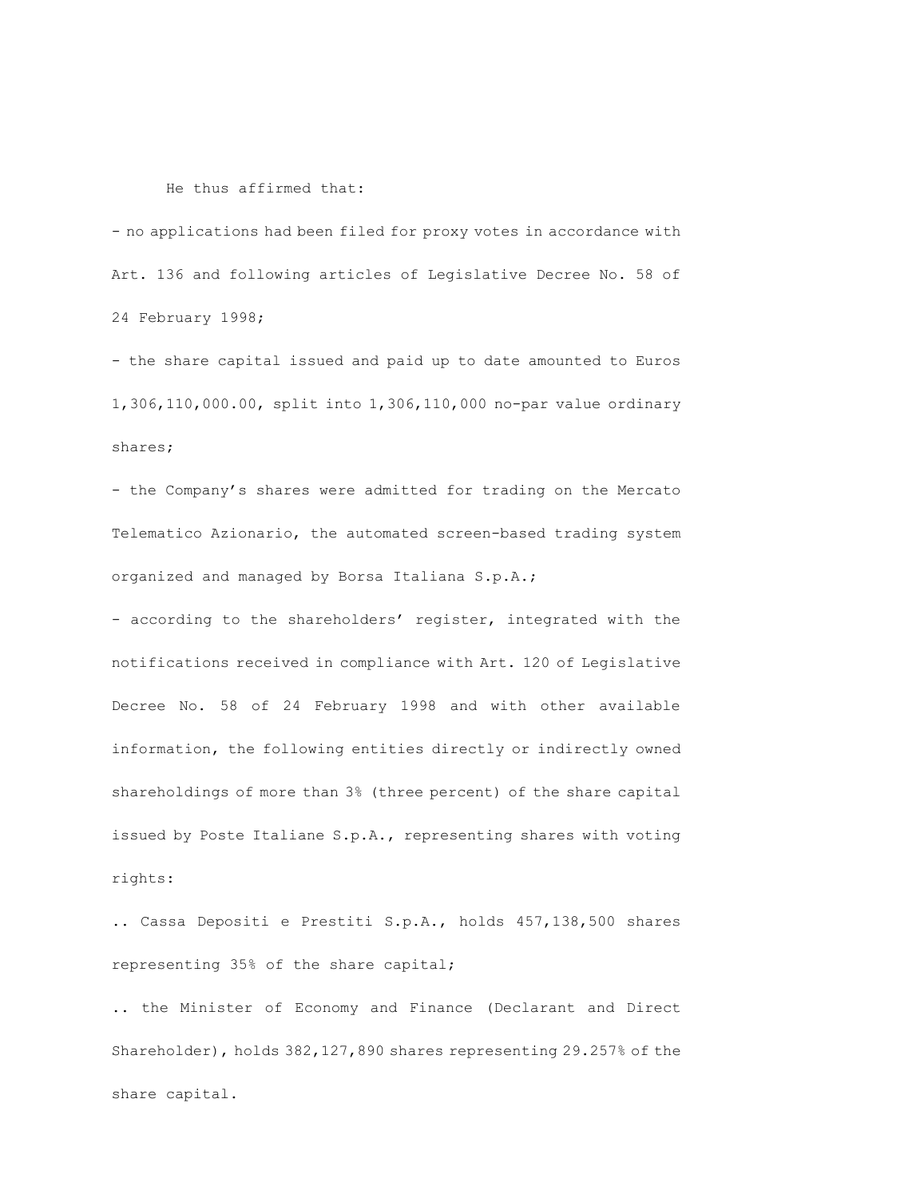#### He thus affirmed that:

- no applications had been filed for proxy votes in accordance with Art. 136 and following articles of Legislative Decree No. 58 of 24 February 1998;

- the share capital issued and paid up to date amounted to Euros 1,306,110,000.00, split into 1,306,110,000 no-par value ordinary shares;

- the Company's shares were admitted for trading on the Mercato Telematico Azionario, the automated screen-based trading system organized and managed by Borsa Italiana S.p.A.;

- according to the shareholders' register, integrated with the notifications received in compliance with Art. 120 of Legislative Decree No. 58 of 24 February 1998 and with other available information, the following entities directly or indirectly owned shareholdings of more than 3% (three percent) of the share capital issued by Poste Italiane S.p.A., representing shares with voting rights:

.. Cassa Depositi e Prestiti S.p.A., holds 457,138,500 shares representing 35% of the share capital;

.. the Minister of Economy and Finance (Declarant and Direct Shareholder), holds 382,127,890 shares representing 29.257% of the share capital.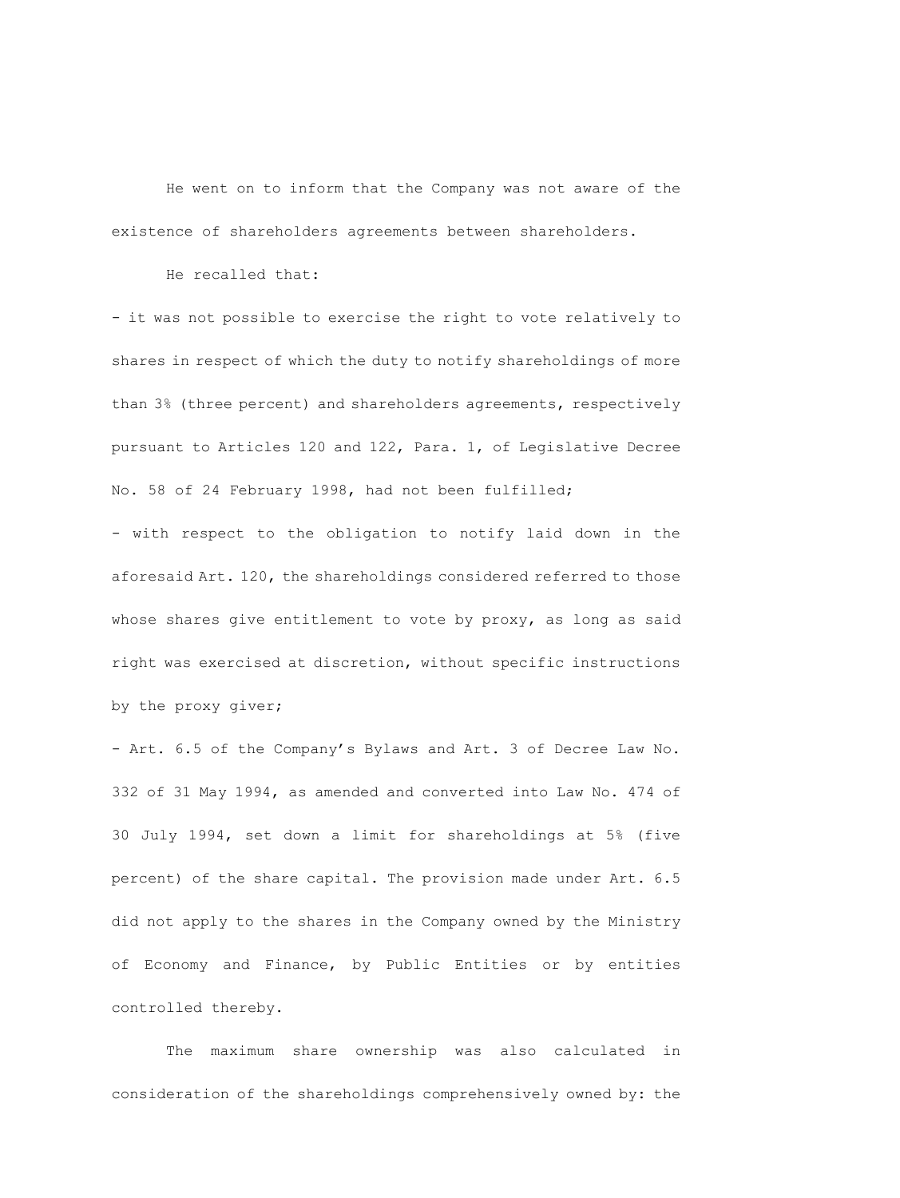He went on to inform that the Company was not aware of the existence of shareholders agreements between shareholders.

He recalled that:

- it was not possible to exercise the right to vote relatively to shares in respect of which the duty to notify shareholdings of more than 3% (three percent) and shareholders agreements, respectively pursuant to Articles 120 and 122, Para. 1, of Legislative Decree No. 58 of 24 February 1998, had not been fulfilled;

- with respect to the obligation to notify laid down in the aforesaid Art. 120, the shareholdings considered referred to those whose shares give entitlement to vote by proxy, as long as said right was exercised at discretion, without specific instructions by the proxy giver;

- Art. 6.5 of the Company's Bylaws and Art. 3 of Decree Law No. 332 of 31 May 1994, as amended and converted into Law No. 474 of 30 July 1994, set down a limit for shareholdings at 5% (five percent) of the share capital. The provision made under Art. 6.5 did not apply to the shares in the Company owned by the Ministry of Economy and Finance, by Public Entities or by entities controlled thereby.

The maximum share ownership was also calculated in consideration of the shareholdings comprehensively owned by: the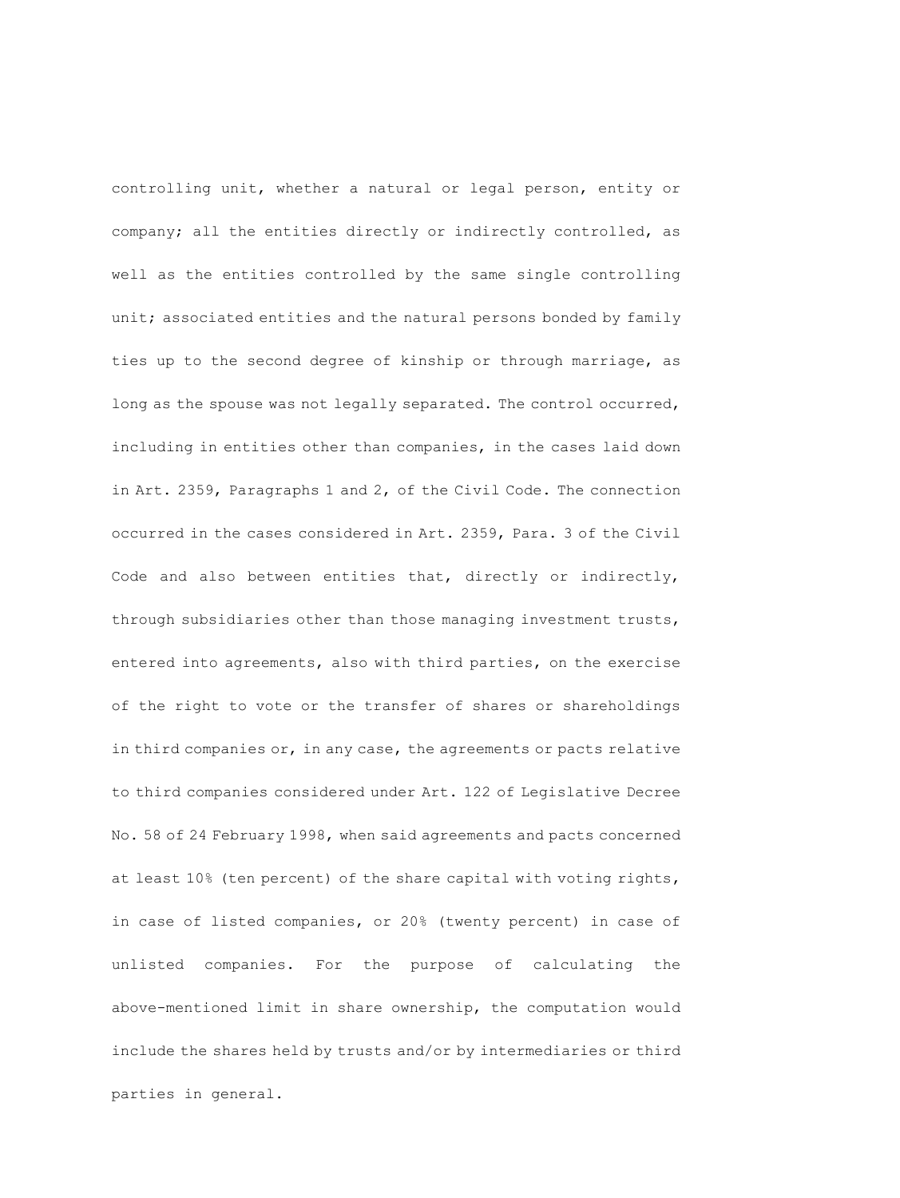controlling unit, whether a natural or legal person, entity or company; all the entities directly or indirectly controlled, as well as the entities controlled by the same single controlling unit; associated entities and the natural persons bonded by family ties up to the second degree of kinship or through marriage, as long as the spouse was not legally separated. The control occurred, including in entities other than companies, in the cases laid down in Art. 2359, Paragraphs 1 and 2, of the Civil Code. The connection occurred in the cases considered in Art. 2359, Para. 3 of the Civil Code and also between entities that, directly or indirectly, through subsidiaries other than those managing investment trusts, entered into agreements, also with third parties, on the exercise of the right to vote or the transfer of shares or shareholdings in third companies or, in any case, the agreements or pacts relative to third companies considered under Art. 122 of Legislative Decree No. 58 of 24 February 1998, when said agreements and pacts concerned at least 10% (ten percent) of the share capital with voting rights, in case of listed companies, or 20% (twenty percent) in case of unlisted companies. For the purpose of calculating the above-mentioned limit in share ownership, the computation would include the shares held by trusts and/or by intermediaries or third parties in general.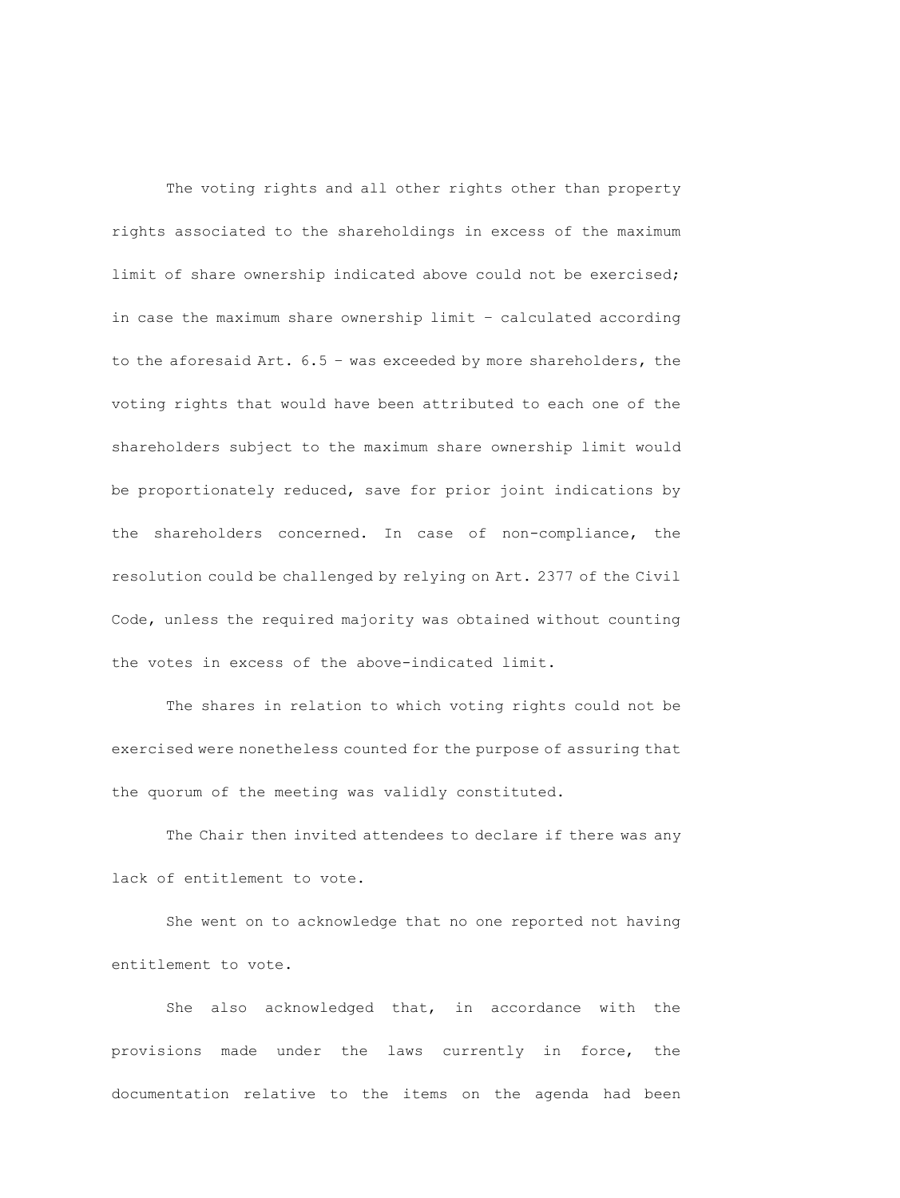The voting rights and all other rights other than property rights associated to the shareholdings in excess of the maximum limit of share ownership indicated above could not be exercised; in case the maximum share ownership limit – calculated according to the aforesaid Art. 6.5 – was exceeded by more shareholders, the voting rights that would have been attributed to each one of the shareholders subject to the maximum share ownership limit would be proportionately reduced, save for prior joint indications by the shareholders concerned. In case of non-compliance, the resolution could be challenged by relying on Art. 2377 of the Civil Code, unless the required majority was obtained without counting the votes in excess of the above-indicated limit.

The shares in relation to which voting rights could not be exercised were nonetheless counted for the purpose of assuring that the quorum of the meeting was validly constituted.

The Chair then invited attendees to declare if there was any lack of entitlement to vote.

She went on to acknowledge that no one reported not having entitlement to vote.

She also acknowledged that, in accordance with the provisions made under the laws currently in force, the documentation relative to the items on the agenda had been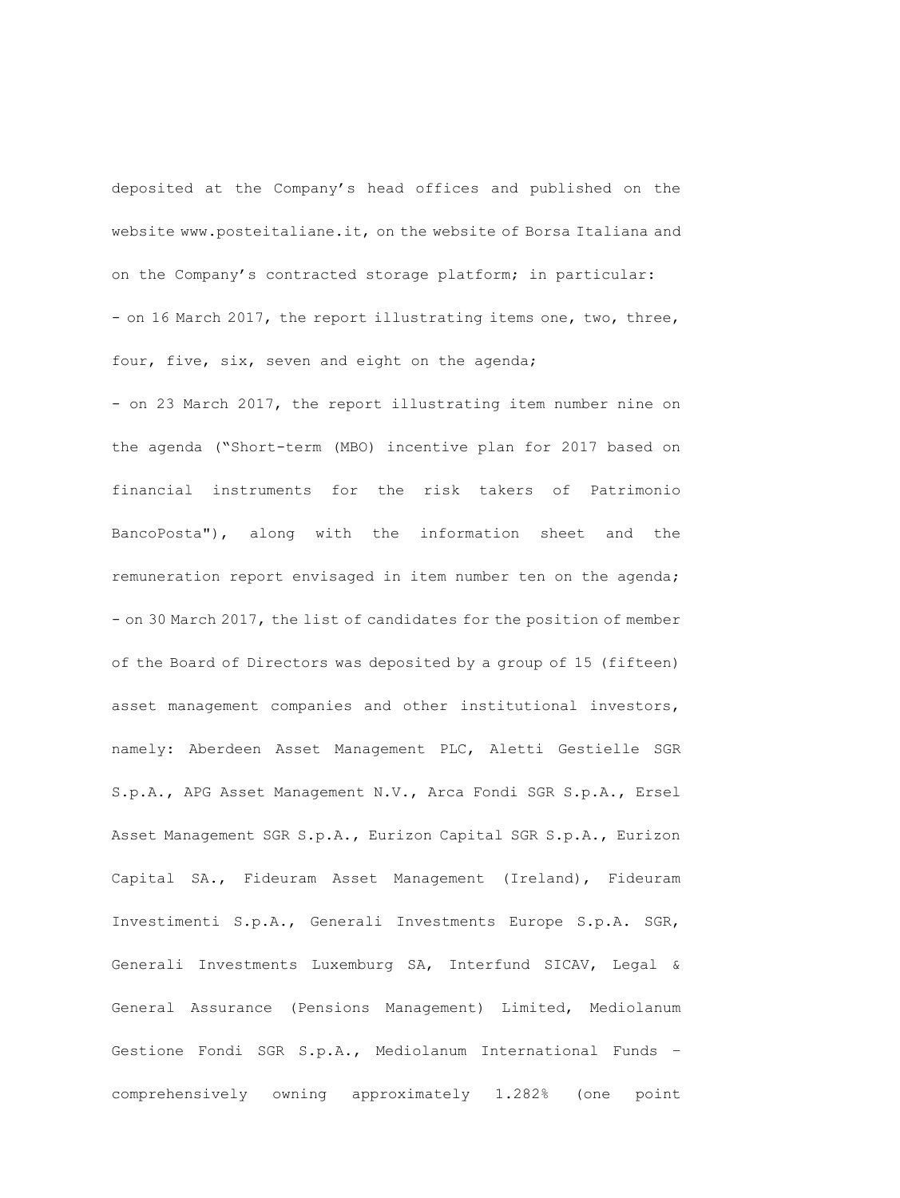deposited at the Company's head offices and published on the website www.posteitaliane.it, on the website of Borsa Italiana and on the Company's contracted storage platform; in particular: - on 16 March 2017, the report illustrating items one, two, three, four, five, six, seven and eight on the agenda;

- on 23 March 2017, the report illustrating item number nine on the agenda ("Short-term (MBO) incentive plan for 2017 based on financial instruments for the risk takers of Patrimonio BancoPosta"), along with the information sheet and the remuneration report envisaged in item number ten on the agenda; - on 30 March 2017, the list of candidates for the position of member of the Board of Directors was deposited by a group of 15 (fifteen) asset management companies and other institutional investors, namely: Aberdeen Asset Management PLC, Aletti Gestielle SGR S.p.A., APG Asset Management N.V., Arca Fondi SGR S.p.A., Ersel Asset Management SGR S.p.A., Eurizon Capital SGR S.p.A., Eurizon Capital SA., Fideuram Asset Management (Ireland), Fideuram Investimenti S.p.A., Generali Investments Europe S.p.A. SGR, Generali Investments Luxemburg SA, Interfund SICAV, Legal & General Assurance (Pensions Management) Limited, Mediolanum Gestione Fondi SGR S.p.A., Mediolanum International Funds – comprehensively owning approximately 1.282% (one point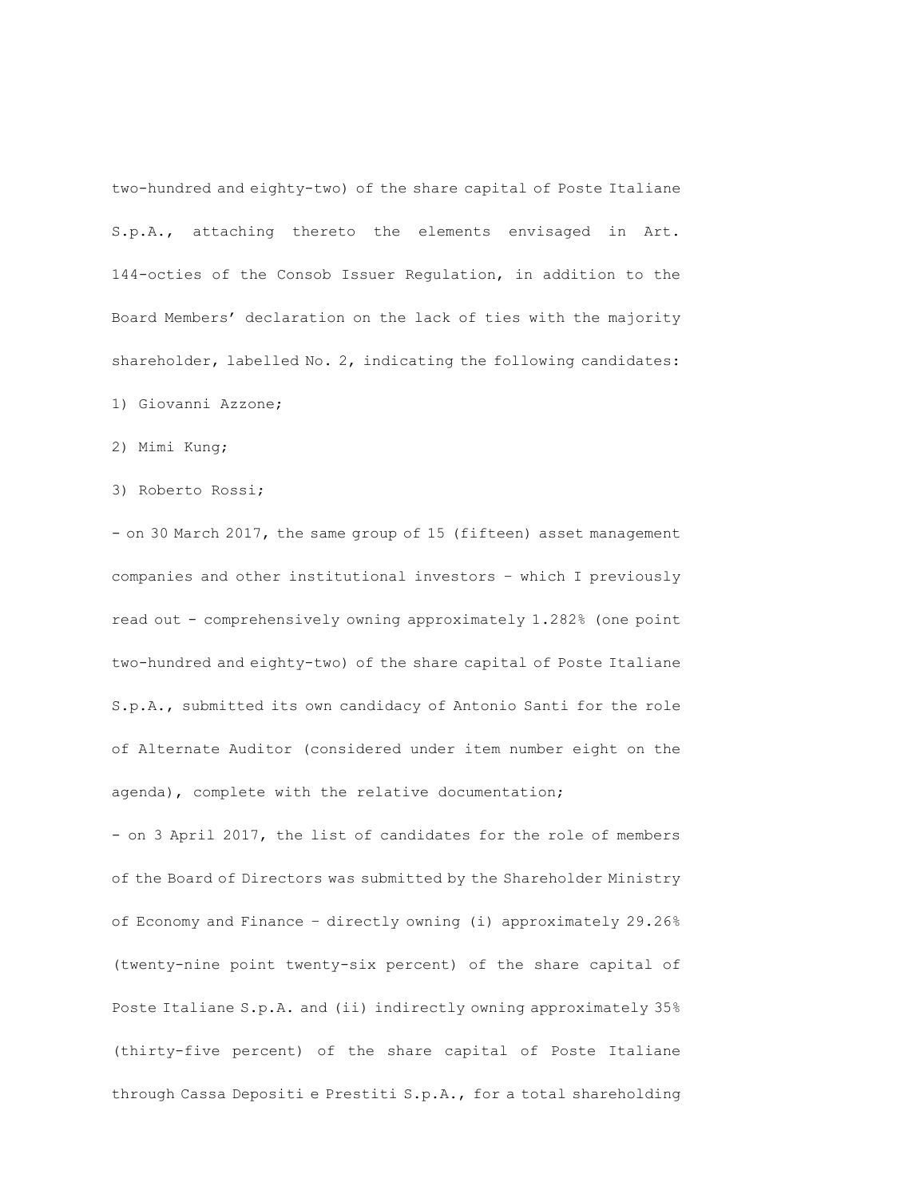two-hundred and eighty-two) of the share capital of Poste Italiane S.p.A., attaching thereto the elements envisaged in Art. 144-octies of the Consob Issuer Regulation, in addition to the Board Members' declaration on the lack of ties with the majority shareholder, labelled No. 2, indicating the following candidates:

1) Giovanni Azzone;

2) Mimi Kung;

3) Roberto Rossi;

- on 30 March 2017, the same group of 15 (fifteen) asset management companies and other institutional investors – which I previously read out - comprehensively owning approximately 1.282% (one point two-hundred and eighty-two) of the share capital of Poste Italiane S.p.A., submitted its own candidacy of Antonio Santi for the role of Alternate Auditor (considered under item number eight on the agenda), complete with the relative documentation;

- on 3 April 2017, the list of candidates for the role of members of the Board of Directors was submitted by the Shareholder Ministry of Economy and Finance – directly owning (i) approximately 29.26% (twenty-nine point twenty-six percent) of the share capital of Poste Italiane S.p.A. and (ii) indirectly owning approximately 35% (thirty-five percent) of the share capital of Poste Italiane through Cassa Depositi e Prestiti S.p.A., for a total shareholding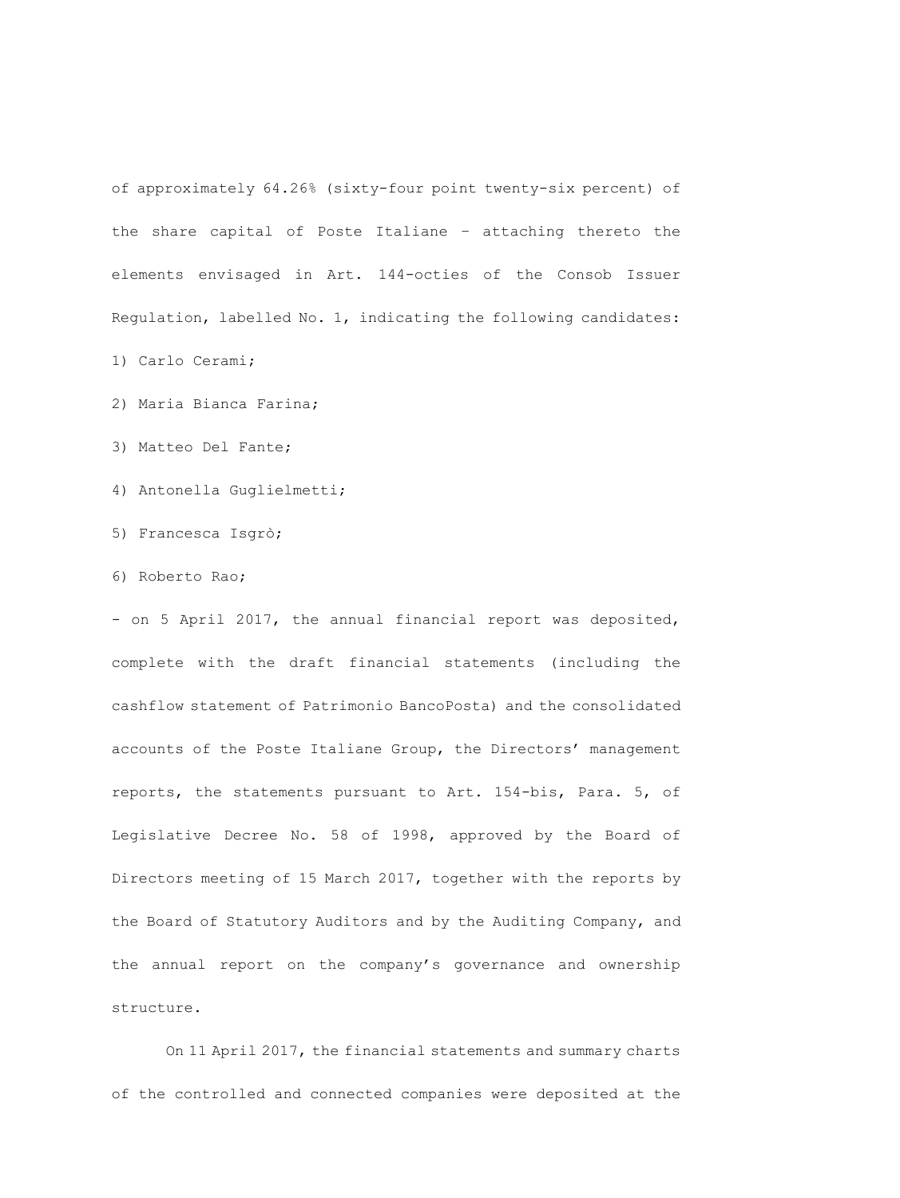of approximately 64.26% (sixty-four point twenty-six percent) of the share capital of Poste Italiane – attaching thereto the elements envisaged in Art. 144-octies of the Consob Issuer Regulation, labelled No. 1, indicating the following candidates:

1) Carlo Cerami;

2) Maria Bianca Farina;

3) Matteo Del Fante;

4) Antonella Guglielmetti;

5) Francesca Isgrò;

6) Roberto Rao;

- on 5 April 2017, the annual financial report was deposited, complete with the draft financial statements (including the cashflow statement of Patrimonio BancoPosta) and the consolidated accounts of the Poste Italiane Group, the Directors' management reports, the statements pursuant to Art. 154-bis, Para. 5, of Legislative Decree No. 58 of 1998, approved by the Board of Directors meeting of 15 March 2017, together with the reports by the Board of Statutory Auditors and by the Auditing Company, and the annual report on the company's governance and ownership structure.

On 11 April 2017, the financial statements and summary charts of the controlled and connected companies were deposited at the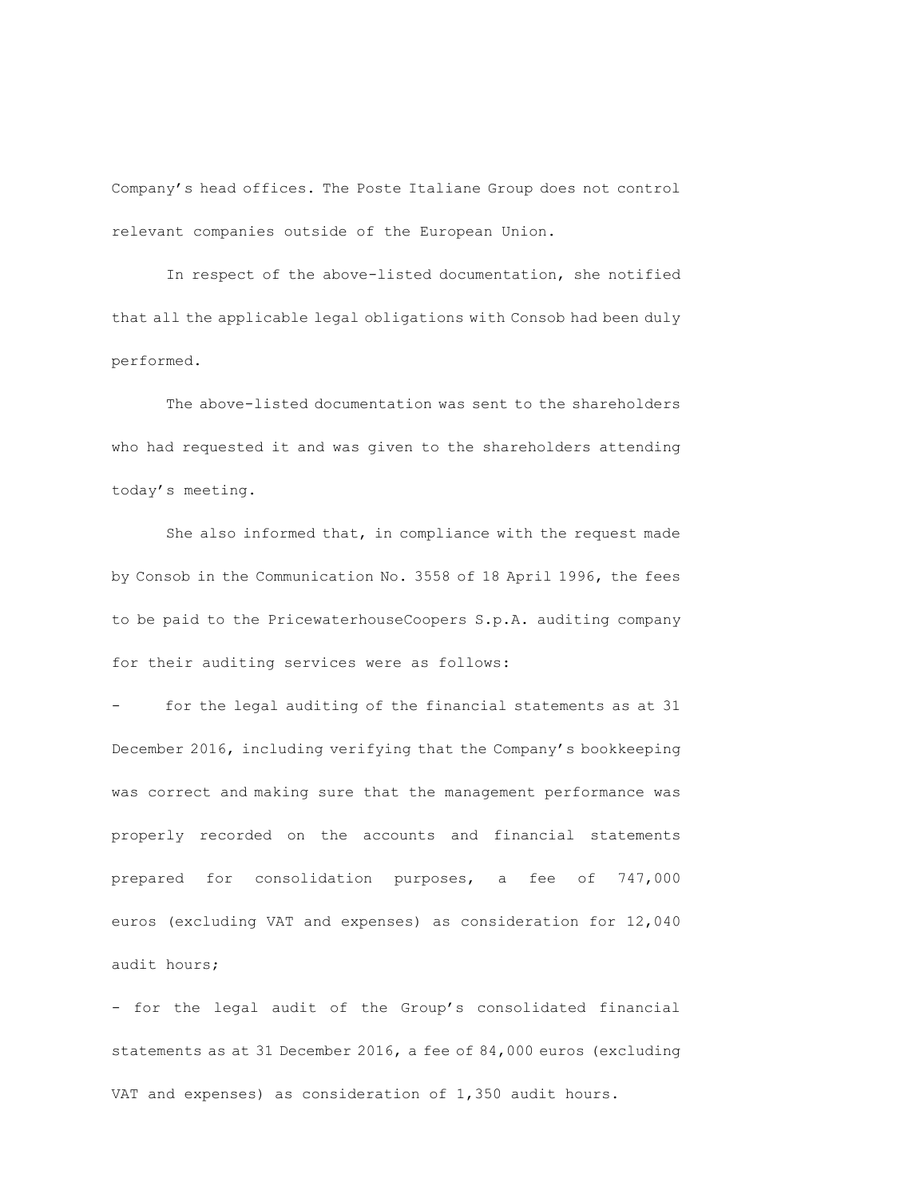Company's head offices. The Poste Italiane Group does not control relevant companies outside of the European Union.

In respect of the above-listed documentation, she notified that all the applicable legal obligations with Consob had been duly performed.

The above-listed documentation was sent to the shareholders who had requested it and was given to the shareholders attending today's meeting.

She also informed that, in compliance with the request made by Consob in the Communication No. 3558 of 18 April 1996, the fees to be paid to the PricewaterhouseCoopers S.p.A. auditing company for their auditing services were as follows:

for the legal auditing of the financial statements as at 31 December 2016, including verifying that the Company's bookkeeping was correct and making sure that the management performance was properly recorded on the accounts and financial statements prepared for consolidation purposes, a fee of 747,000 euros (excluding VAT and expenses) as consideration for 12,040 audit hours;

- for the legal audit of the Group's consolidated financial statements as at 31 December 2016, a fee of 84,000 euros (excluding VAT and expenses) as consideration of 1,350 audit hours.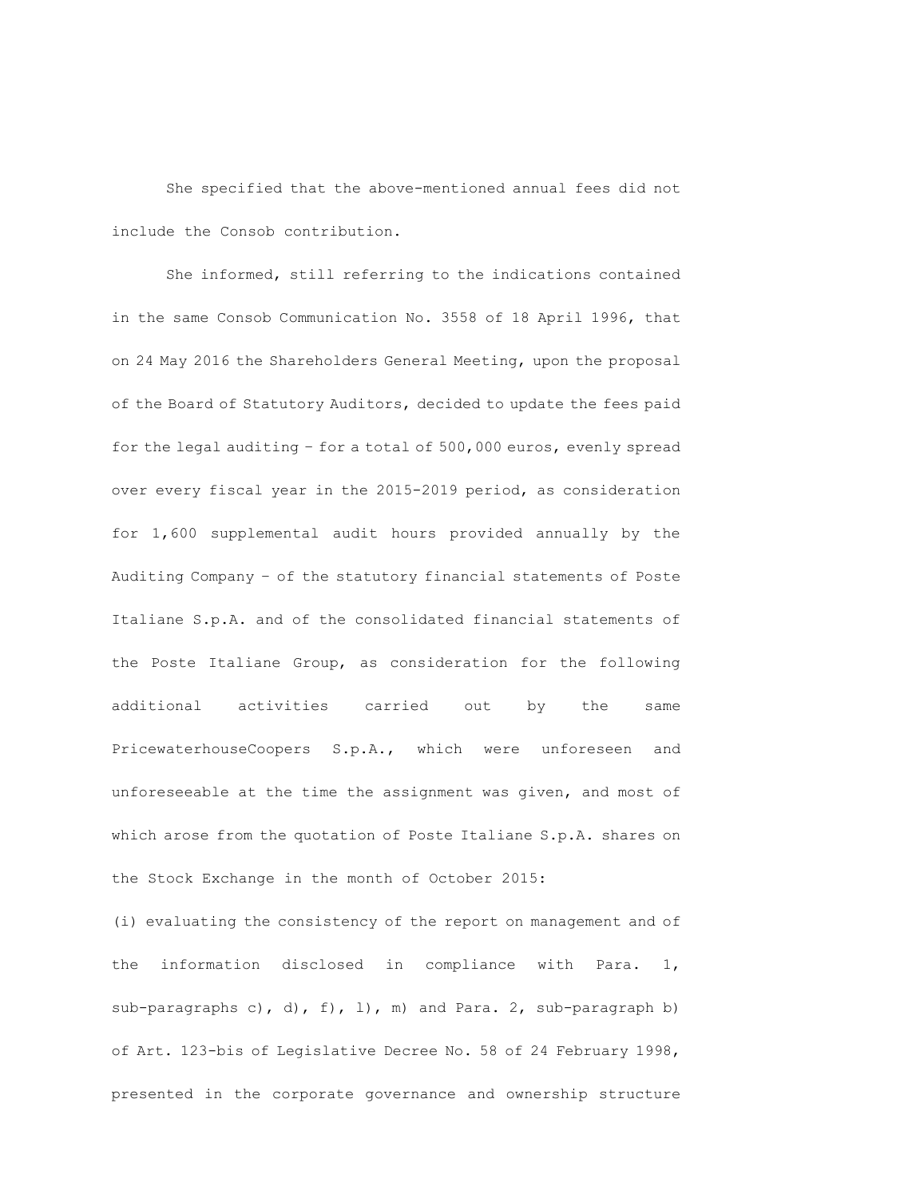She specified that the above-mentioned annual fees did not include the Consob contribution.

She informed, still referring to the indications contained in the same Consob Communication No. 3558 of 18 April 1996, that on 24 May 2016 the Shareholders General Meeting, upon the proposal of the Board of Statutory Auditors, decided to update the fees paid for the legal auditing – for a total of 500,000 euros, evenly spread over every fiscal year in the 2015-2019 period, as consideration for 1,600 supplemental audit hours provided annually by the Auditing Company – of the statutory financial statements of Poste Italiane S.p.A. and of the consolidated financial statements of the Poste Italiane Group, as consideration for the following additional activities carried out by the same PricewaterhouseCoopers S.p.A., which were unforeseen and unforeseeable at the time the assignment was given, and most of which arose from the quotation of Poste Italiane S.p.A. shares on the Stock Exchange in the month of October 2015:

(i) evaluating the consistency of the report on management and of the information disclosed in compliance with Para. 1, sub-paragraphs c), d),  $f$ ,  $l$ ), m) and Para. 2, sub-paragraph b) of Art. 123-bis of Legislative Decree No. 58 of 24 February 1998, presented in the corporate governance and ownership structure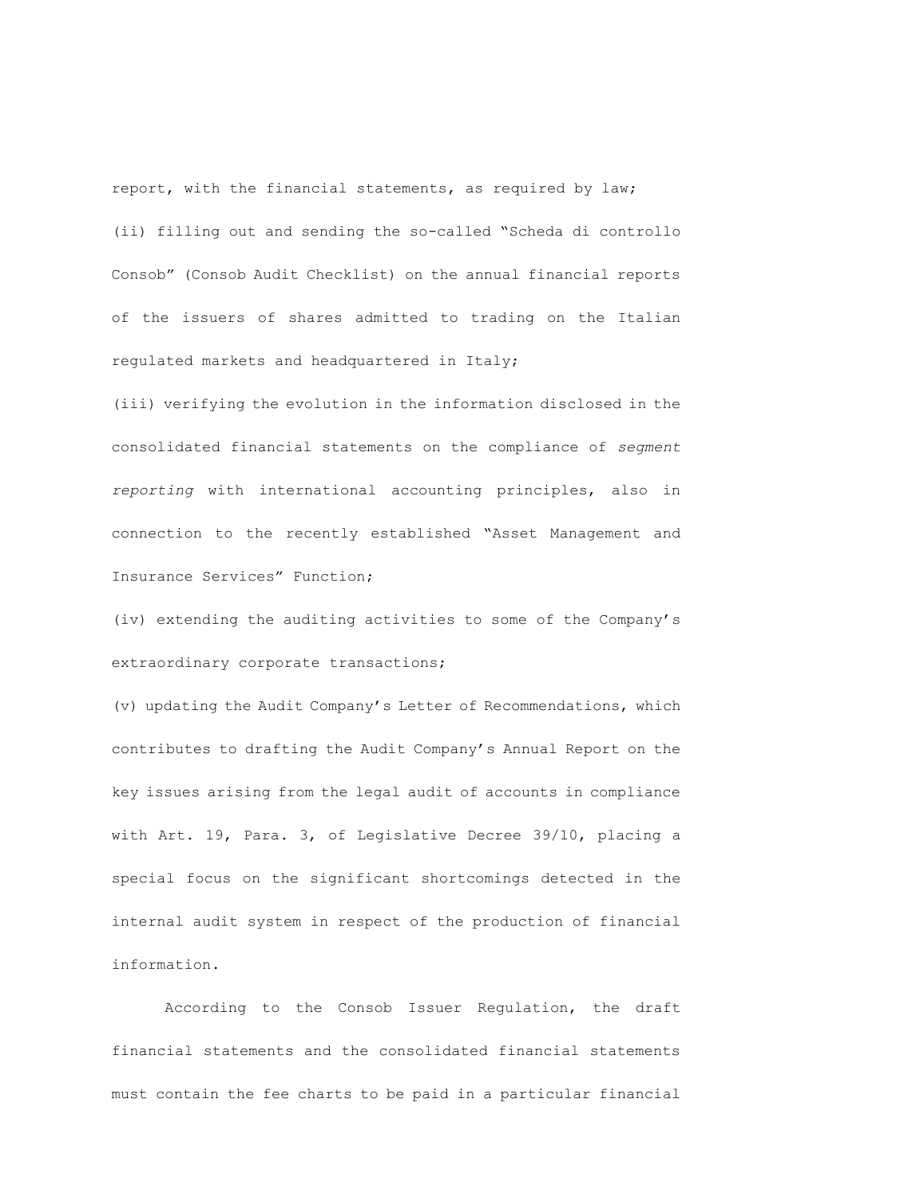report, with the financial statements, as required by law; (ii) filling out and sending the so-called "Scheda di controllo Consob" (Consob Audit Checklist) on the annual financial reports of the issuers of shares admitted to trading on the Italian regulated markets and headquartered in Italy;

(iii) verifying the evolution in the information disclosed in the consolidated financial statements on the compliance of *segment reporting* with international accounting principles, also in connection to the recently established "Asset Management and Insurance Services" Function;

(iv) extending the auditing activities to some of the Company's extraordinary corporate transactions;

(v) updating the Audit Company's Letter of Recommendations, which contributes to drafting the Audit Company's Annual Report on the key issues arising from the legal audit of accounts in compliance with Art. 19, Para. 3, of Legislative Decree 39/10, placing a special focus on the significant shortcomings detected in the internal audit system in respect of the production of financial information.

According to the Consob Issuer Regulation, the draft financial statements and the consolidated financial statements must contain the fee charts to be paid in a particular financial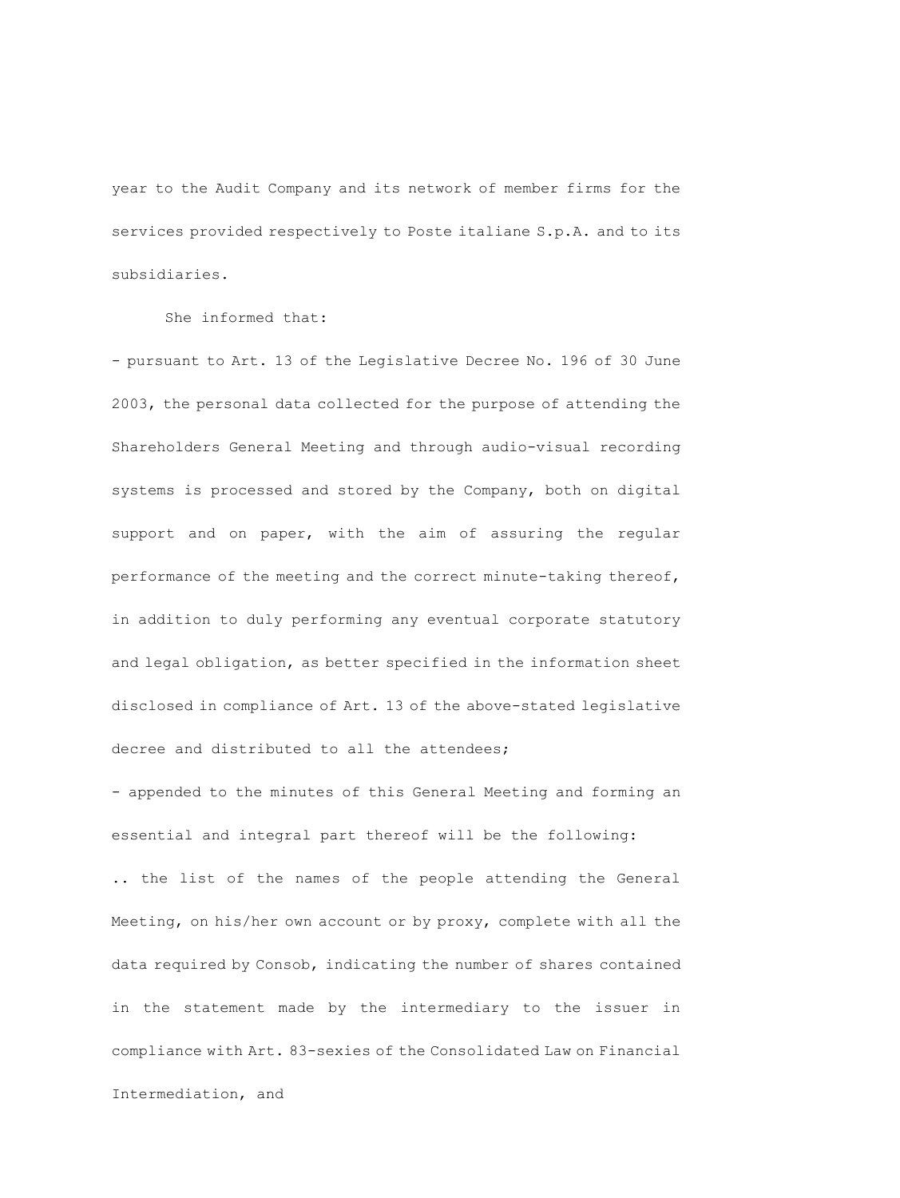year to the Audit Company and its network of member firms for the services provided respectively to Poste italiane S.p.A. and to its subsidiaries.

She informed that:

- pursuant to Art. 13 of the Legislative Decree No. 196 of 30 June 2003, the personal data collected for the purpose of attending the Shareholders General Meeting and through audio-visual recording systems is processed and stored by the Company, both on digital support and on paper, with the aim of assuring the regular performance of the meeting and the correct minute-taking thereof, in addition to duly performing any eventual corporate statutory and legal obligation, as better specified in the information sheet disclosed in compliance of Art. 13 of the above-stated legislative decree and distributed to all the attendees;

- appended to the minutes of this General Meeting and forming an essential and integral part thereof will be the following:

.. the list of the names of the people attending the General Meeting, on his/her own account or by proxy, complete with all the data required by Consob, indicating the number of shares contained in the statement made by the intermediary to the issuer in compliance with Art. 83-sexies of the Consolidated Law on Financial Intermediation, and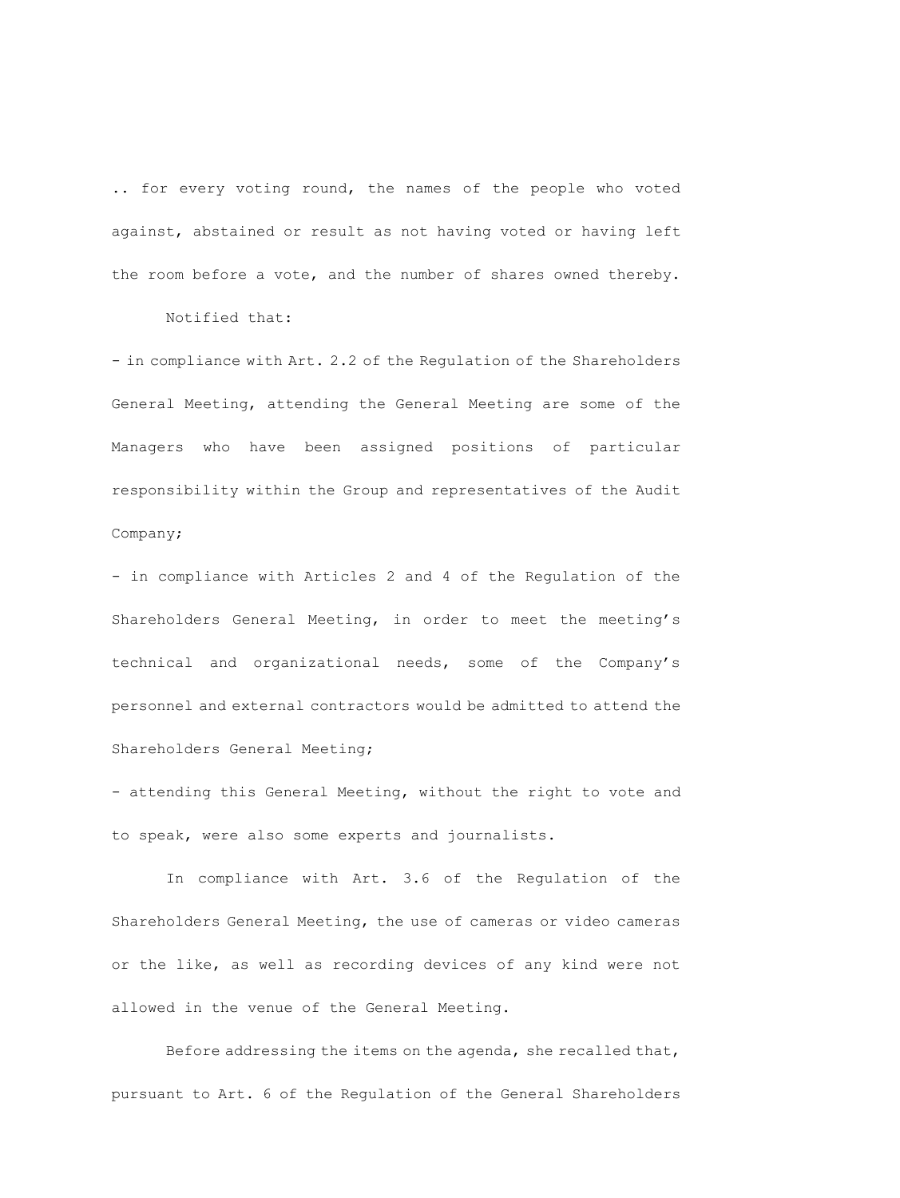.. for every voting round, the names of the people who voted against, abstained or result as not having voted or having left the room before a vote, and the number of shares owned thereby.

Notified that:

- in compliance with Art. 2.2 of the Requlation of the Shareholders General Meeting, attending the General Meeting are some of the Managers who have been assigned positions of particular responsibility within the Group and representatives of the Audit Company;

- in compliance with Articles 2 and 4 of the Regulation of the Shareholders General Meeting, in order to meet the meeting's technical and organizational needs, some of the Company's personnel and external contractors would be admitted to attend the Shareholders General Meeting;

- attending this General Meeting, without the right to vote and to speak, were also some experts and journalists.

In compliance with Art. 3.6 of the Regulation of the Shareholders General Meeting, the use of cameras or video cameras or the like, as well as recording devices of any kind were not allowed in the venue of the General Meeting.

Before addressing the items on the agenda, she recalled that, pursuant to Art. 6 of the Regulation of the General Shareholders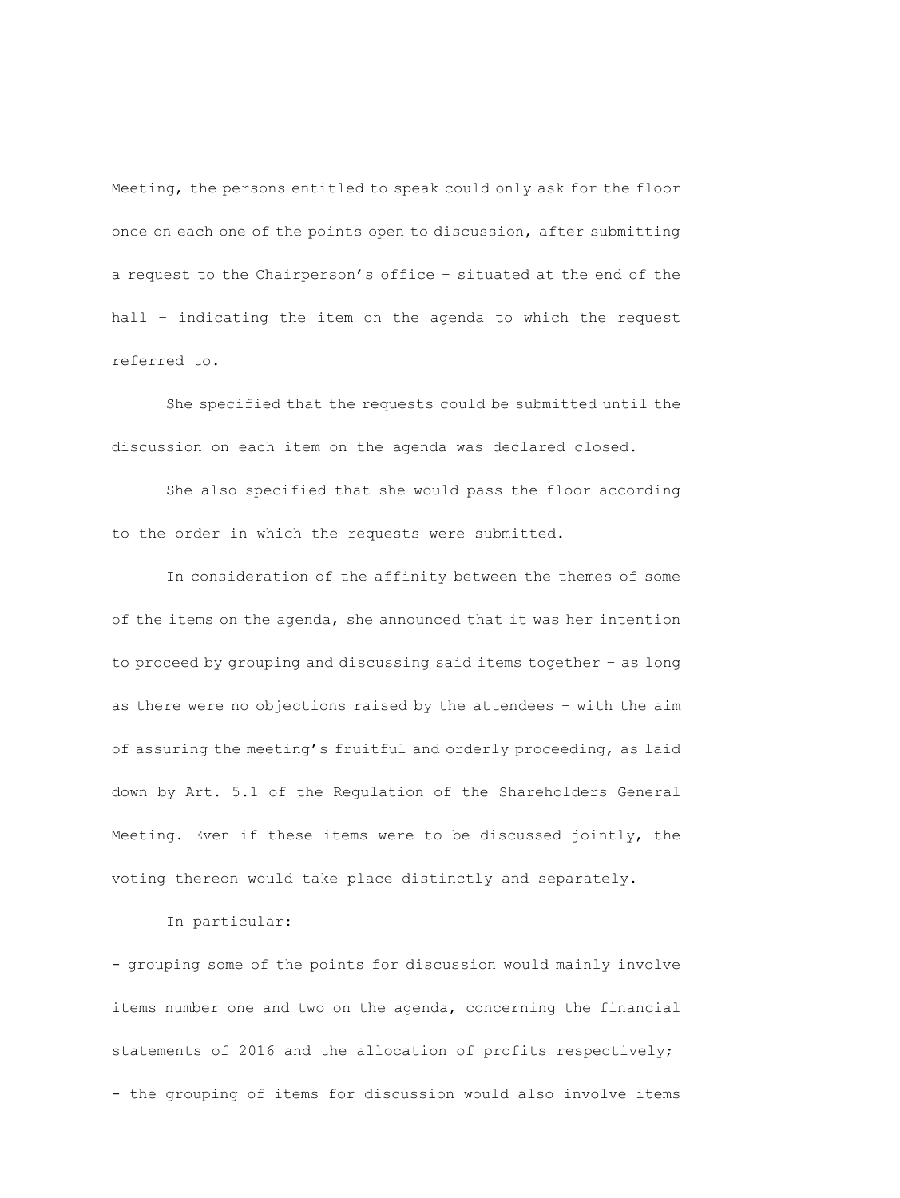Meeting, the persons entitled to speak could only ask for the floor once on each one of the points open to discussion, after submitting a request to the Chairperson's office – situated at the end of the hall – indicating the item on the agenda to which the request referred to.

She specified that the requests could be submitted until the discussion on each item on the agenda was declared closed.

She also specified that she would pass the floor according to the order in which the requests were submitted.

In consideration of the affinity between the themes of some of the items on the agenda, she announced that it was her intention to proceed by grouping and discussing said items together – as long as there were no objections raised by the attendees – with the aim of assuring the meeting's fruitful and orderly proceeding, as laid down by Art. 5.1 of the Regulation of the Shareholders General Meeting. Even if these items were to be discussed jointly, the voting thereon would take place distinctly and separately.

### In particular:

- grouping some of the points for discussion would mainly involve items number one and two on the agenda, concerning the financial statements of 2016 and the allocation of profits respectively; - the grouping of items for discussion would also involve items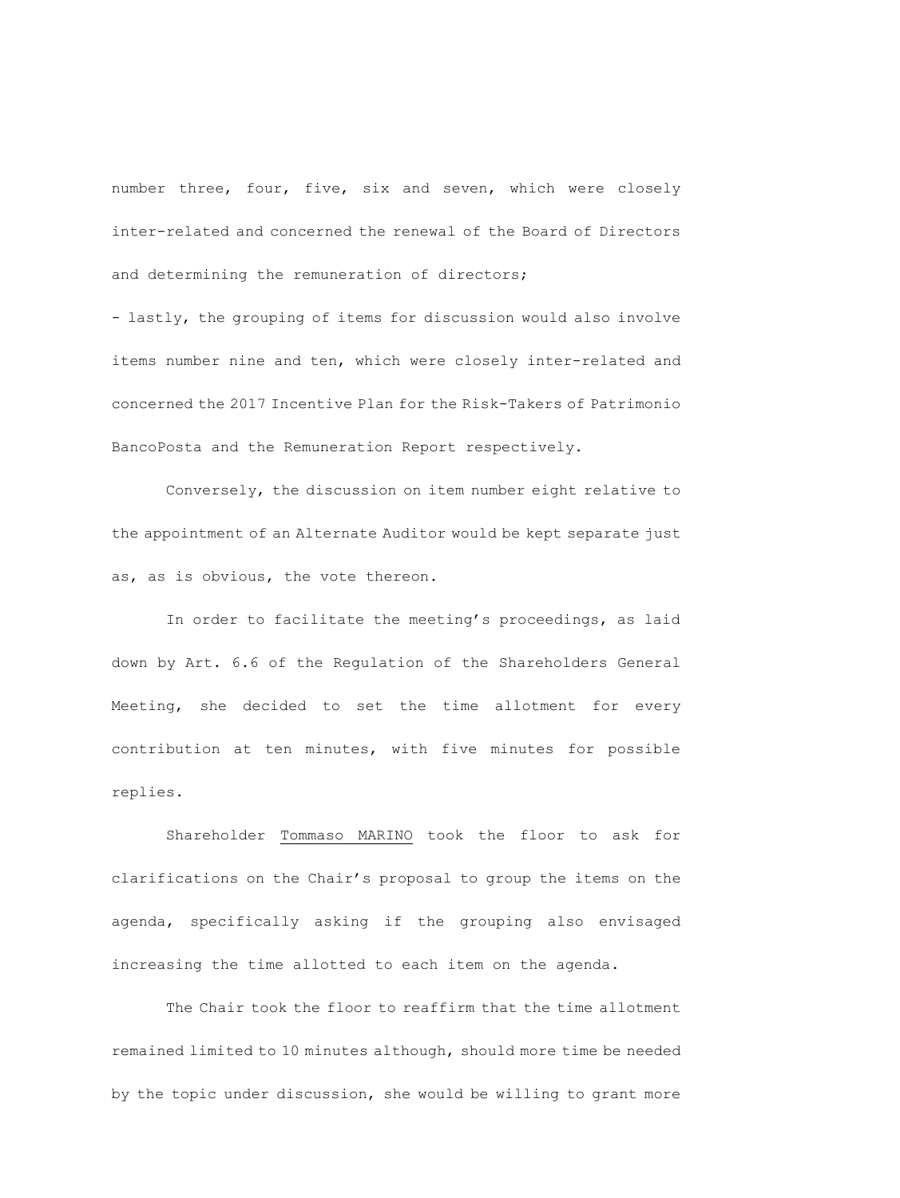number three, four, five, six and seven, which were closely inter-related and concerned the renewal of the Board of Directors and determining the remuneration of directors;

- lastly, the grouping of items for discussion would also involve items number nine and ten, which were closely inter-related and concerned the 2017 Incentive Plan for the Risk-Takers of Patrimonio BancoPosta and the Remuneration Report respectively.

Conversely, the discussion on item number eight relative to the appointment of an Alternate Auditor would be kept separate just as, as is obvious, the vote thereon.

In order to facilitate the meeting's proceedings, as laid down by Art. 6.6 of the Regulation of the Shareholders General Meeting, she decided to set the time allotment for every contribution at ten minutes, with five minutes for possible replies.

Shareholder Tommaso MARINO took the floor to ask for clarifications on the Chair's proposal to group the items on the agenda, specifically asking if the grouping also envisaged increasing the time allotted to each item on the agenda.

The Chair took the floor to reaffirm that the time allotment remained limited to 10 minutes although, should more time be needed by the topic under discussion, she would be willing to grant more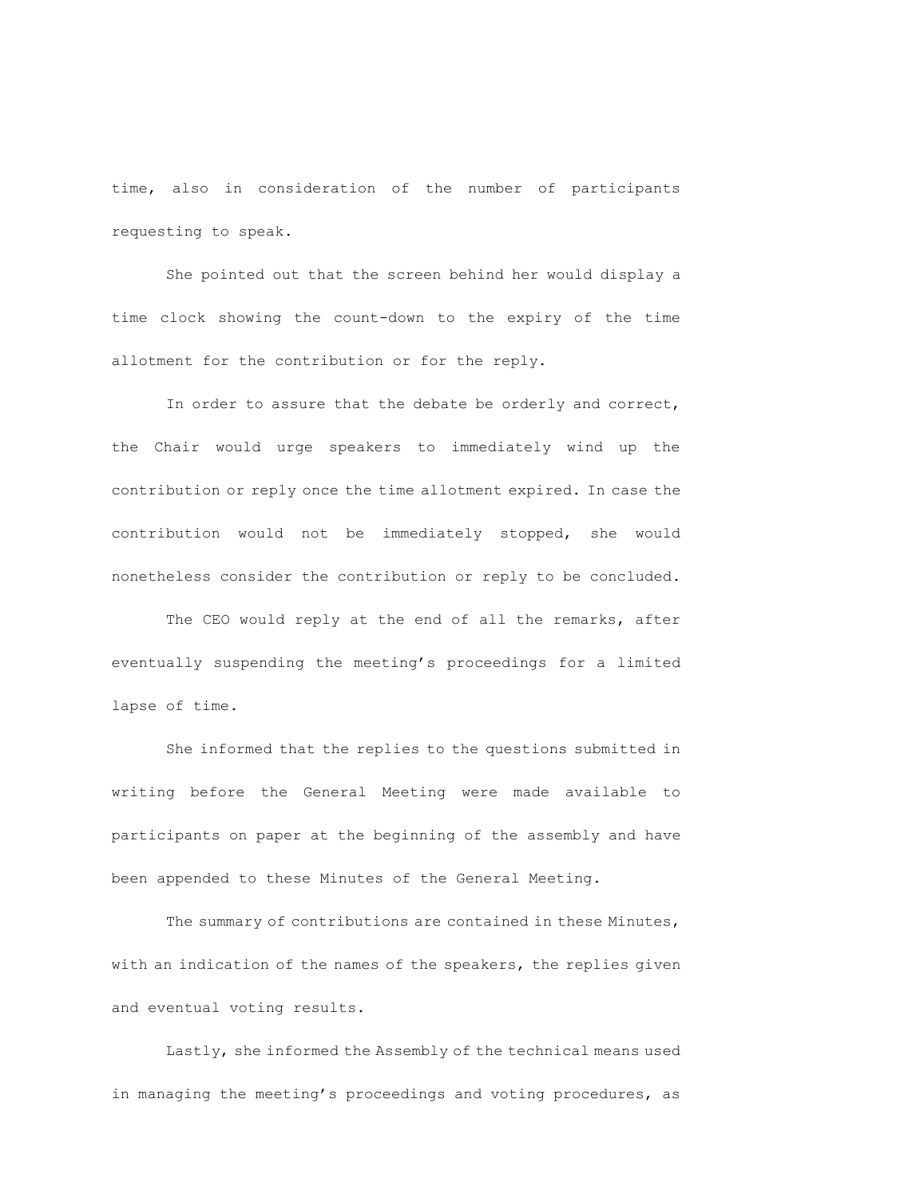time, also in consideration of the number of participants requesting to speak.

She pointed out that the screen behind her would display a time clock showing the count-down to the expiry of the time allotment for the contribution or for the reply.

In order to assure that the debate be orderly and correct, the Chair would urge speakers to immediately wind up the contribution or reply once the time allotment expired. In case the contribution would not be immediately stopped, she would nonetheless consider the contribution or reply to be concluded.

The CEO would reply at the end of all the remarks, after eventually suspending the meeting's proceedings for a limited lapse of time.

She informed that the replies to the questions submitted in writing before the General Meeting were made available to participants on paper at the beginning of the assembly and have been appended to these Minutes of the General Meeting.

The summary of contributions are contained in these Minutes, with an indication of the names of the speakers, the replies given and eventual voting results.

Lastly, she informed the Assembly of the technical means used in managing the meeting's proceedings and voting procedures, as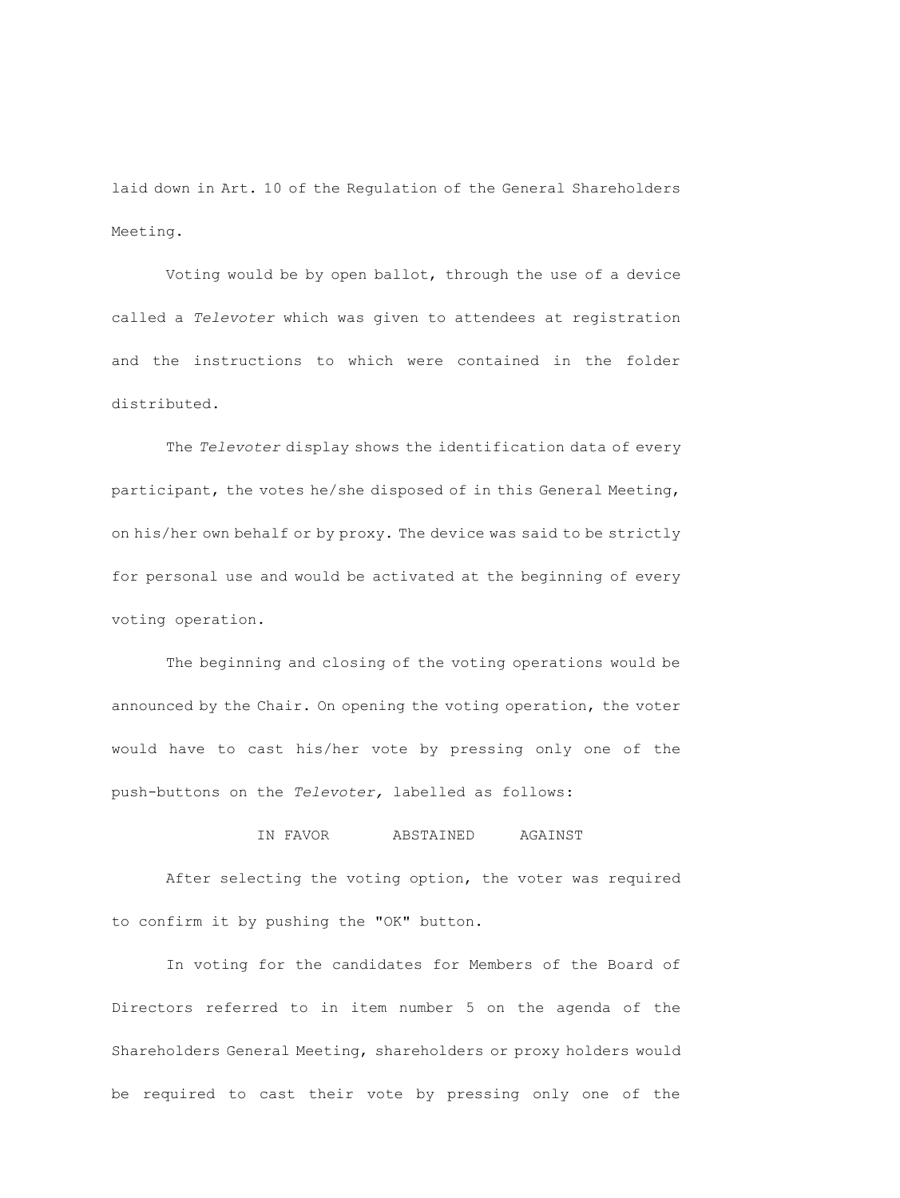laid down in Art. 10 of the Regulation of the General Shareholders Meeting.

Voting would be by open ballot, through the use of a device called a *Televoter* which was given to attendees at registration and the instructions to which were contained in the folder distributed.

The *Televoter* display shows the identification data of every participant, the votes he/she disposed of in this General Meeting, on his/her own behalf or by proxy. The device was said to be strictly for personal use and would be activated at the beginning of every voting operation.

The beginning and closing of the voting operations would be announced by the Chair. On opening the voting operation, the voter would have to cast his/her vote by pressing only one of the push-buttons on the *Televoter,* labelled as follows:

## IN FAVOR ABSTAINED AGAINST

After selecting the voting option, the voter was required to confirm it by pushing the "OK" button.

In voting for the candidates for Members of the Board of Directors referred to in item number 5 on the agenda of the Shareholders General Meeting, shareholders or proxy holders would be required to cast their vote by pressing only one of the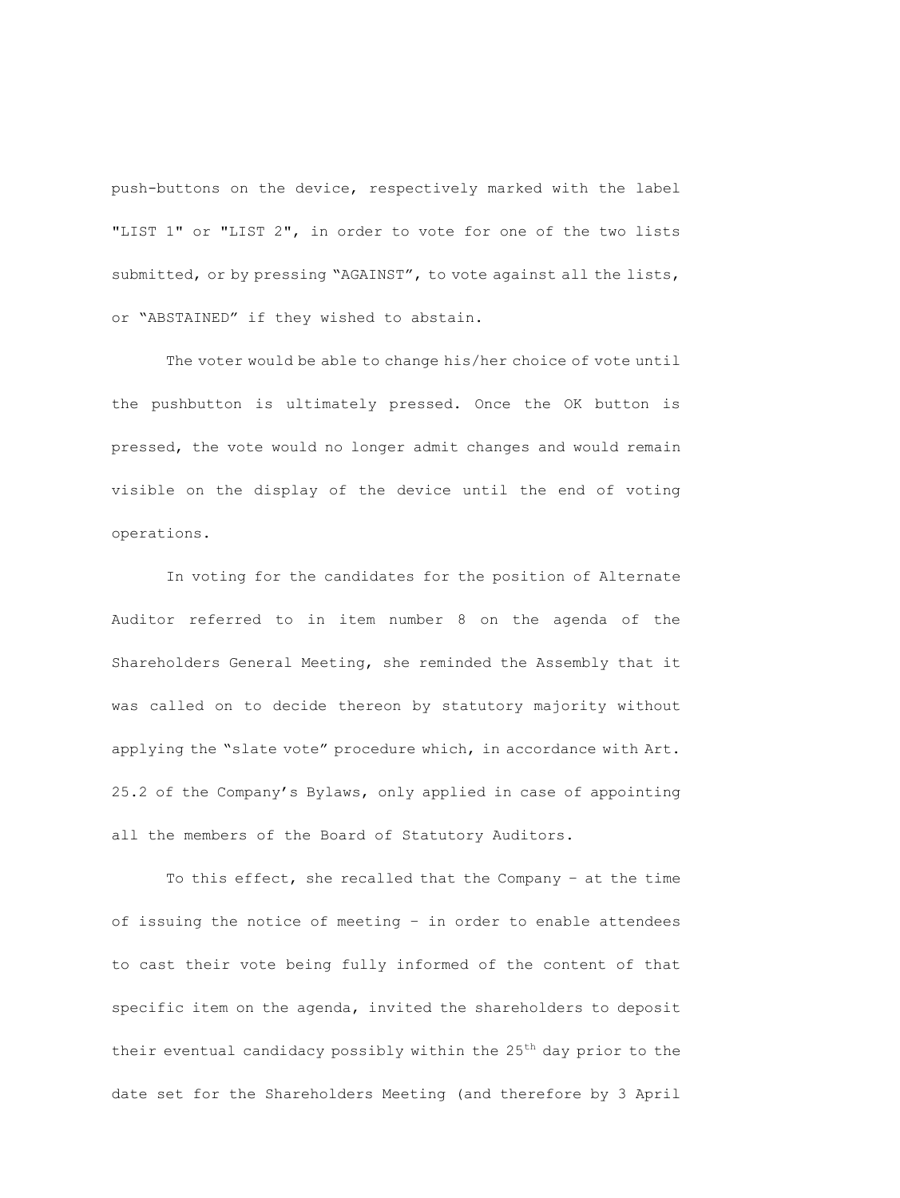push-buttons on the device, respectively marked with the label "LIST 1" or "LIST 2", in order to vote for one of the two lists submitted, or by pressing "AGAINST", to vote against all the lists, or "ABSTAINED" if they wished to abstain.

The voter would be able to change his/her choice of vote until the pushbutton is ultimately pressed. Once the OK button is pressed, the vote would no longer admit changes and would remain visible on the display of the device until the end of voting operations.

In voting for the candidates for the position of Alternate Auditor referred to in item number 8 on the agenda of the Shareholders General Meeting, she reminded the Assembly that it was called on to decide thereon by statutory majority without applying the "slate vote" procedure which, in accordance with Art. 25.2 of the Company's Bylaws, only applied in case of appointing all the members of the Board of Statutory Auditors.

To this effect, she recalled that the Company – at the time of issuing the notice of meeting – in order to enable attendees to cast their vote being fully informed of the content of that specific item on the agenda, invited the shareholders to deposit their eventual candidacy possibly within the  $25<sup>th</sup>$  day prior to the date set for the Shareholders Meeting (and therefore by 3 April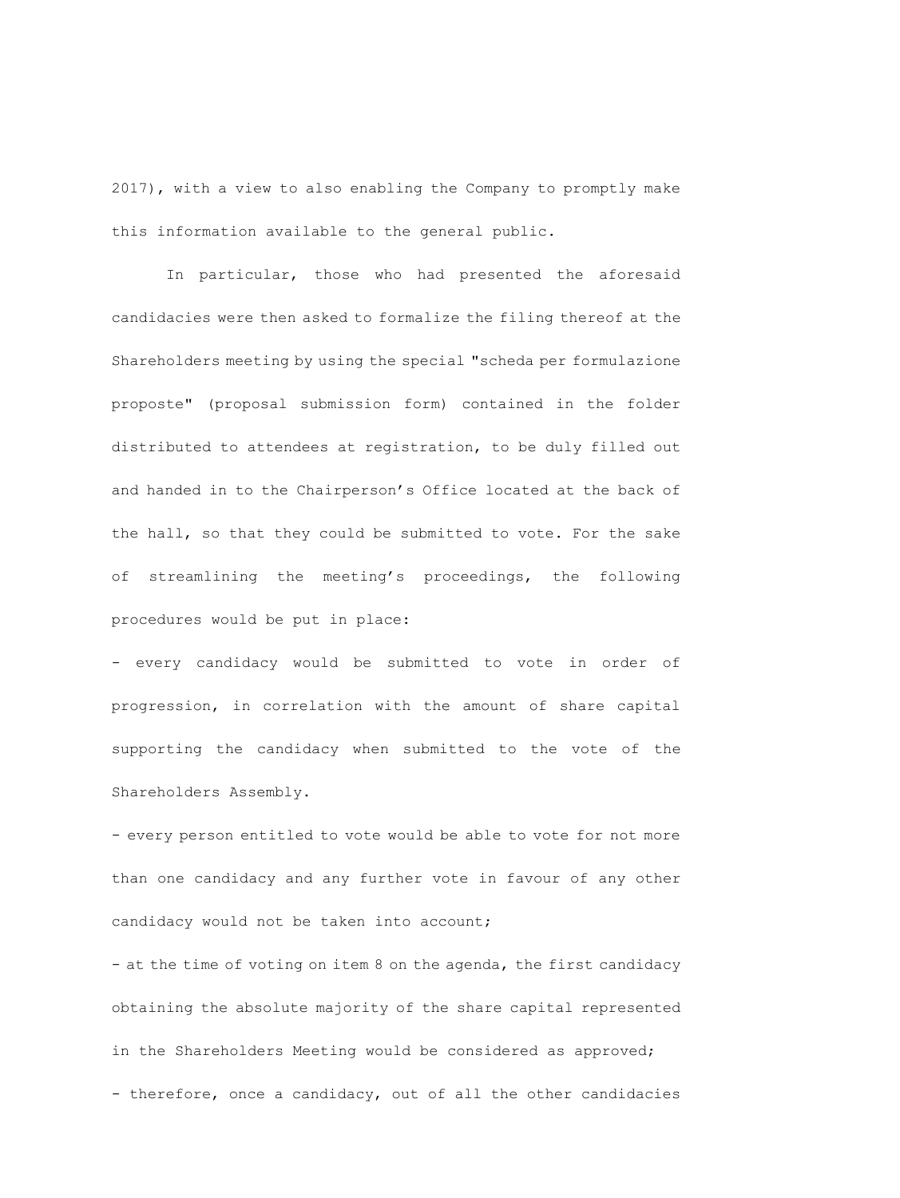2017), with a view to also enabling the Company to promptly make this information available to the general public.

In particular, those who had presented the aforesaid candidacies were then asked to formalize the filing thereof at the Shareholders meeting by using the special "scheda per formulazione proposte" (proposal submission form) contained in the folder distributed to attendees at registration, to be duly filled out and handed in to the Chairperson's Office located at the back of the hall, so that they could be submitted to vote. For the sake of streamlining the meeting's proceedings, the following procedures would be put in place:

- every candidacy would be submitted to vote in order of progression, in correlation with the amount of share capital supporting the candidacy when submitted to the vote of the Shareholders Assembly.

- every person entitled to vote would be able to vote for not more than one candidacy and any further vote in favour of any other candidacy would not be taken into account;

- at the time of voting on item 8 on the agenda, the first candidacy obtaining the absolute majority of the share capital represented in the Shareholders Meeting would be considered as approved; - therefore, once a candidacy, out of all the other candidacies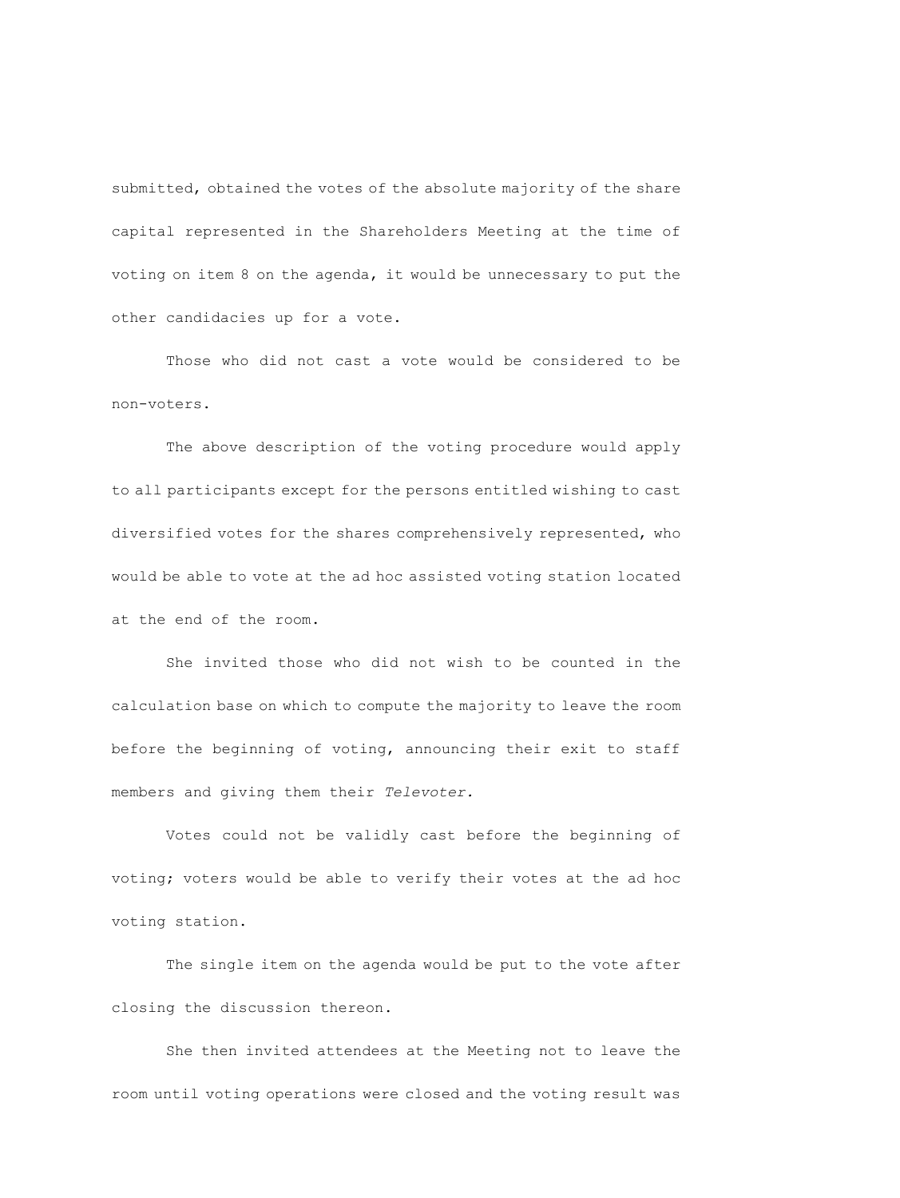submitted, obtained the votes of the absolute majority of the share capital represented in the Shareholders Meeting at the time of voting on item 8 on the agenda, it would be unnecessary to put the other candidacies up for a vote.

Those who did not cast a vote would be considered to be non-voters.

The above description of the voting procedure would apply to all participants except for the persons entitled wishing to cast diversified votes for the shares comprehensively represented, who would be able to vote at the ad hoc assisted voting station located at the end of the room.

She invited those who did not wish to be counted in the calculation base on which to compute the majority to leave the room before the beginning of voting, announcing their exit to staff members and giving them their *Televoter.*

Votes could not be validly cast before the beginning of voting; voters would be able to verify their votes at the ad hoc voting station.

The single item on the agenda would be put to the vote after closing the discussion thereon.

She then invited attendees at the Meeting not to leave the room until voting operations were closed and the voting result was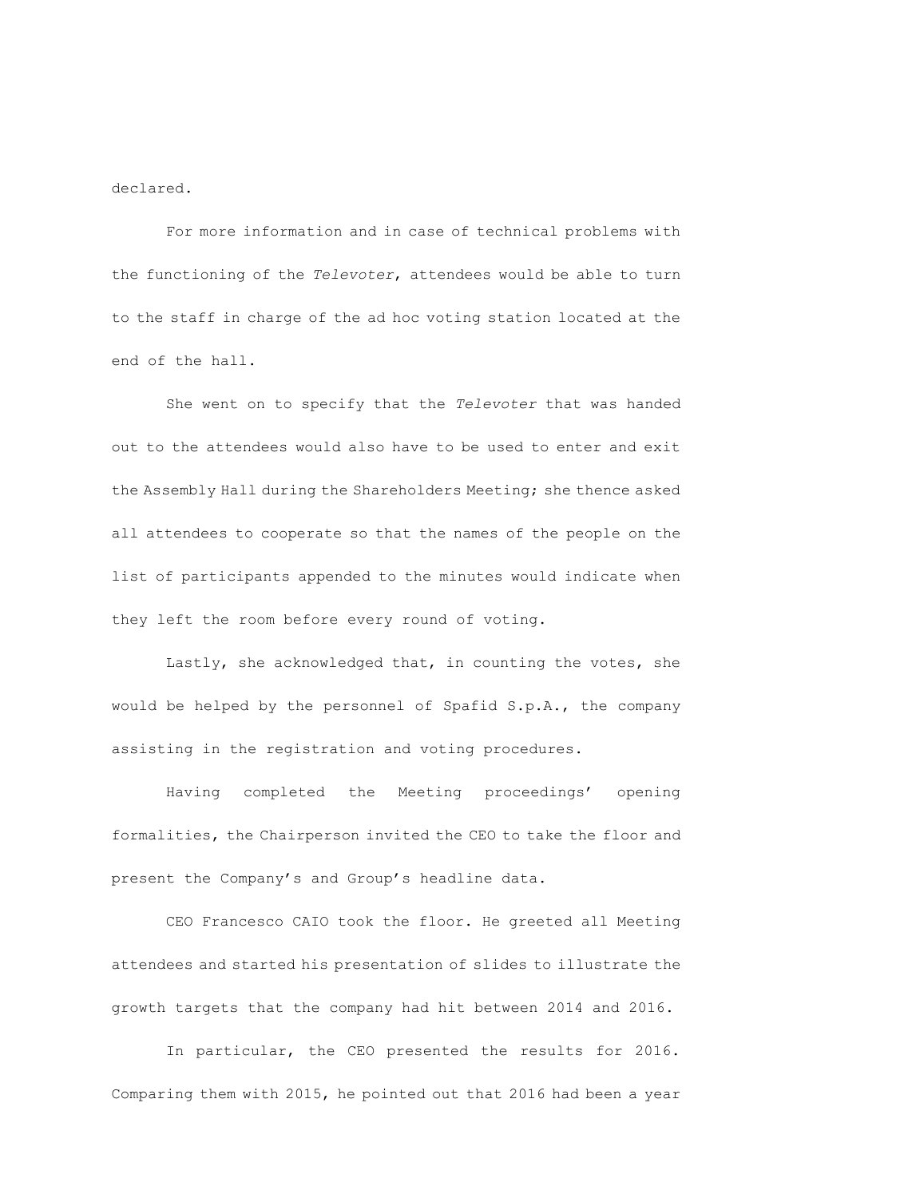declared.

For more information and in case of technical problems with the functioning of the *Televoter*, attendees would be able to turn to the staff in charge of the ad hoc voting station located at the end of the hall.

She went on to specify that the *Televoter* that was handed out to the attendees would also have to be used to enter and exit the Assembly Hall during the Shareholders Meeting; she thence asked all attendees to cooperate so that the names of the people on the list of participants appended to the minutes would indicate when they left the room before every round of voting.

Lastly, she acknowledged that, in counting the votes, she would be helped by the personnel of Spafid S.p.A., the company assisting in the registration and voting procedures.

Having completed the Meeting proceedings' opening formalities, the Chairperson invited the CEO to take the floor and present the Company's and Group's headline data.

CEO Francesco CAIO took the floor. He greeted all Meeting attendees and started his presentation of slides to illustrate the growth targets that the company had hit between 2014 and 2016.

In particular, the CEO presented the results for 2016. Comparing them with 2015, he pointed out that 2016 had been a year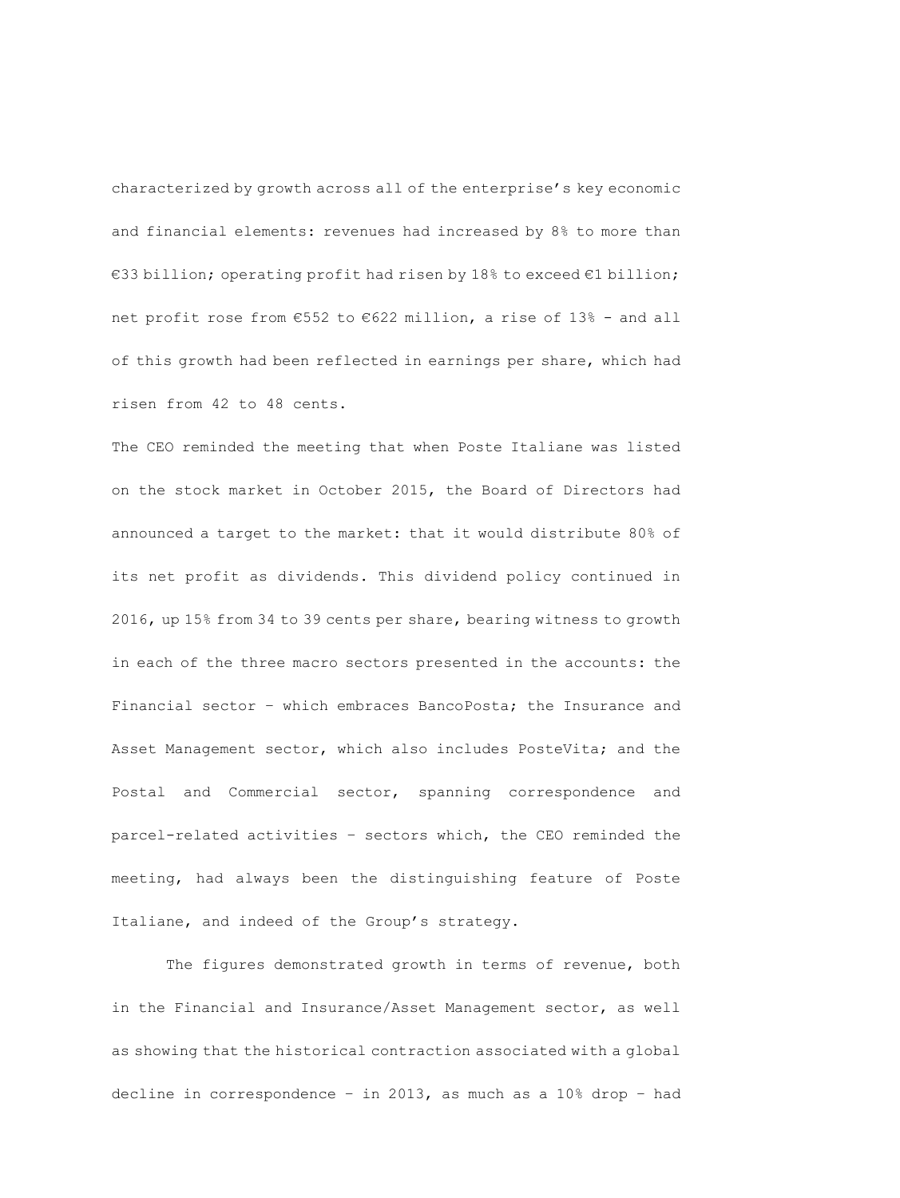characterized by growth across all of the enterprise's key economic and financial elements: revenues had increased by 8% to more than €33 billion; operating profit had risen by 18% to exceed €1 billion; net profit rose from €552 to €622 million, a rise of 13% - and all of this growth had been reflected in earnings per share, which had risen from 42 to 48 cents.

The CEO reminded the meeting that when Poste Italiane was listed on the stock market in October 2015, the Board of Directors had announced a target to the market: that it would distribute 80% of its net profit as dividends. This dividend policy continued in 2016, up 15% from 34 to 39 cents per share, bearing witness to growth in each of the three macro sectors presented in the accounts: the Financial sector – which embraces BancoPosta; the Insurance and Asset Management sector, which also includes PosteVita; and the Postal and Commercial sector, spanning correspondence and parcel-related activities – sectors which, the CEO reminded the meeting, had always been the distinguishing feature of Poste Italiane, and indeed of the Group's strategy.

The figures demonstrated growth in terms of revenue, both in the Financial and Insurance/Asset Management sector, as well as showing that the historical contraction associated with a global decline in correspondence – in 2013, as much as a 10% drop – had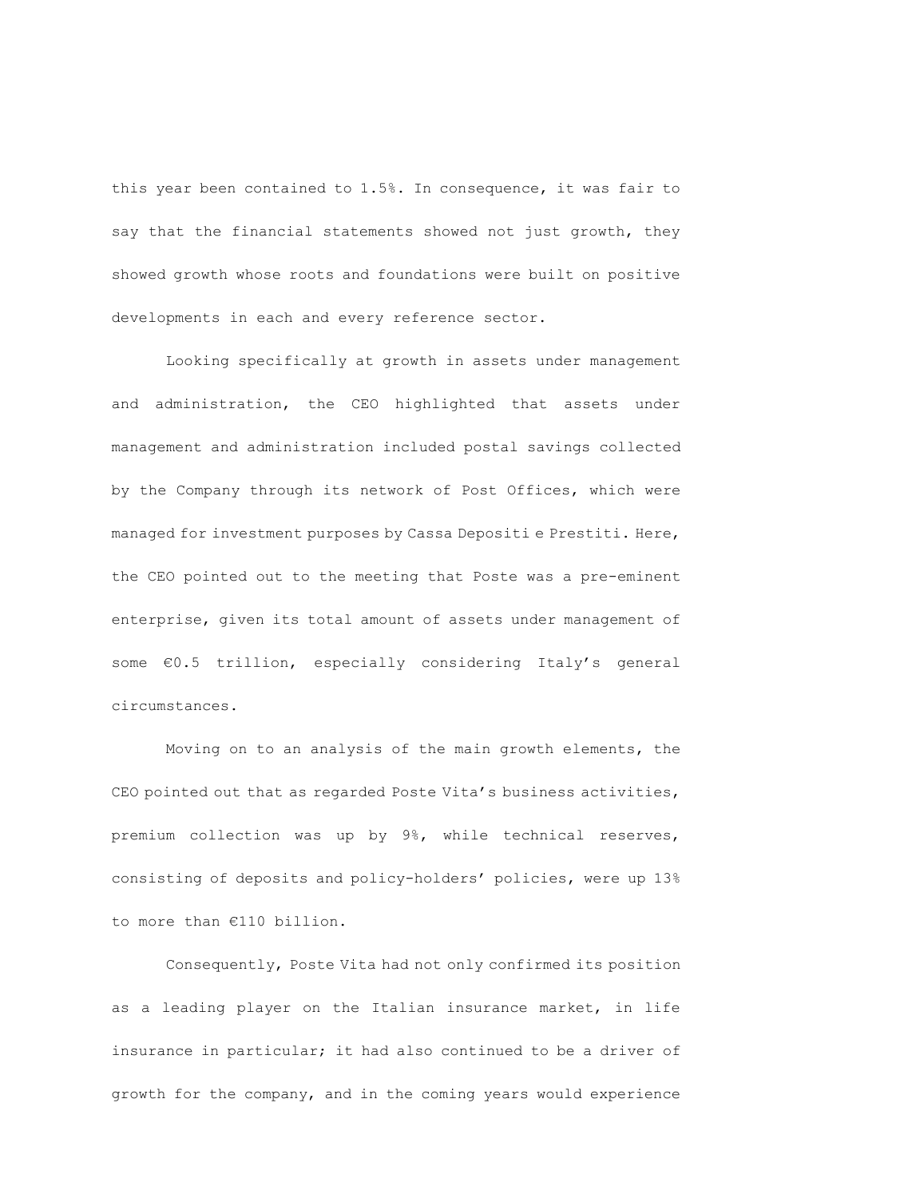this year been contained to 1.5%. In consequence, it was fair to say that the financial statements showed not just growth, they showed growth whose roots and foundations were built on positive developments in each and every reference sector.

Looking specifically at growth in assets under management and administration, the CEO highlighted that assets under management and administration included postal savings collected by the Company through its network of Post Offices, which were managed for investment purposes by Cassa Depositi e Prestiti. Here, the CEO pointed out to the meeting that Poste was a pre-eminent enterprise, given its total amount of assets under management of some €0.5 trillion, especially considering Italy's general circumstances.

Moving on to an analysis of the main growth elements, the CEO pointed out that as regarded Poste Vita's business activities, premium collection was up by 9%, while technical reserves, consisting of deposits and policy-holders' policies, were up 13% to more than €110 billion.

Consequently, Poste Vita had not only confirmed its position as a leading player on the Italian insurance market, in life insurance in particular; it had also continued to be a driver of growth for the company, and in the coming years would experience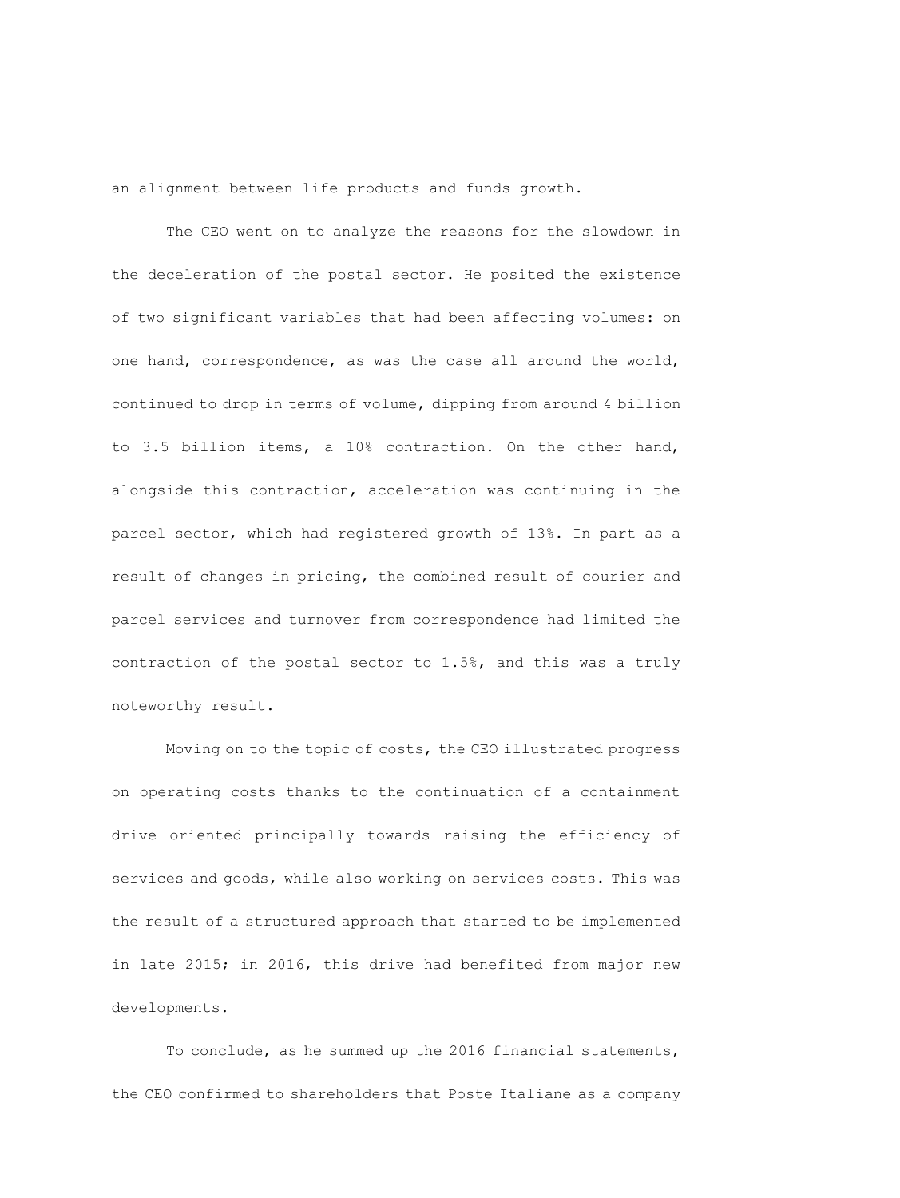an alignment between life products and funds growth.

The CEO went on to analyze the reasons for the slowdown in the deceleration of the postal sector. He posited the existence of two significant variables that had been affecting volumes: on one hand, correspondence, as was the case all around the world, continued to drop in terms of volume, dipping from around 4 billion to 3.5 billion items, a 10% contraction. On the other hand, alongside this contraction, acceleration was continuing in the parcel sector, which had registered growth of 13%. In part as a result of changes in pricing, the combined result of courier and parcel services and turnover from correspondence had limited the contraction of the postal sector to 1.5%, and this was a truly noteworthy result.

Moving on to the topic of costs, the CEO illustrated progress on operating costs thanks to the continuation of a containment drive oriented principally towards raising the efficiency of services and goods, while also working on services costs. This was the result of a structured approach that started to be implemented in late 2015; in 2016, this drive had benefited from major new developments.

To conclude, as he summed up the 2016 financial statements, the CEO confirmed to shareholders that Poste Italiane as a company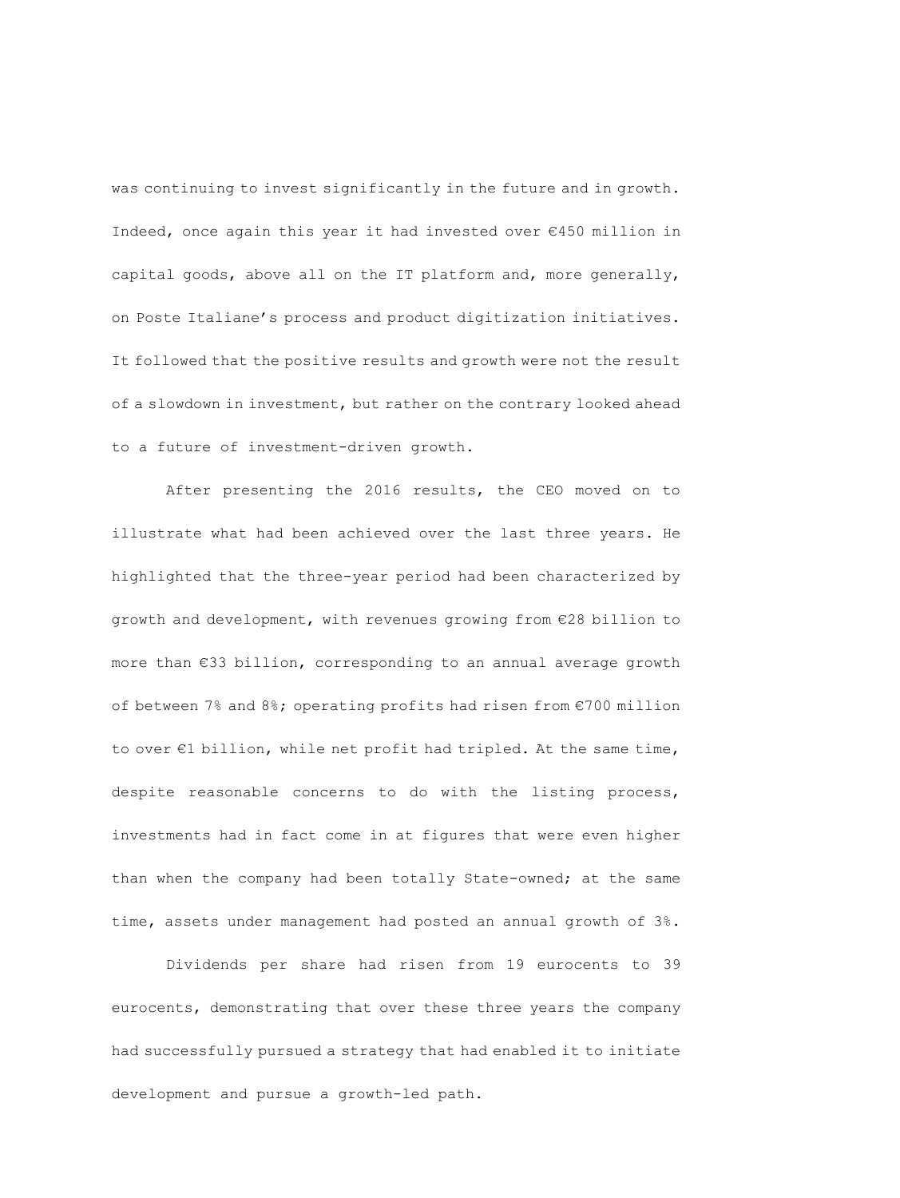was continuing to invest significantly in the future and in growth. Indeed, once again this year it had invested over €450 million in capital goods, above all on the IT platform and, more generally, on Poste Italiane's process and product digitization initiatives. It followed that the positive results and growth were not the result of a slowdown in investment, but rather on the contrary looked ahead to a future of investment-driven growth.

After presenting the 2016 results, the CEO moved on to illustrate what had been achieved over the last three years. He highlighted that the three-year period had been characterized by growth and development, with revenues growing from €28 billion to more than €33 billion, corresponding to an annual average growth of between 7% and 8%; operating profits had risen from €700 million to over €1 billion, while net profit had tripled. At the same time, despite reasonable concerns to do with the listing process, investments had in fact come in at figures that were even higher than when the company had been totally State-owned; at the same time, assets under management had posted an annual growth of 3%.

Dividends per share had risen from 19 eurocents to 39 eurocents, demonstrating that over these three years the company had successfully pursued a strategy that had enabled it to initiate development and pursue a growth-led path.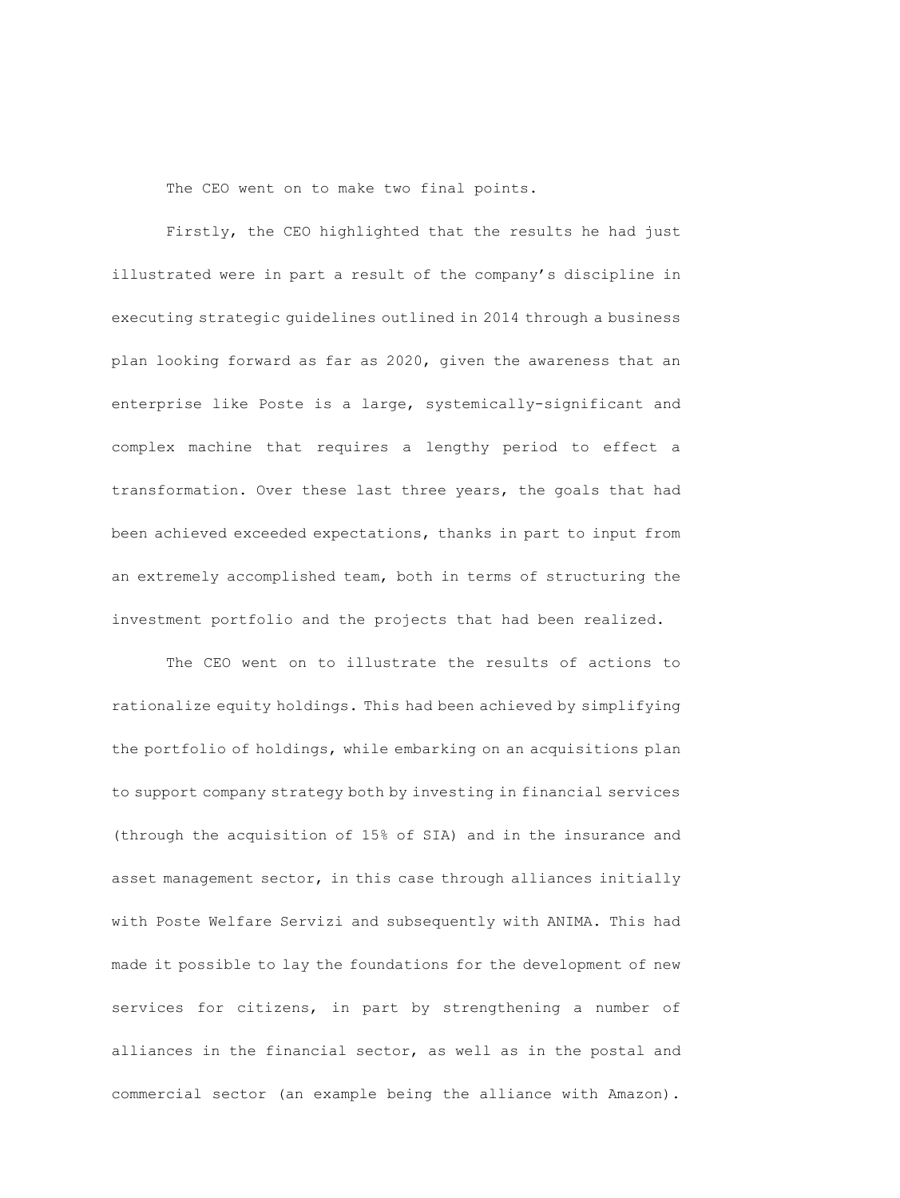The CEO went on to make two final points.

Firstly, the CEO highlighted that the results he had just illustrated were in part a result of the company's discipline in executing strategic guidelines outlined in 2014 through a business plan looking forward as far as 2020, given the awareness that an enterprise like Poste is a large, systemically-significant and complex machine that requires a lengthy period to effect a transformation. Over these last three years, the goals that had been achieved exceeded expectations, thanks in part to input from an extremely accomplished team, both in terms of structuring the investment portfolio and the projects that had been realized.

The CEO went on to illustrate the results of actions to rationalize equity holdings. This had been achieved by simplifying the portfolio of holdings, while embarking on an acquisitions plan to support company strategy both by investing in financial services (through the acquisition of 15% of SIA) and in the insurance and asset management sector, in this case through alliances initially with Poste Welfare Servizi and subsequently with ANIMA. This had made it possible to lay the foundations for the development of new services for citizens, in part by strengthening a number of alliances in the financial sector, as well as in the postal and commercial sector (an example being the alliance with Amazon).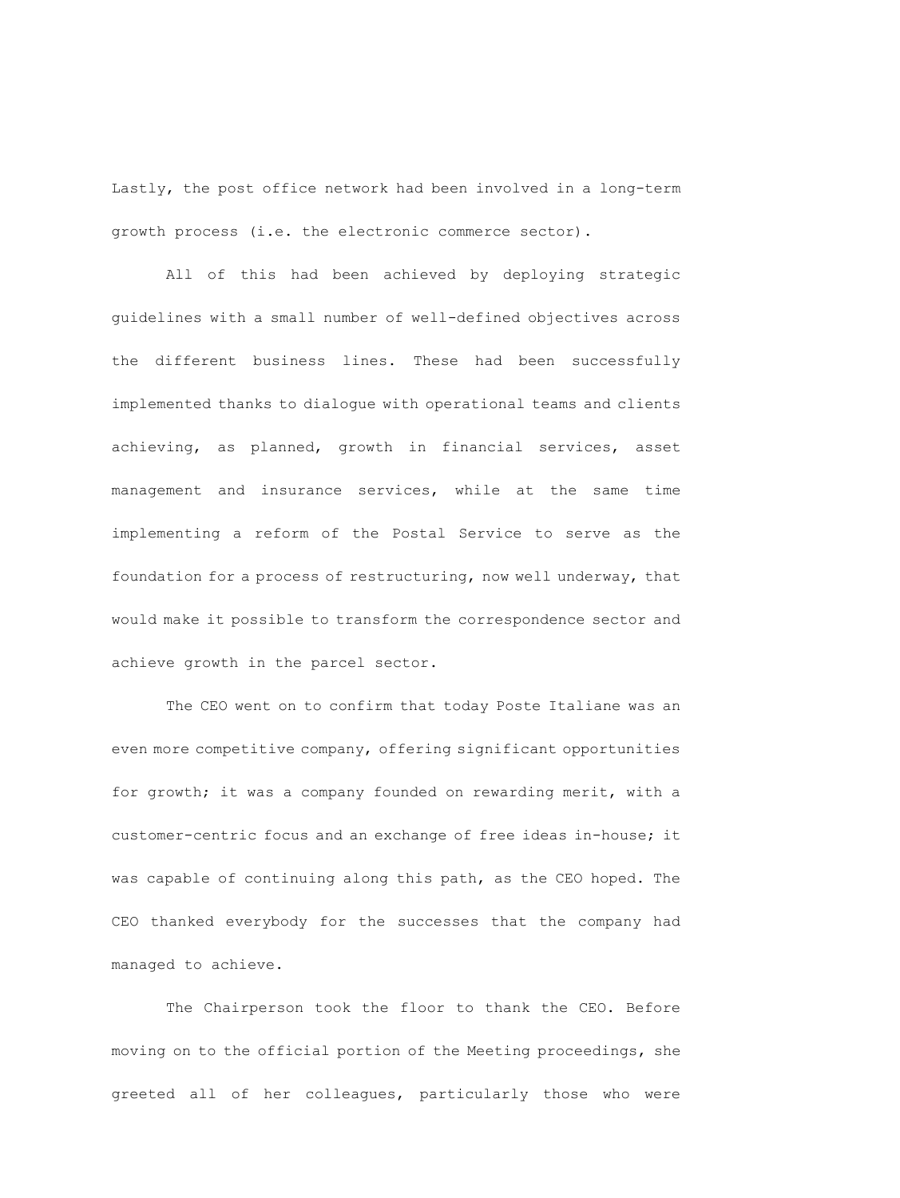Lastly, the post office network had been involved in a long-term growth process (i.e. the electronic commerce sector).

All of this had been achieved by deploying strategic guidelines with a small number of well-defined objectives across the different business lines. These had been successfully implemented thanks to dialogue with operational teams and clients achieving, as planned, growth in financial services, asset management and insurance services, while at the same time implementing a reform of the Postal Service to serve as the foundation for a process of restructuring, now well underway, that would make it possible to transform the correspondence sector and achieve growth in the parcel sector.

The CEO went on to confirm that today Poste Italiane was an even more competitive company, offering significant opportunities for growth; it was a company founded on rewarding merit, with a customer-centric focus and an exchange of free ideas in-house; it was capable of continuing along this path, as the CEO hoped. The CEO thanked everybody for the successes that the company had managed to achieve.

The Chairperson took the floor to thank the CEO. Before moving on to the official portion of the Meeting proceedings, she greeted all of her colleagues, particularly those who were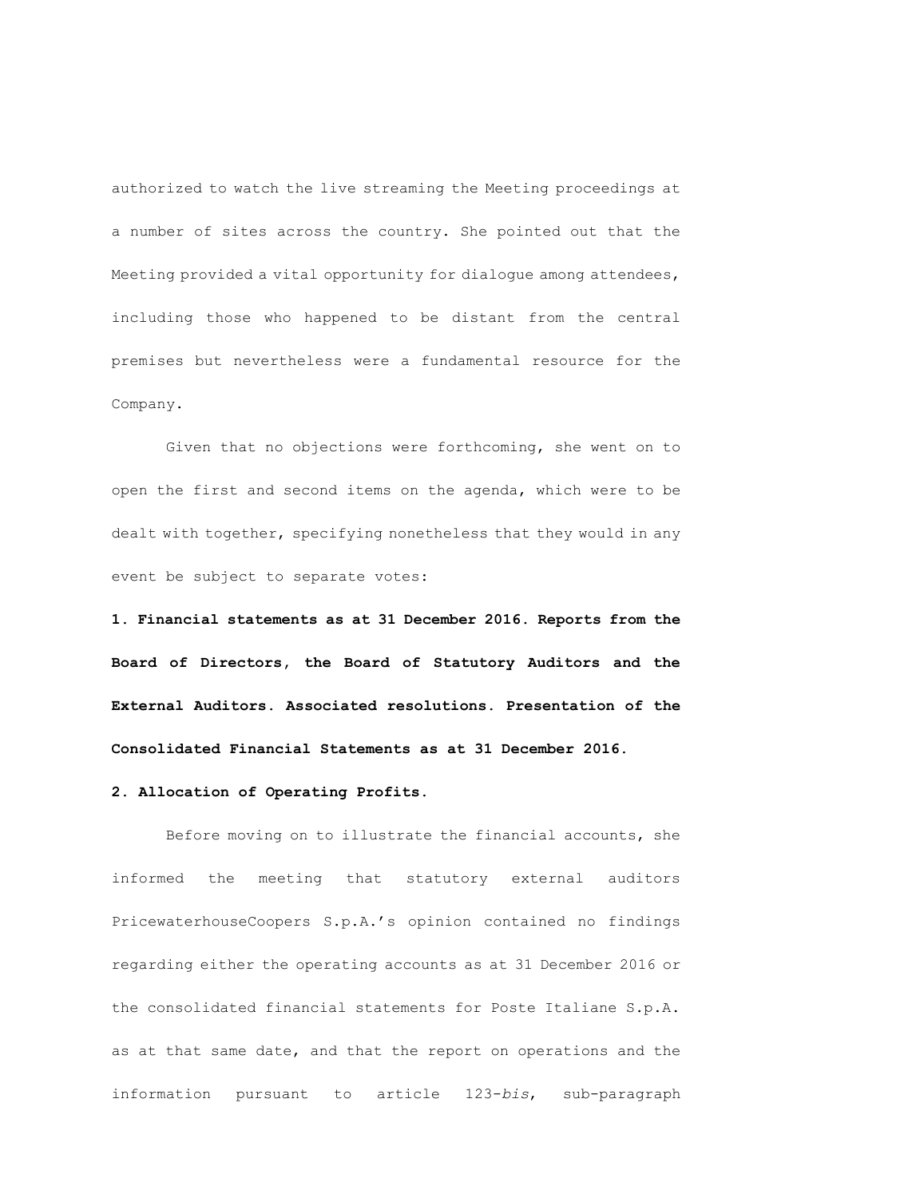authorized to watch the live streaming the Meeting proceedings at a number of sites across the country. She pointed out that the Meeting provided a vital opportunity for dialogue among attendees, including those who happened to be distant from the central premises but nevertheless were a fundamental resource for the Company.

Given that no objections were forthcoming, she went on to open the first and second items on the agenda, which were to be dealt with together, specifying nonetheless that they would in any event be subject to separate votes:

**1. Financial statements as at 31 December 2016. Reports from the Board of Directors, the Board of Statutory Auditors and the External Auditors. Associated resolutions. Presentation of the Consolidated Financial Statements as at 31 December 2016.**

# **2. Allocation of Operating Profits.**

Before moving on to illustrate the financial accounts, she informed the meeting that statutory external auditors PricewaterhouseCoopers S.p.A.'s opinion contained no findings regarding either the operating accounts as at 31 December 2016 or the consolidated financial statements for Poste Italiane S.p.A. as at that same date, and that the report on operations and the information pursuant to article 123-*bis*, sub-paragraph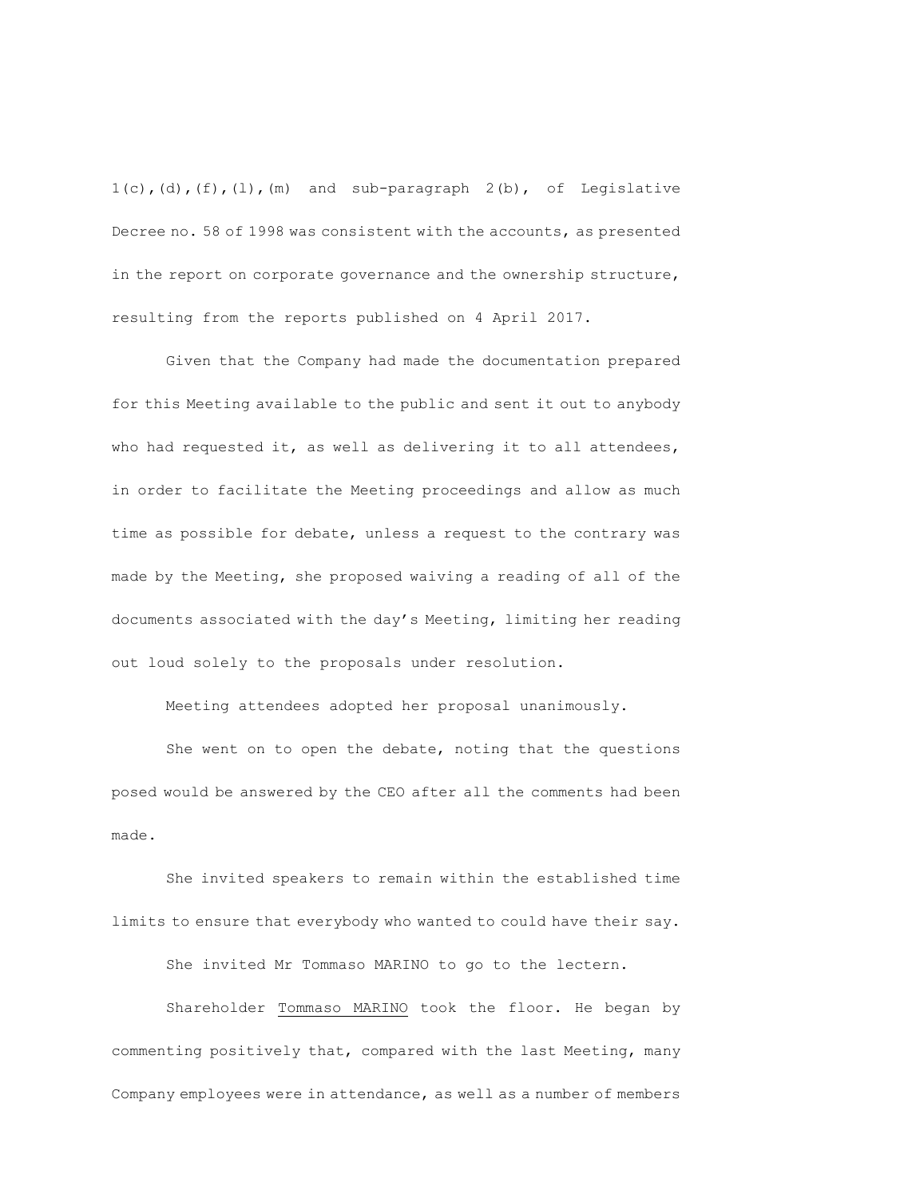$1(c)$ , (d), (f), (l), (m) and sub-paragraph  $2(b)$ , of Legislative Decree no. 58 of 1998 was consistent with the accounts, as presented in the report on corporate governance and the ownership structure, resulting from the reports published on 4 April 2017.

Given that the Company had made the documentation prepared for this Meeting available to the public and sent it out to anybody who had requested it, as well as delivering it to all attendees, in order to facilitate the Meeting proceedings and allow as much time as possible for debate, unless a request to the contrary was made by the Meeting, she proposed waiving a reading of all of the documents associated with the day's Meeting, limiting her reading out loud solely to the proposals under resolution.

Meeting attendees adopted her proposal unanimously.

She went on to open the debate, noting that the questions posed would be answered by the CEO after all the comments had been made.

She invited speakers to remain within the established time limits to ensure that everybody who wanted to could have their say.

She invited Mr Tommaso MARINO to go to the lectern.

Shareholder Tommaso MARINO took the floor. He began by commenting positively that, compared with the last Meeting, many Company employees were in attendance, as well as a number of members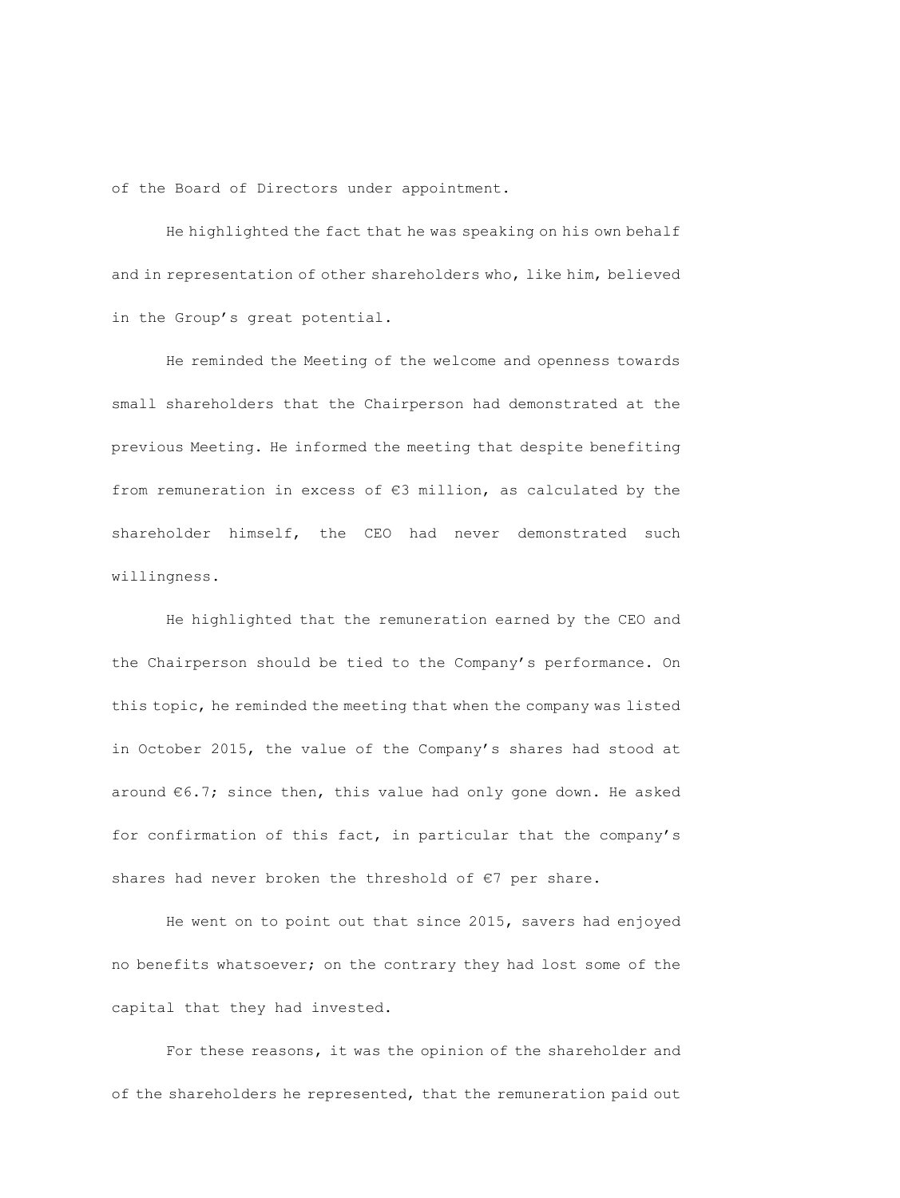of the Board of Directors under appointment.

He highlighted the fact that he was speaking on his own behalf and in representation of other shareholders who, like him, believed in the Group's great potential.

He reminded the Meeting of the welcome and openness towards small shareholders that the Chairperson had demonstrated at the previous Meeting. He informed the meeting that despite benefiting from remuneration in excess of €3 million, as calculated by the shareholder himself, the CEO had never demonstrated such willingness.

He highlighted that the remuneration earned by the CEO and the Chairperson should be tied to the Company's performance. On this topic, he reminded the meeting that when the company was listed in October 2015, the value of the Company's shares had stood at around €6.7; since then, this value had only gone down. He asked for confirmation of this fact, in particular that the company's shares had never broken the threshold of €7 per share.

He went on to point out that since 2015, savers had enjoyed no benefits whatsoever; on the contrary they had lost some of the capital that they had invested.

For these reasons, it was the opinion of the shareholder and of the shareholders he represented, that the remuneration paid out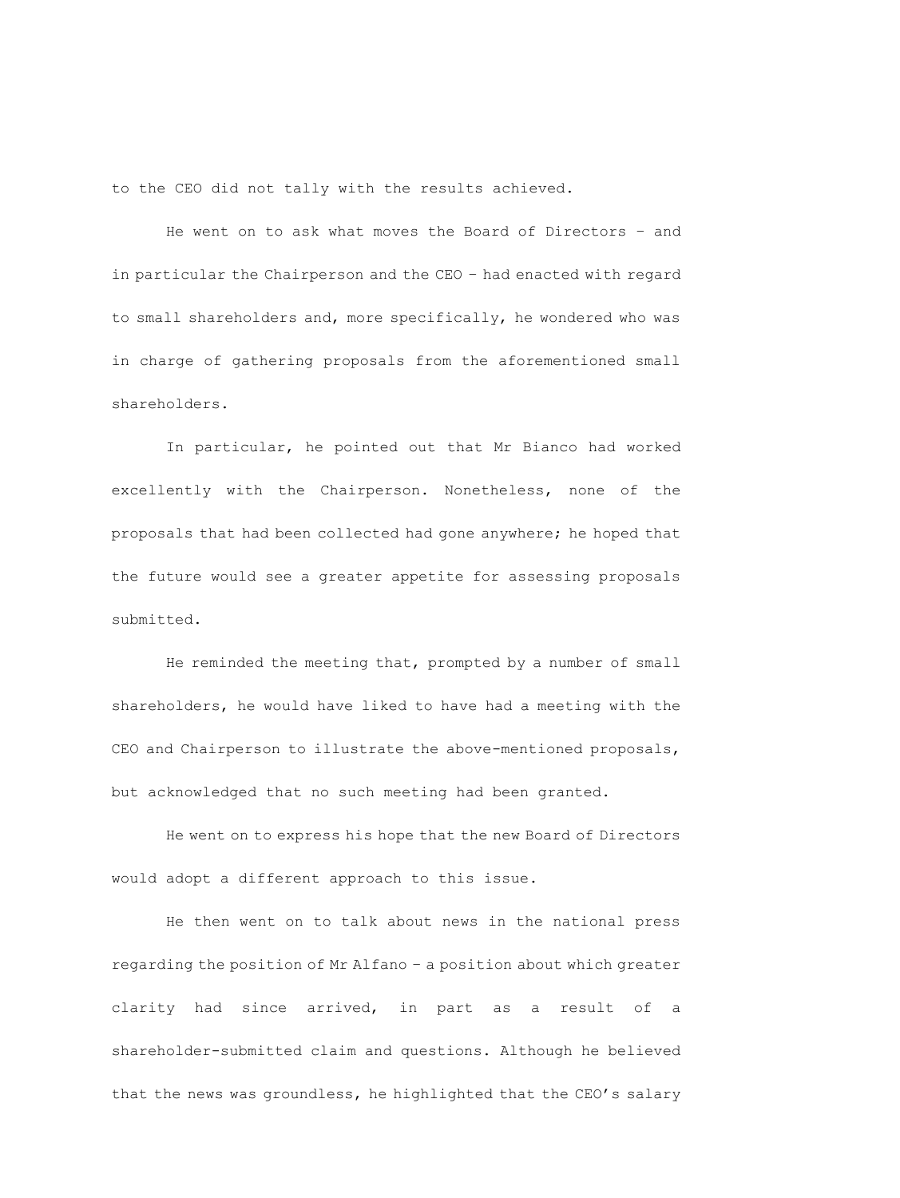to the CEO did not tally with the results achieved.

He went on to ask what moves the Board of Directors – and in particular the Chairperson and the CEO – had enacted with regard to small shareholders and, more specifically, he wondered who was in charge of gathering proposals from the aforementioned small shareholders.

In particular, he pointed out that Mr Bianco had worked excellently with the Chairperson. Nonetheless, none of the proposals that had been collected had gone anywhere; he hoped that the future would see a greater appetite for assessing proposals submitted.

He reminded the meeting that, prompted by a number of small shareholders, he would have liked to have had a meeting with the CEO and Chairperson to illustrate the above-mentioned proposals, but acknowledged that no such meeting had been granted.

He went on to express his hope that the new Board of Directors would adopt a different approach to this issue.

He then went on to talk about news in the national press regarding the position of Mr Alfano – a position about which greater clarity had since arrived, in part as a result of a shareholder-submitted claim and questions. Although he believed that the news was groundless, he highlighted that the CEO's salary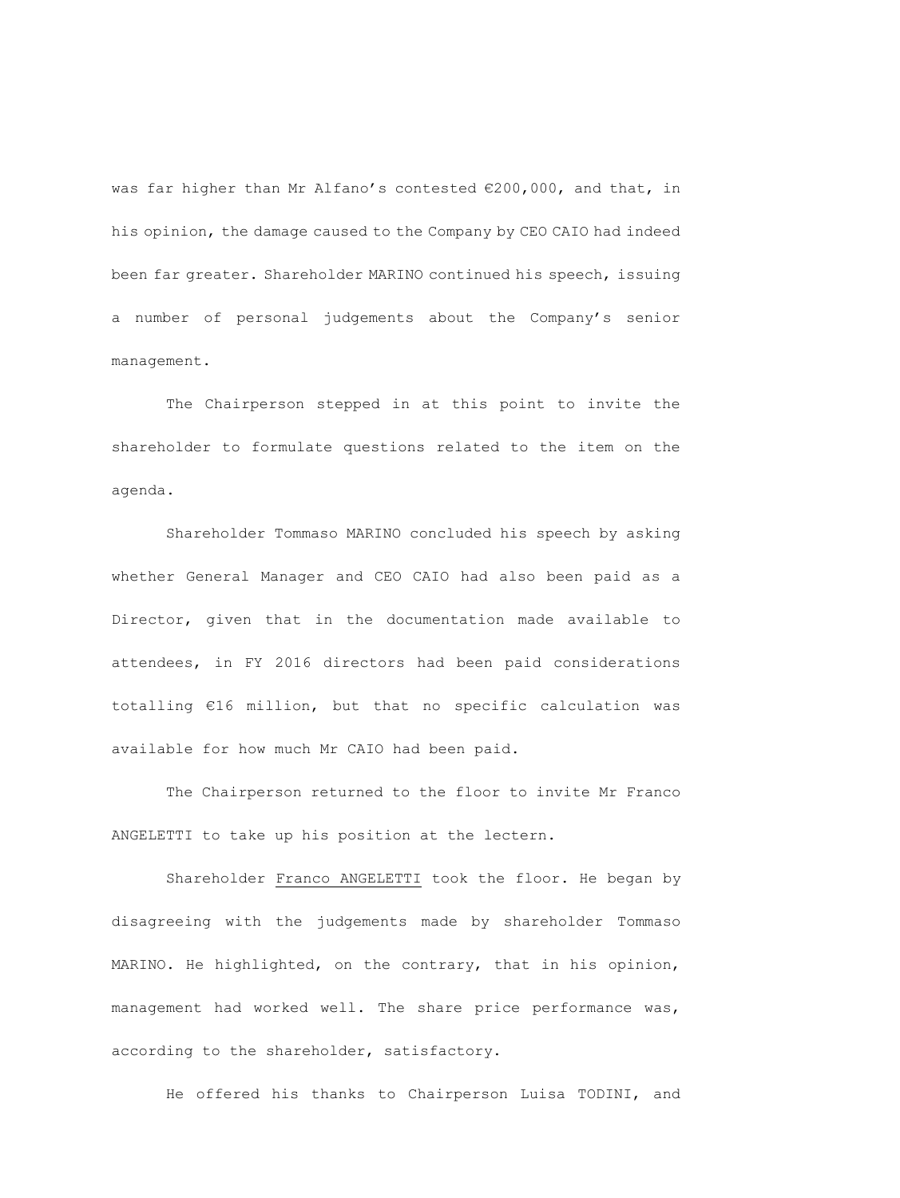was far higher than Mr Alfano's contested €200,000, and that, in his opinion, the damage caused to the Company by CEO CAIO had indeed been far greater. Shareholder MARINO continued his speech, issuing a number of personal judgements about the Company's senior management.

The Chairperson stepped in at this point to invite the shareholder to formulate questions related to the item on the agenda.

Shareholder Tommaso MARINO concluded his speech by asking whether General Manager and CEO CAIO had also been paid as a Director, given that in the documentation made available to attendees, in FY 2016 directors had been paid considerations totalling €16 million, but that no specific calculation was available for how much Mr CAIO had been paid.

The Chairperson returned to the floor to invite Mr Franco ANGELETTI to take up his position at the lectern.

Shareholder Franco ANGELETTI took the floor. He began by disagreeing with the judgements made by shareholder Tommaso MARINO. He highlighted, on the contrary, that in his opinion, management had worked well. The share price performance was, according to the shareholder, satisfactory.

He offered his thanks to Chairperson Luisa TODINI, and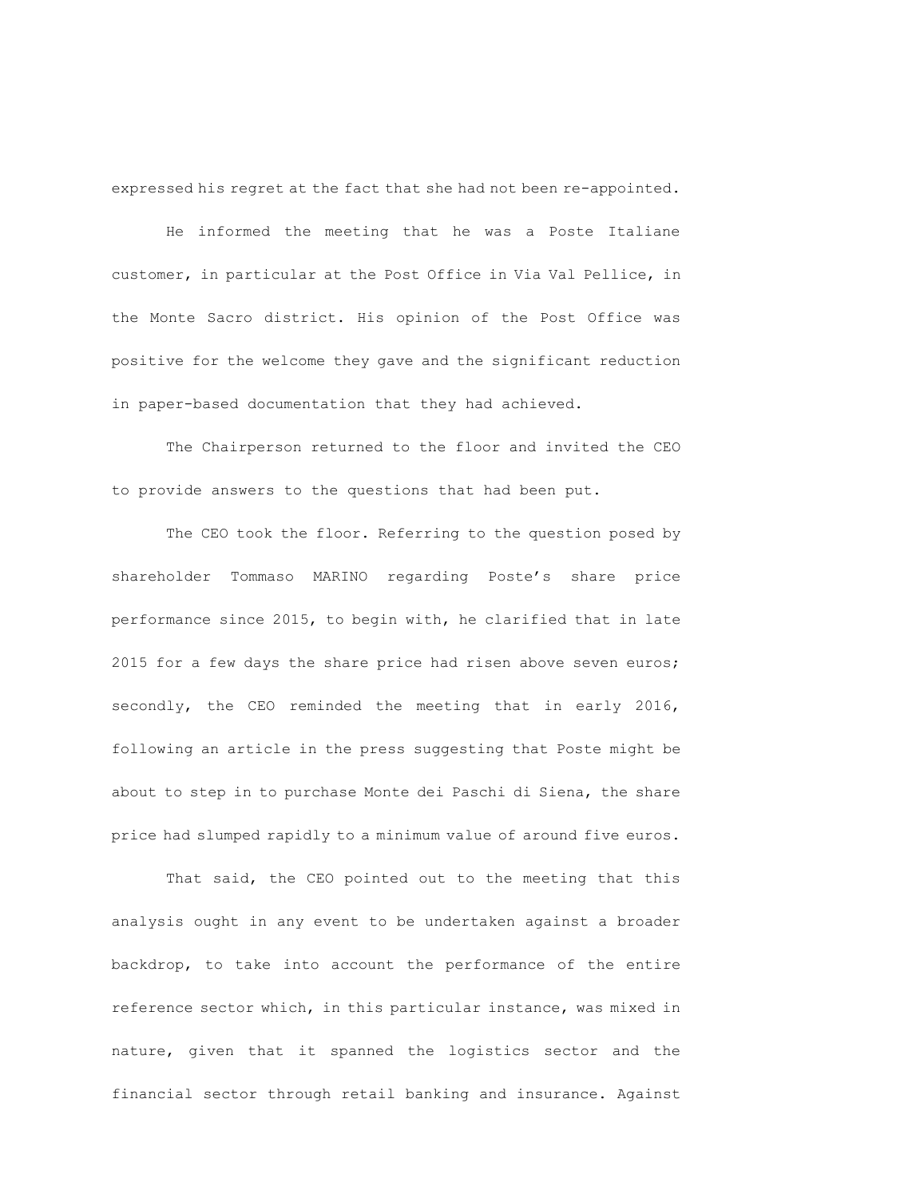expressed his regret at the fact that she had not been re-appointed.

He informed the meeting that he was a Poste Italiane customer, in particular at the Post Office in Via Val Pellice, in the Monte Sacro district. His opinion of the Post Office was positive for the welcome they gave and the significant reduction in paper-based documentation that they had achieved.

The Chairperson returned to the floor and invited the CEO to provide answers to the questions that had been put.

The CEO took the floor. Referring to the question posed by shareholder Tommaso MARINO regarding Poste's share price performance since 2015, to begin with, he clarified that in late 2015 for a few days the share price had risen above seven euros; secondly, the CEO reminded the meeting that in early 2016, following an article in the press suggesting that Poste might be about to step in to purchase Monte dei Paschi di Siena, the share price had slumped rapidly to a minimum value of around five euros.

That said, the CEO pointed out to the meeting that this analysis ought in any event to be undertaken against a broader backdrop, to take into account the performance of the entire reference sector which, in this particular instance, was mixed in nature, given that it spanned the logistics sector and the financial sector through retail banking and insurance. Against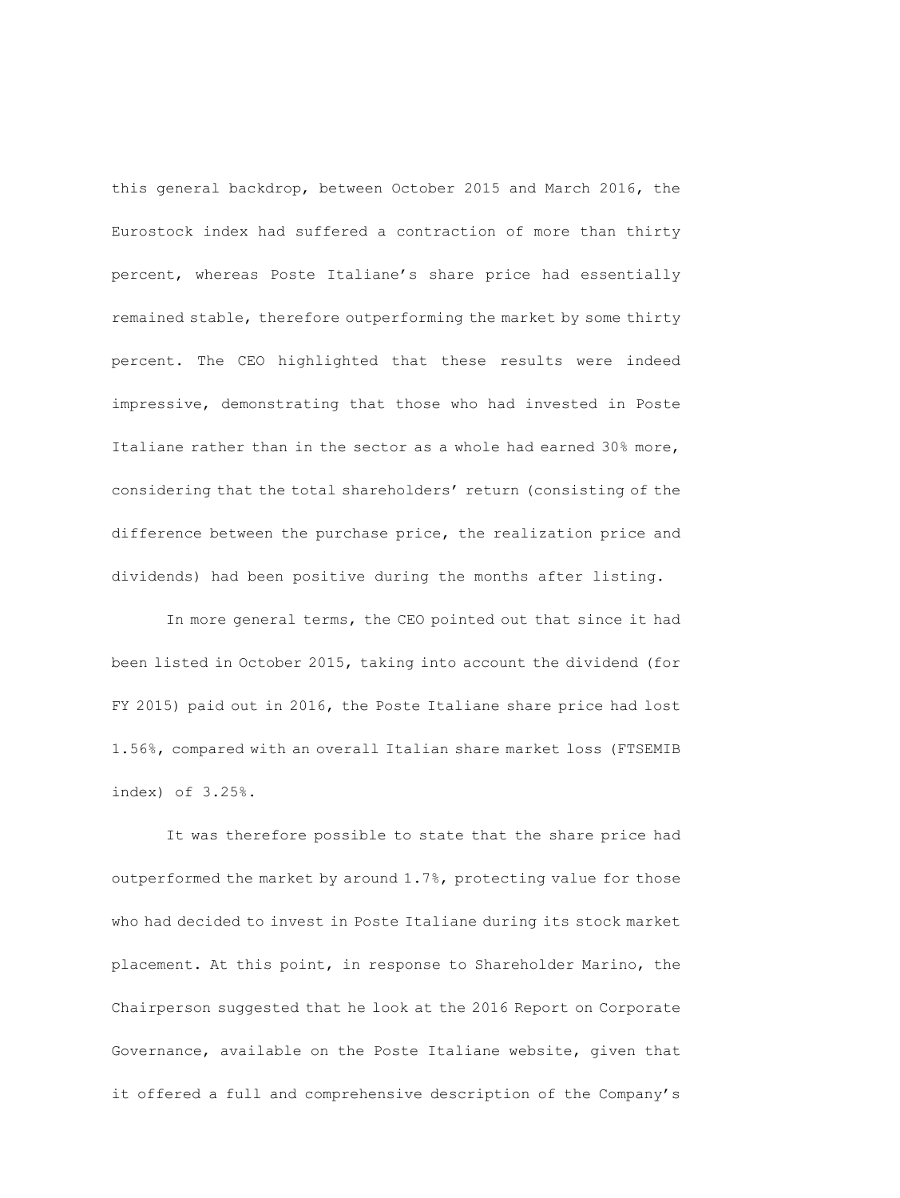this general backdrop, between October 2015 and March 2016, the Eurostock index had suffered a contraction of more than thirty percent, whereas Poste Italiane's share price had essentially remained stable, therefore outperforming the market by some thirty percent. The CEO highlighted that these results were indeed impressive, demonstrating that those who had invested in Poste Italiane rather than in the sector as a whole had earned 30% more, considering that the total shareholders' return (consisting of the difference between the purchase price, the realization price and dividends) had been positive during the months after listing.

In more general terms, the CEO pointed out that since it had been listed in October 2015, taking into account the dividend (for FY 2015) paid out in 2016, the Poste Italiane share price had lost 1.56%, compared with an overall Italian share market loss (FTSEMIB index) of 3.25%.

It was therefore possible to state that the share price had outperformed the market by around 1.7%, protecting value for those who had decided to invest in Poste Italiane during its stock market placement. At this point, in response to Shareholder Marino, the Chairperson suggested that he look at the 2016 Report on Corporate Governance, available on the Poste Italiane website, given that it offered a full and comprehensive description of the Company's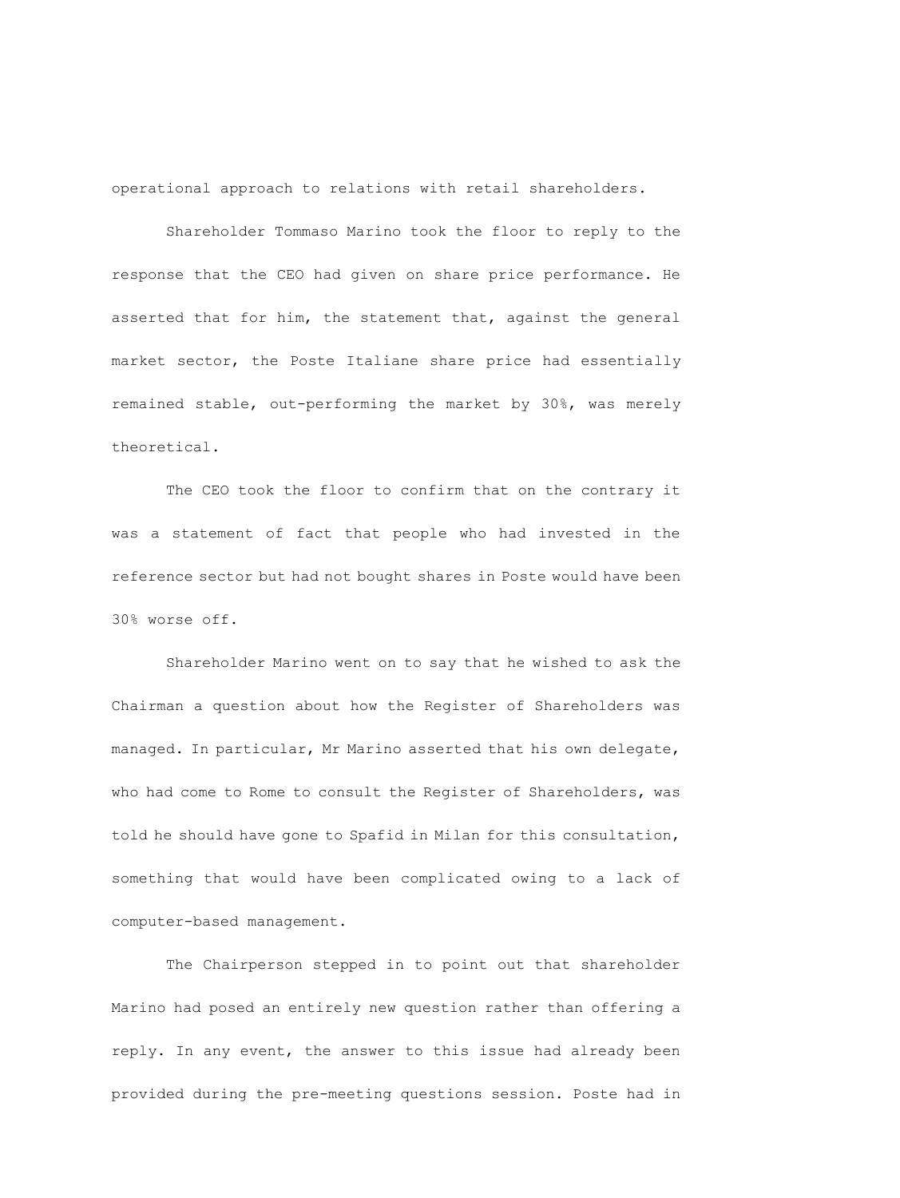operational approach to relations with retail shareholders.

Shareholder Tommaso Marino took the floor to reply to the response that the CEO had given on share price performance. He asserted that for him, the statement that, against the general market sector, the Poste Italiane share price had essentially remained stable, out-performing the market by 30%, was merely theoretical.

The CEO took the floor to confirm that on the contrary it was a statement of fact that people who had invested in the reference sector but had not bought shares in Poste would have been 30% worse off.

Shareholder Marino went on to say that he wished to ask the Chairman a question about how the Register of Shareholders was managed. In particular, Mr Marino asserted that his own delegate, who had come to Rome to consult the Register of Shareholders, was told he should have gone to Spafid in Milan for this consultation, something that would have been complicated owing to a lack of computer-based management.

The Chairperson stepped in to point out that shareholder Marino had posed an entirely new question rather than offering a reply. In any event, the answer to this issue had already been provided during the pre-meeting questions session. Poste had in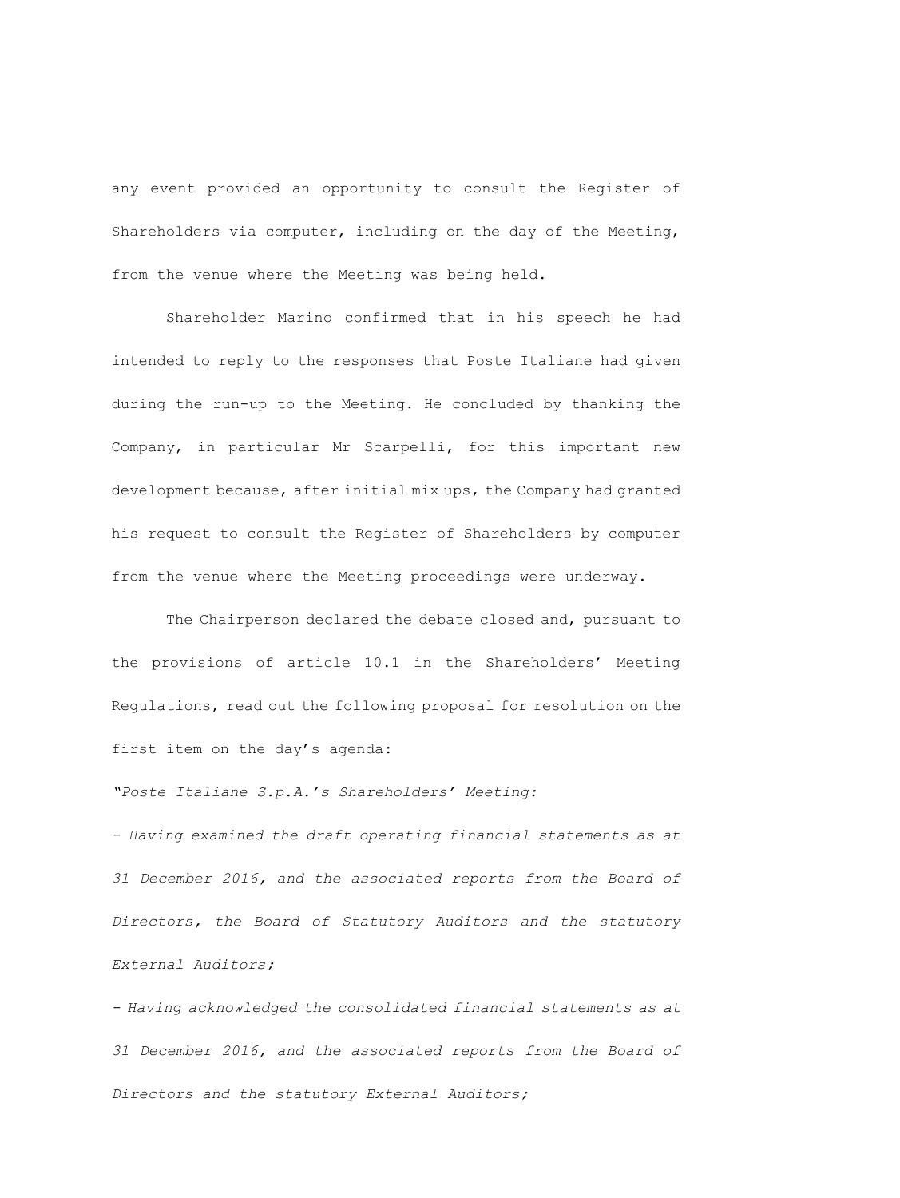any event provided an opportunity to consult the Register of Shareholders via computer, including on the day of the Meeting, from the venue where the Meeting was being held.

Shareholder Marino confirmed that in his speech he had intended to reply to the responses that Poste Italiane had given during the run-up to the Meeting. He concluded by thanking the Company, in particular Mr Scarpelli, for this important new development because, after initial mix ups, the Company had granted his request to consult the Register of Shareholders by computer from the venue where the Meeting proceedings were underway.

The Chairperson declared the debate closed and, pursuant to the provisions of article 10.1 in the Shareholders' Meeting Regulations, read out the following proposal for resolution on the first item on the day's agenda:

*"Poste Italiane S.p.A.'s Shareholders' Meeting:*

*- Having examined the draft operating financial statements as at 31 December 2016, and the associated reports from the Board of Directors, the Board of Statutory Auditors and the statutory External Auditors;*

*- Having acknowledged the consolidated financial statements as at 31 December 2016, and the associated reports from the Board of Directors and the statutory External Auditors;*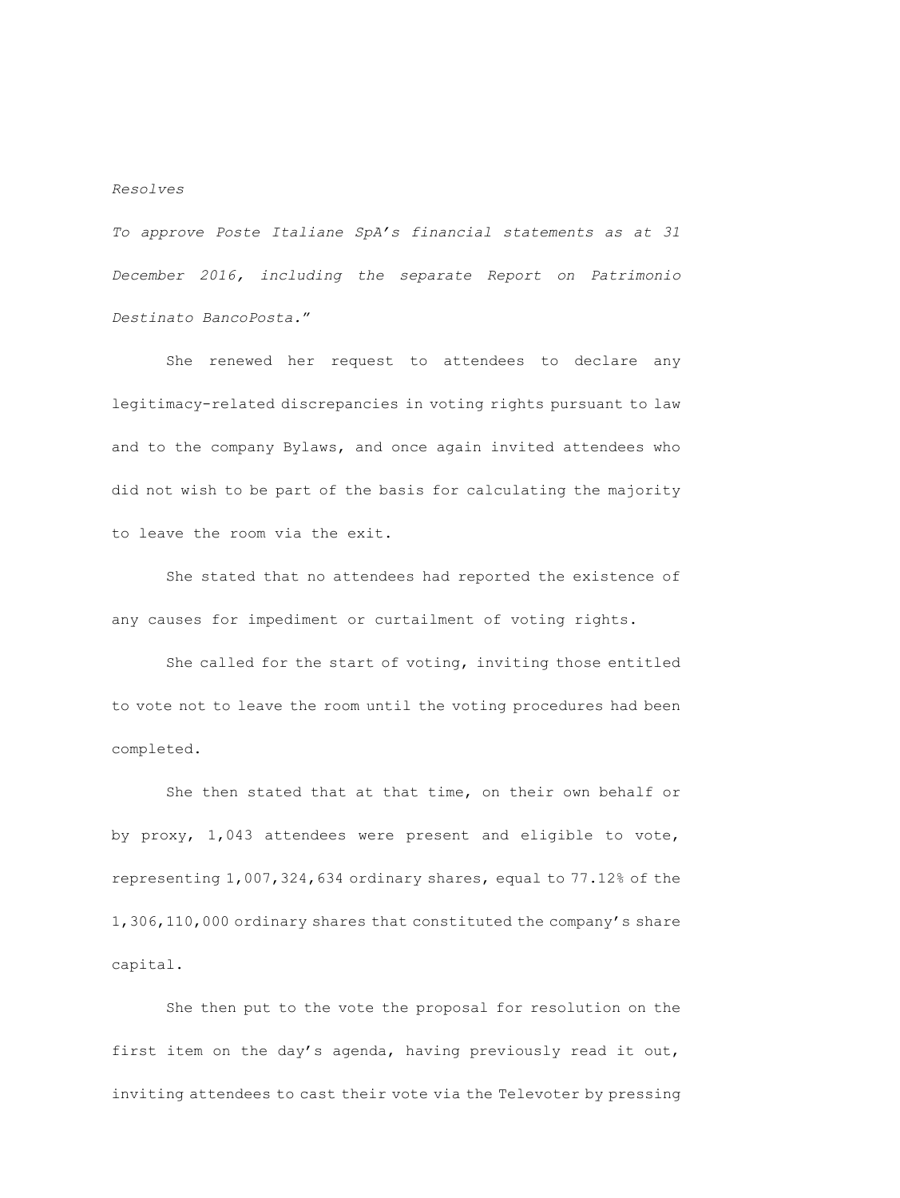#### *Resolves*

*To approve Poste Italiane SpA's financial statements as at 31 December 2016, including the separate Report on Patrimonio Destinato BancoPosta.*"

She renewed her request to attendees to declare any legitimacy-related discrepancies in voting rights pursuant to law and to the company Bylaws, and once again invited attendees who did not wish to be part of the basis for calculating the majority to leave the room via the exit.

She stated that no attendees had reported the existence of any causes for impediment or curtailment of voting rights.

She called for the start of voting, inviting those entitled to vote not to leave the room until the voting procedures had been completed.

She then stated that at that time, on their own behalf or by proxy, 1,043 attendees were present and eligible to vote, representing 1,007,324,634 ordinary shares, equal to 77.12% of the 1,306,110,000 ordinary shares that constituted the company's share capital.

She then put to the vote the proposal for resolution on the first item on the day's agenda, having previously read it out, inviting attendees to cast their vote via the Televoter by pressing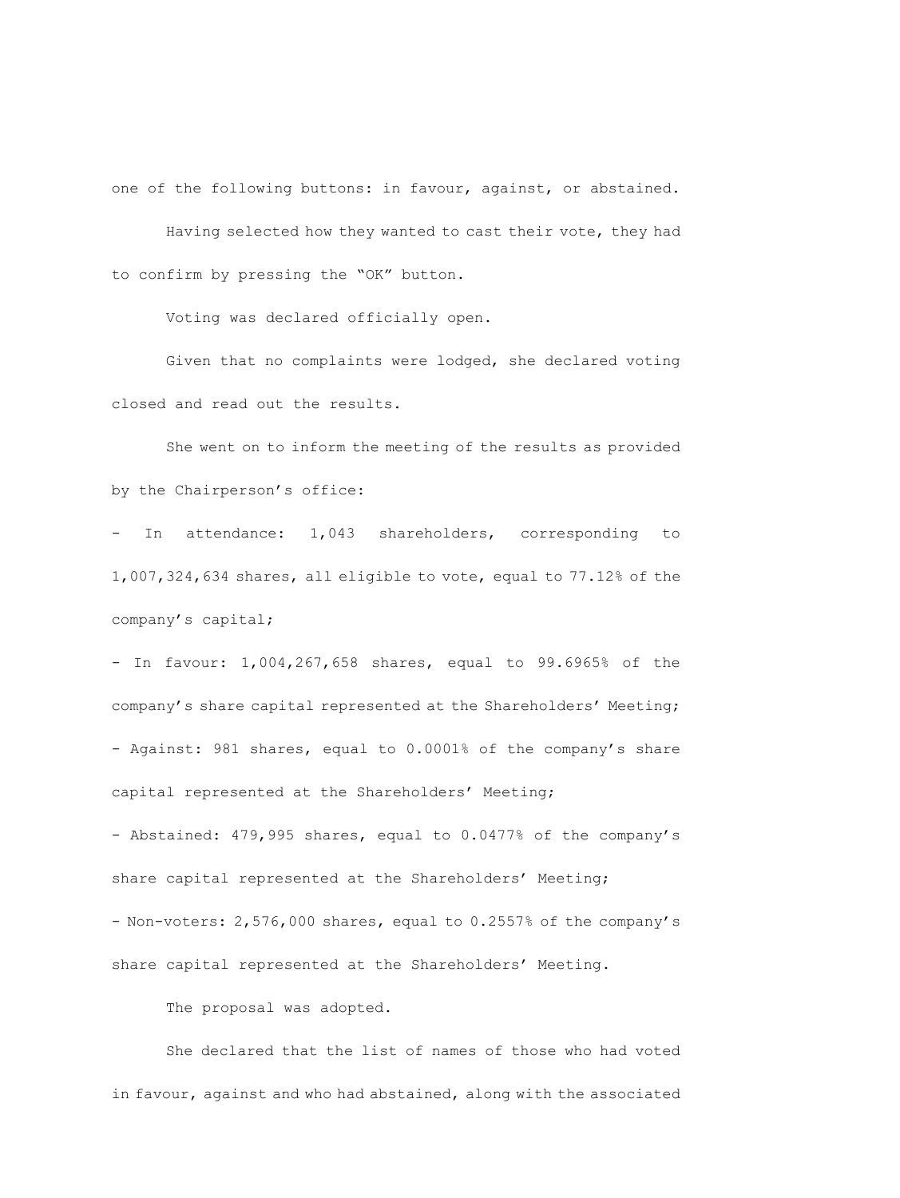one of the following buttons: in favour, against, or abstained.

Having selected how they wanted to cast their vote, they had to confirm by pressing the "OK" button.

Voting was declared officially open.

Given that no complaints were lodged, she declared voting closed and read out the results.

She went on to inform the meeting of the results as provided by the Chairperson's office:

- In attendance: 1,043 shareholders, corresponding to 1,007,324,634 shares, all eligible to vote, equal to 77.12% of the company's capital;

- In favour: 1,004,267,658 shares, equal to 99.6965% of the company's share capital represented at the Shareholders' Meeting; - Against: 981 shares, equal to 0.0001% of the company's share capital represented at the Shareholders' Meeting;

- Abstained: 479,995 shares, equal to 0.0477% of the company's share capital represented at the Shareholders' Meeting; - Non-voters: 2,576,000 shares, equal to 0.2557% of the company's share capital represented at the Shareholders' Meeting.

The proposal was adopted.

She declared that the list of names of those who had voted in favour, against and who had abstained, along with the associated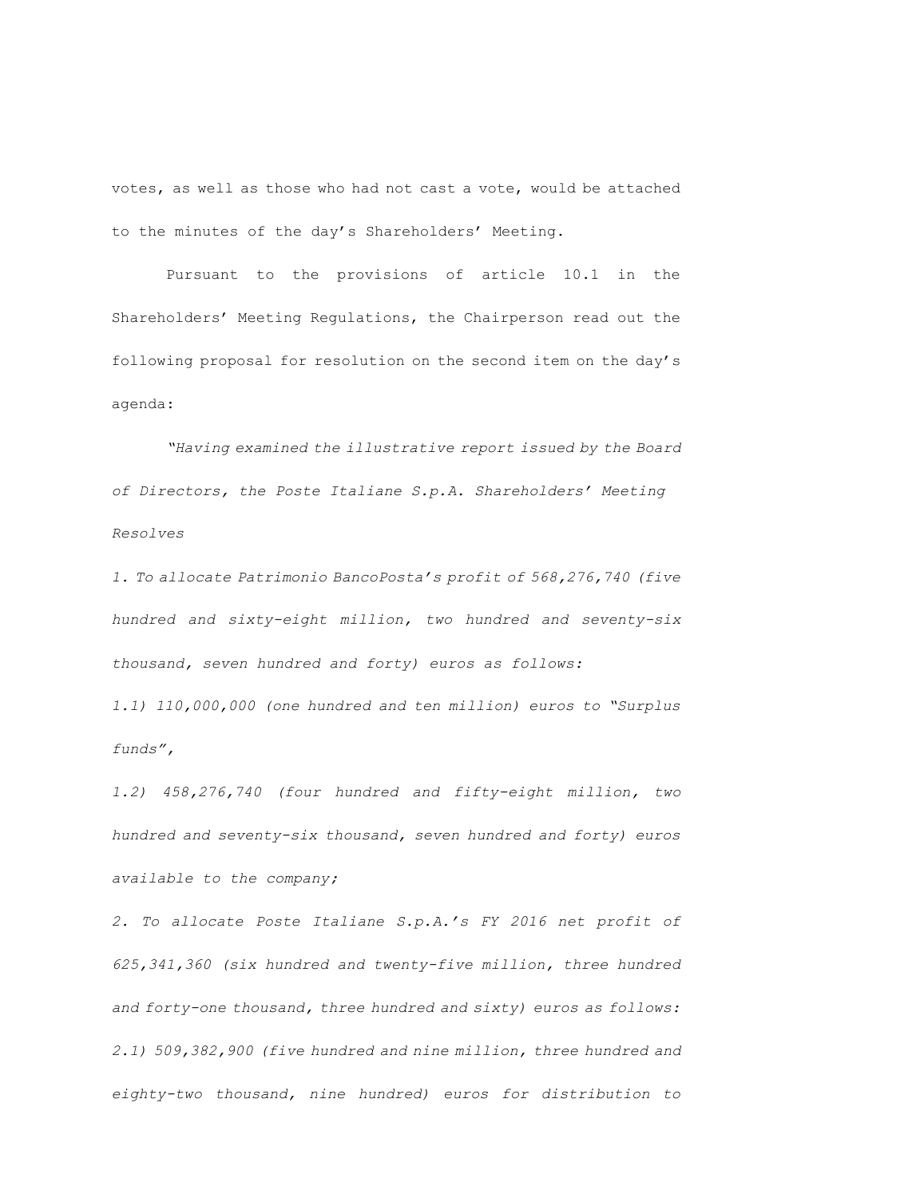votes, as well as those who had not cast a vote, would be attached to the minutes of the day's Shareholders' Meeting.

Pursuant to the provisions of article 10.1 in the Shareholders' Meeting Regulations, the Chairperson read out the following proposal for resolution on the second item on the day's agenda:

*"Having examined the illustrative report issued by the Board of Directors, the Poste Italiane S.p.A. Shareholders' Meeting Resolves*

*1. To allocate Patrimonio BancoPosta's profit of 568,276,740 (five hundred and sixty-eight million, two hundred and seventy-six thousand, seven hundred and forty) euros as follows: 1.1) 110,000,000 (one hundred and ten million) euros to "Surplus funds",*

*1.2) 458,276,740 (four hundred and fifty-eight million, two hundred and seventy-six thousand, seven hundred and forty) euros available to the company;*

*2. To allocate Poste Italiane S.p.A.'s FY 2016 net profit of 625,341,360 (six hundred and twenty-five million, three hundred and forty-one thousand, three hundred and sixty) euros as follows: 2.1) 509,382,900 (five hundred and nine million, three hundred and eighty-two thousand, nine hundred) euros for distribution to*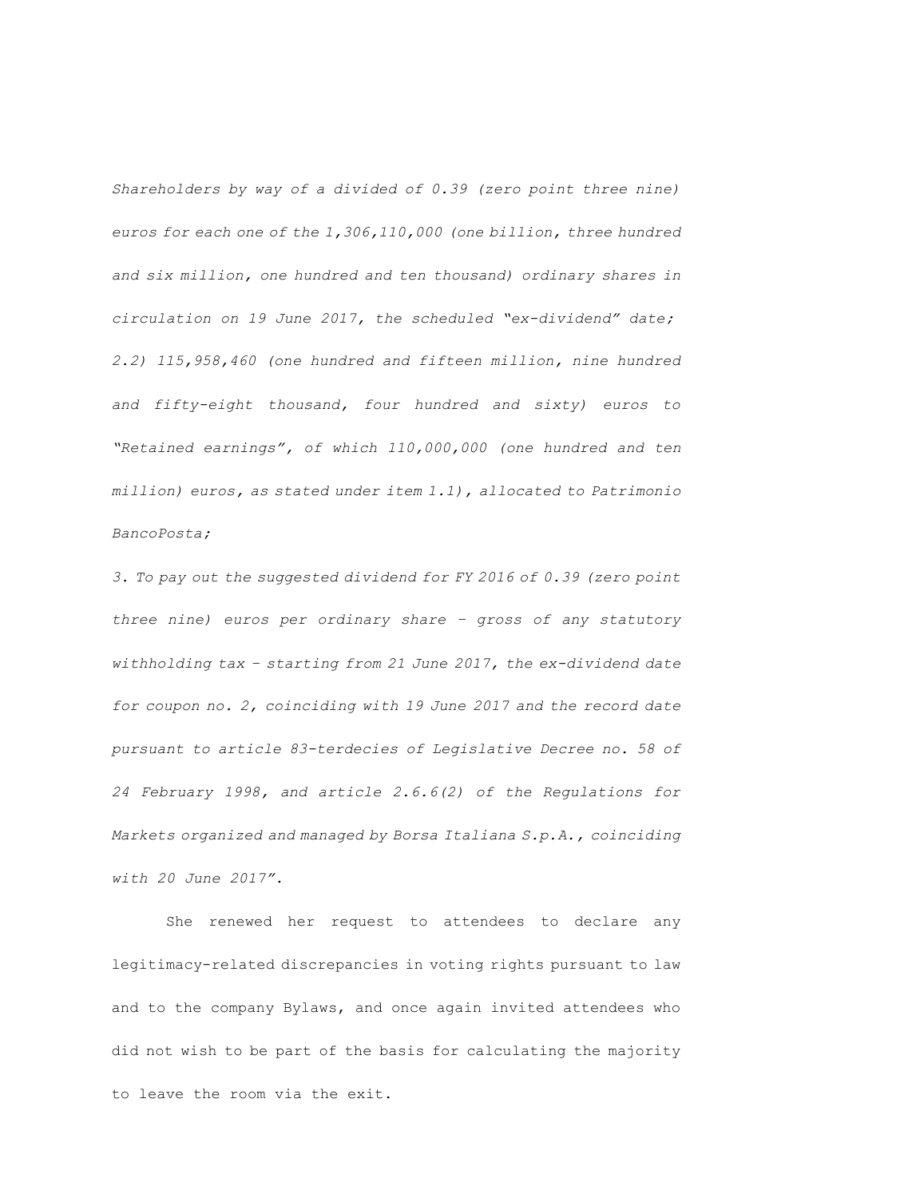*Shareholders by way of a divided of 0.39 (zero point three nine) euros for each one of the 1,306,110,000 (one billion, three hundred and six million, one hundred and ten thousand) ordinary shares in circulation on 19 June 2017, the scheduled "ex-dividend" date; 2.2) 115,958,460 (one hundred and fifteen million, nine hundred and fifty-eight thousand, four hundred and sixty) euros to "Retained earnings", of which 110,000,000 (one hundred and ten million) euros, as stated under item 1.1), allocated to Patrimonio BancoPosta;*

*3. To pay out the suggested dividend for FY 2016 of 0.39 (zero point three nine) euros per ordinary share – gross of any statutory withholding tax – starting from 21 June 2017, the ex-dividend date for coupon no. 2, coinciding with 19 June 2017 and the record date pursuant to article 83-terdecies of Legislative Decree no. 58 of 24 February 1998, and article 2.6.6(2) of the Regulations for Markets organized and managed by Borsa Italiana S.p.A., coinciding with 20 June 2017".*

She renewed her request to attendees to declare any legitimacy-related discrepancies in voting rights pursuant to law and to the company Bylaws, and once again invited attendees who did not wish to be part of the basis for calculating the majority to leave the room via the exit.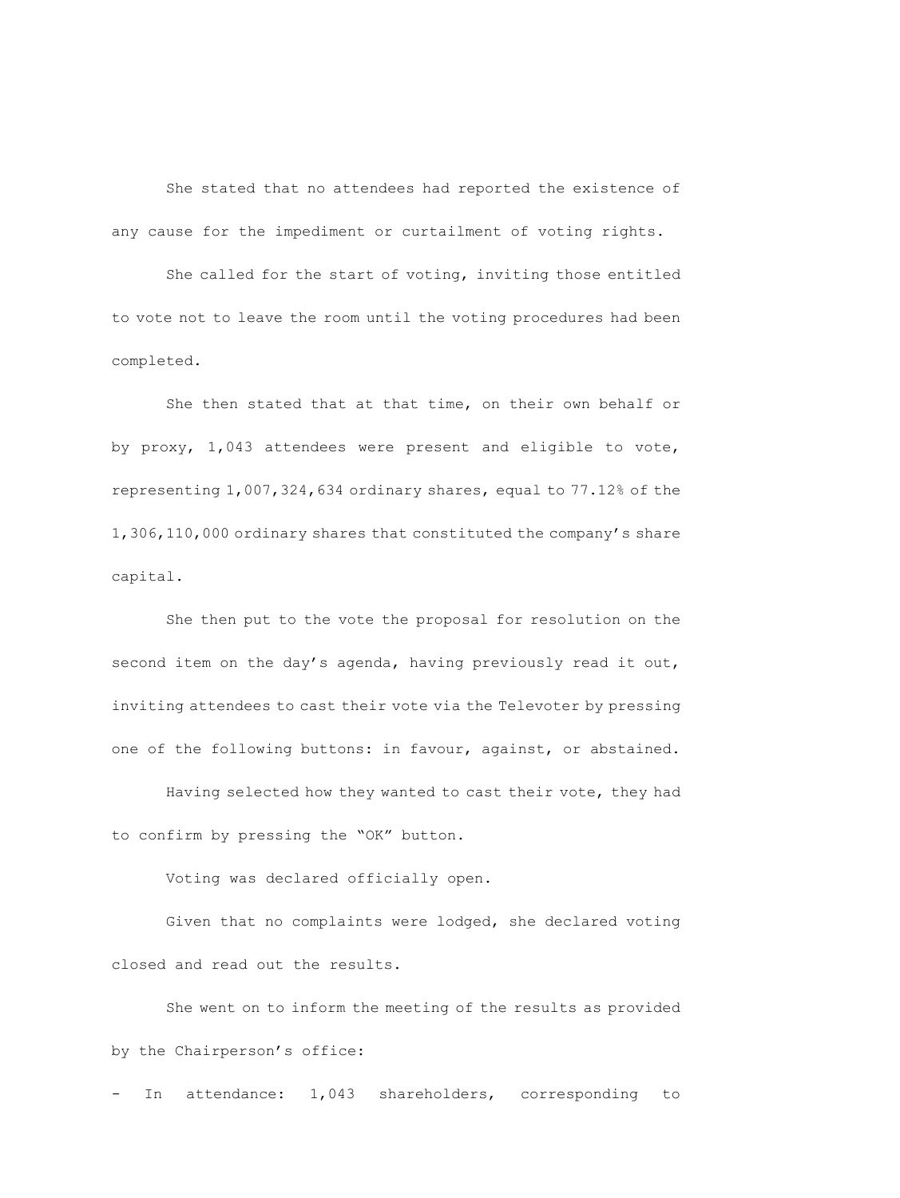She stated that no attendees had reported the existence of any cause for the impediment or curtailment of voting rights.

She called for the start of voting, inviting those entitled to vote not to leave the room until the voting procedures had been completed.

She then stated that at that time, on their own behalf or by proxy, 1,043 attendees were present and eligible to vote, representing 1,007,324,634 ordinary shares, equal to 77.12% of the 1,306,110,000 ordinary shares that constituted the company's share capital.

She then put to the vote the proposal for resolution on the second item on the day's agenda, having previously read it out, inviting attendees to cast their vote via the Televoter by pressing one of the following buttons: in favour, against, or abstained.

Having selected how they wanted to cast their vote, they had to confirm by pressing the "OK" button.

Voting was declared officially open.

Given that no complaints were lodged, she declared voting closed and read out the results.

She went on to inform the meeting of the results as provided by the Chairperson's office:

- In attendance: 1,043 shareholders, corresponding to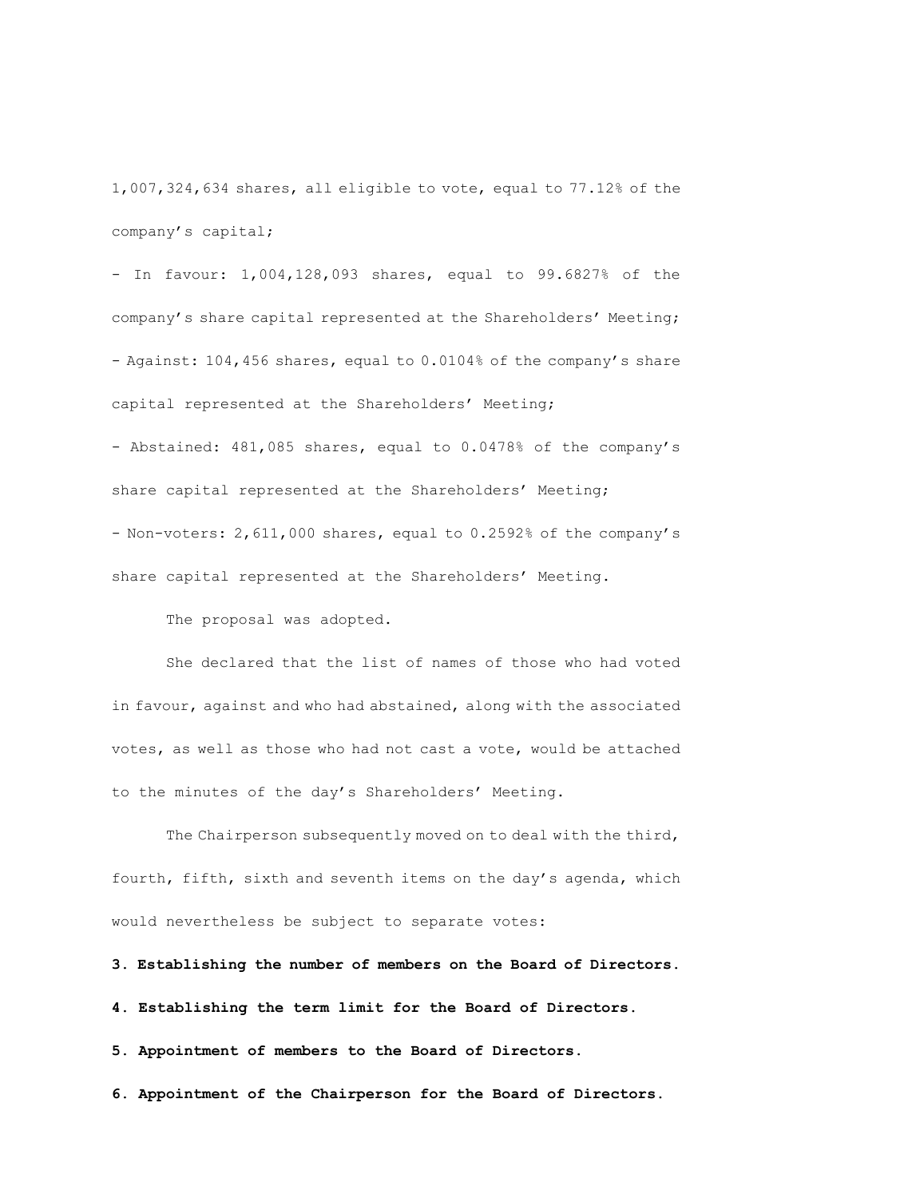1,007,324,634 shares, all eligible to vote, equal to 77.12% of the company's capital;

- In favour: 1,004,128,093 shares, equal to 99.6827% of the company's share capital represented at the Shareholders' Meeting; - Against: 104,456 shares, equal to 0.0104% of the company's share capital represented at the Shareholders' Meeting;

- Abstained: 481,085 shares, equal to 0.0478% of the company's share capital represented at the Shareholders' Meeting; - Non-voters: 2,611,000 shares, equal to 0.2592% of the company's share capital represented at the Shareholders' Meeting.

The proposal was adopted.

She declared that the list of names of those who had voted in favour, against and who had abstained, along with the associated votes, as well as those who had not cast a vote, would be attached to the minutes of the day's Shareholders' Meeting.

The Chairperson subsequently moved on to deal with the third, fourth, fifth, sixth and seventh items on the day's agenda, which would nevertheless be subject to separate votes:

**3. Establishing the number of members on the Board of Directors.**

**4. Establishing the term limit for the Board of Directors.**

**5. Appointment of members to the Board of Directors.**

**6. Appointment of the Chairperson for the Board of Directors.**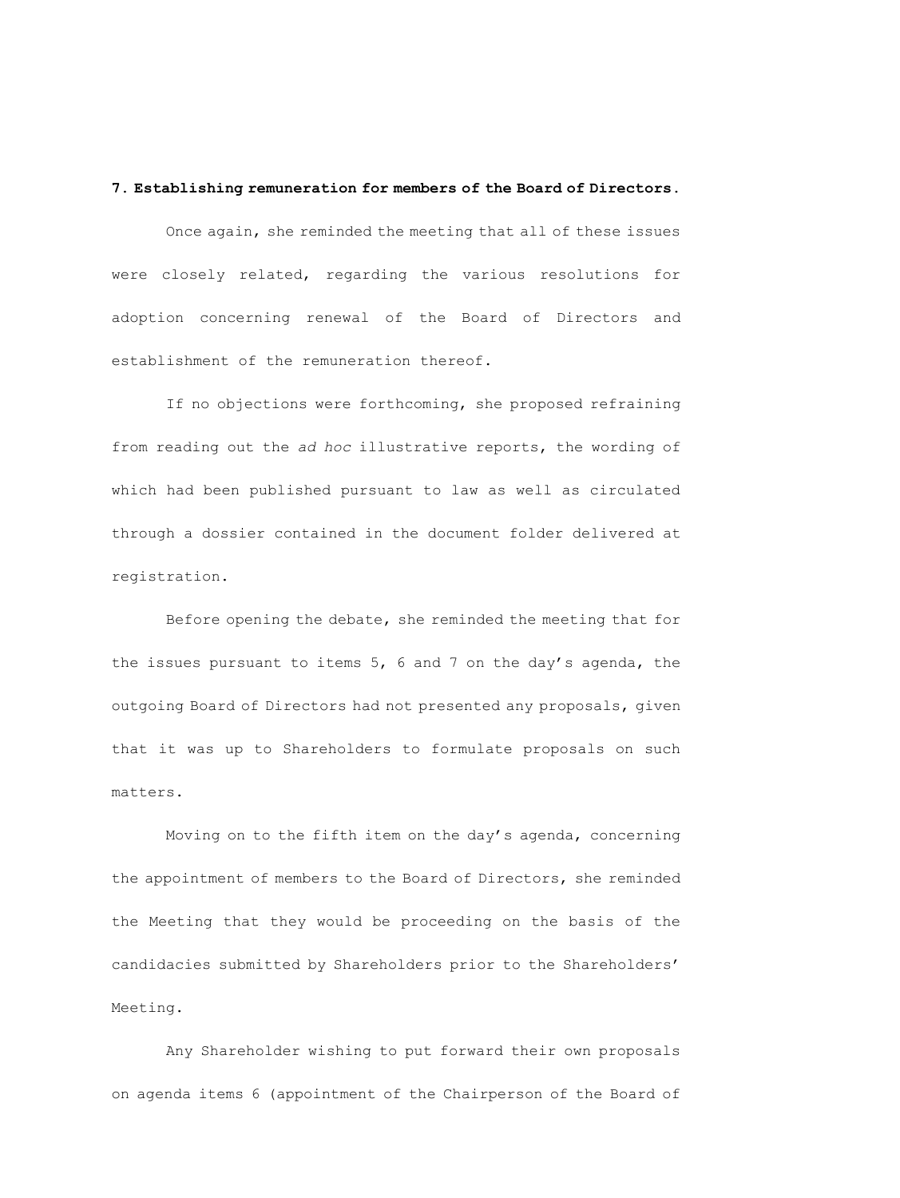# **7. Establishing remuneration for members of the Board of Directors.**

Once again, she reminded the meeting that all of these issues were closely related, regarding the various resolutions for adoption concerning renewal of the Board of Directors and establishment of the remuneration thereof.

If no objections were forthcoming, she proposed refraining from reading out the *ad hoc* illustrative reports, the wording of which had been published pursuant to law as well as circulated through a dossier contained in the document folder delivered at registration.

Before opening the debate, she reminded the meeting that for the issues pursuant to items 5, 6 and 7 on the day's agenda, the outgoing Board of Directors had not presented any proposals, given that it was up to Shareholders to formulate proposals on such matters.

Moving on to the fifth item on the day's agenda, concerning the appointment of members to the Board of Directors, she reminded the Meeting that they would be proceeding on the basis of the candidacies submitted by Shareholders prior to the Shareholders' Meeting.

Any Shareholder wishing to put forward their own proposals on agenda items 6 (appointment of the Chairperson of the Board of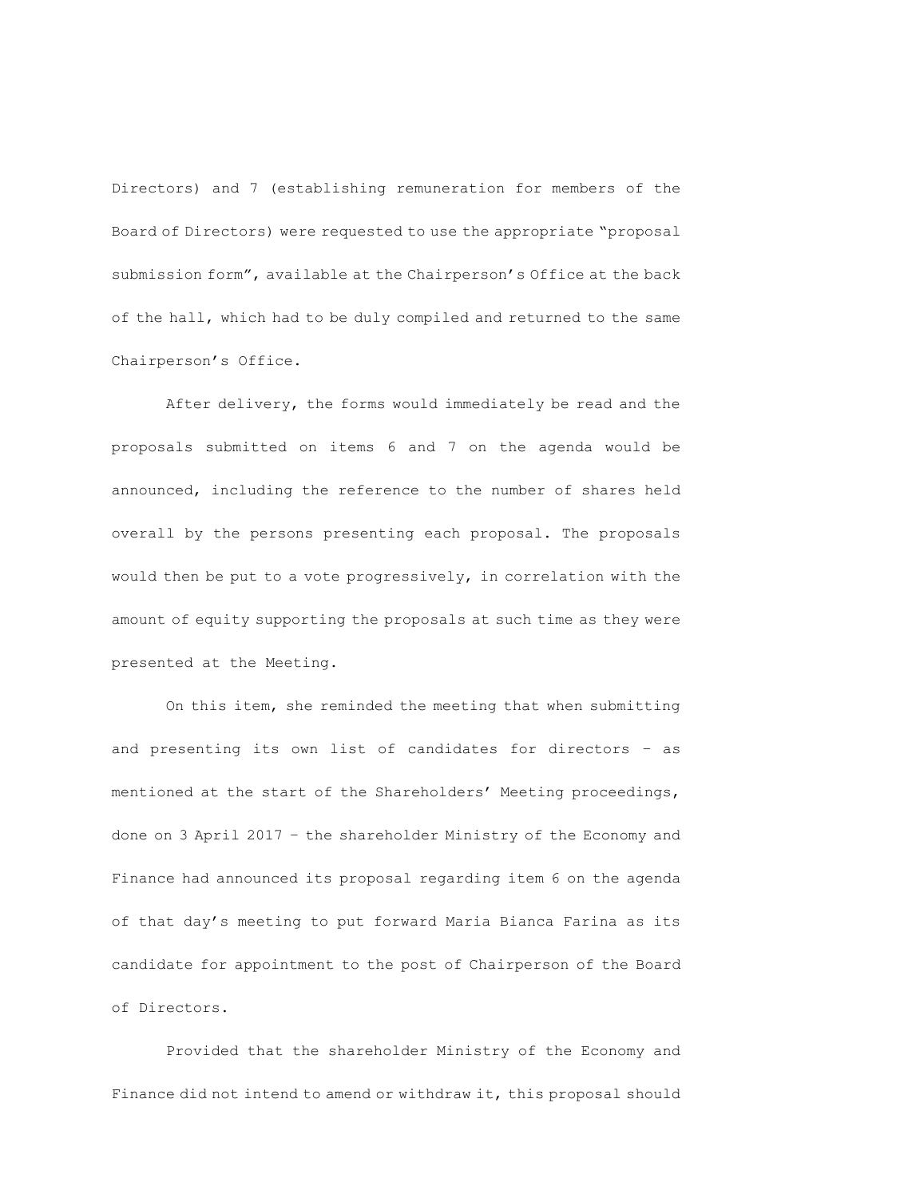Directors) and 7 (establishing remuneration for members of the Board of Directors) were requested to use the appropriate "proposal submission form", available at the Chairperson's Office at the back of the hall, which had to be duly compiled and returned to the same Chairperson's Office.

After delivery, the forms would immediately be read and the proposals submitted on items 6 and 7 on the agenda would be announced, including the reference to the number of shares held overall by the persons presenting each proposal. The proposals would then be put to a vote progressively, in correlation with the amount of equity supporting the proposals at such time as they were presented at the Meeting.

On this item, she reminded the meeting that when submitting and presenting its own list of candidates for directors – as mentioned at the start of the Shareholders' Meeting proceedings, done on 3 April 2017 – the shareholder Ministry of the Economy and Finance had announced its proposal regarding item 6 on the agenda of that day's meeting to put forward Maria Bianca Farina as its candidate for appointment to the post of Chairperson of the Board of Directors.

Provided that the shareholder Ministry of the Economy and Finance did not intend to amend or withdraw it, this proposal should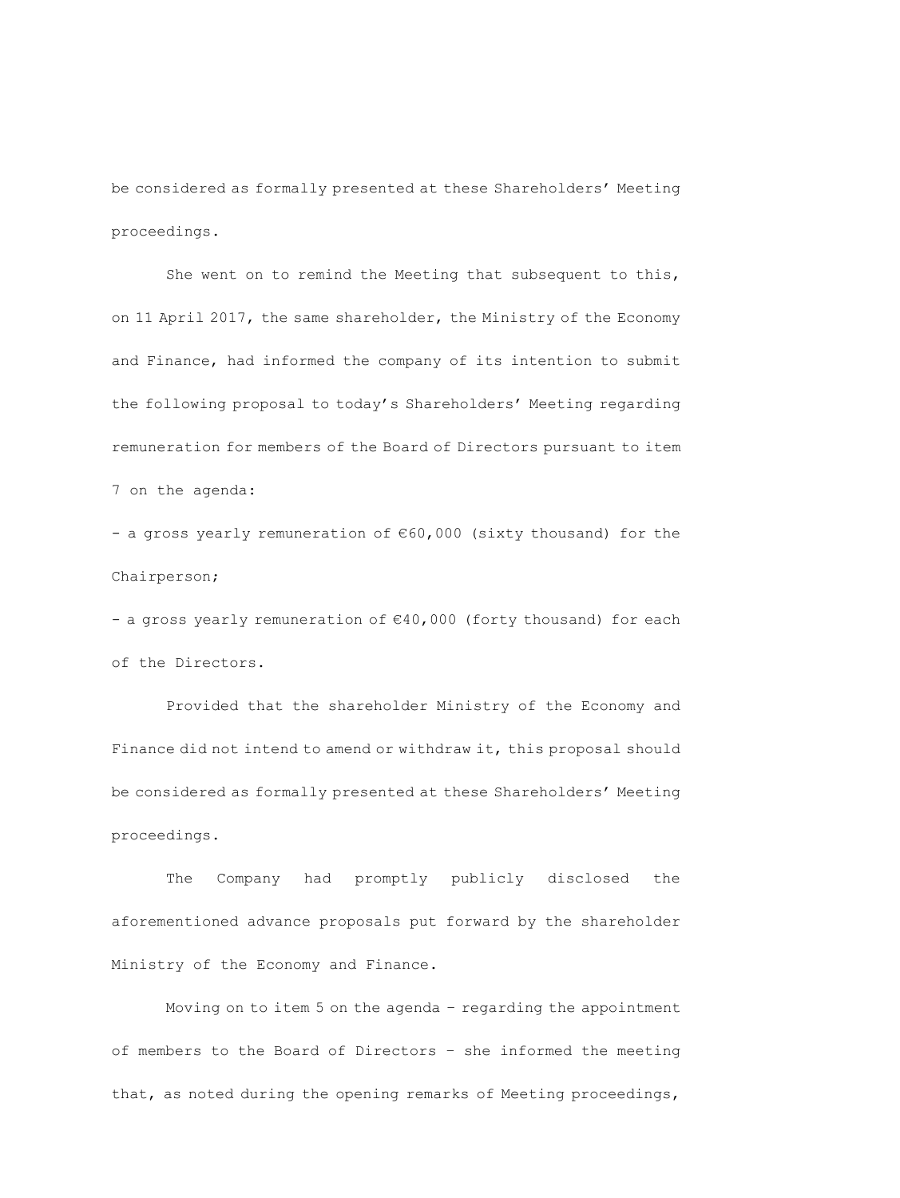be considered as formally presented at these Shareholders' Meeting proceedings.

She went on to remind the Meeting that subsequent to this, on 11 April 2017, the same shareholder, the Ministry of the Economy and Finance, had informed the company of its intention to submit the following proposal to today's Shareholders' Meeting regarding remuneration for members of the Board of Directors pursuant to item 7 on the agenda:

- a gross yearly remuneration of €60,000 (sixty thousand) for the Chairperson;

- a gross yearly remuneration of €40,000 (forty thousand) for each of the Directors.

Provided that the shareholder Ministry of the Economy and Finance did not intend to amend or withdraw it, this proposal should be considered as formally presented at these Shareholders' Meeting proceedings.

The Company had promptly publicly disclosed the aforementioned advance proposals put forward by the shareholder Ministry of the Economy and Finance.

Moving on to item 5 on the agenda – regarding the appointment of members to the Board of Directors – she informed the meeting that, as noted during the opening remarks of Meeting proceedings,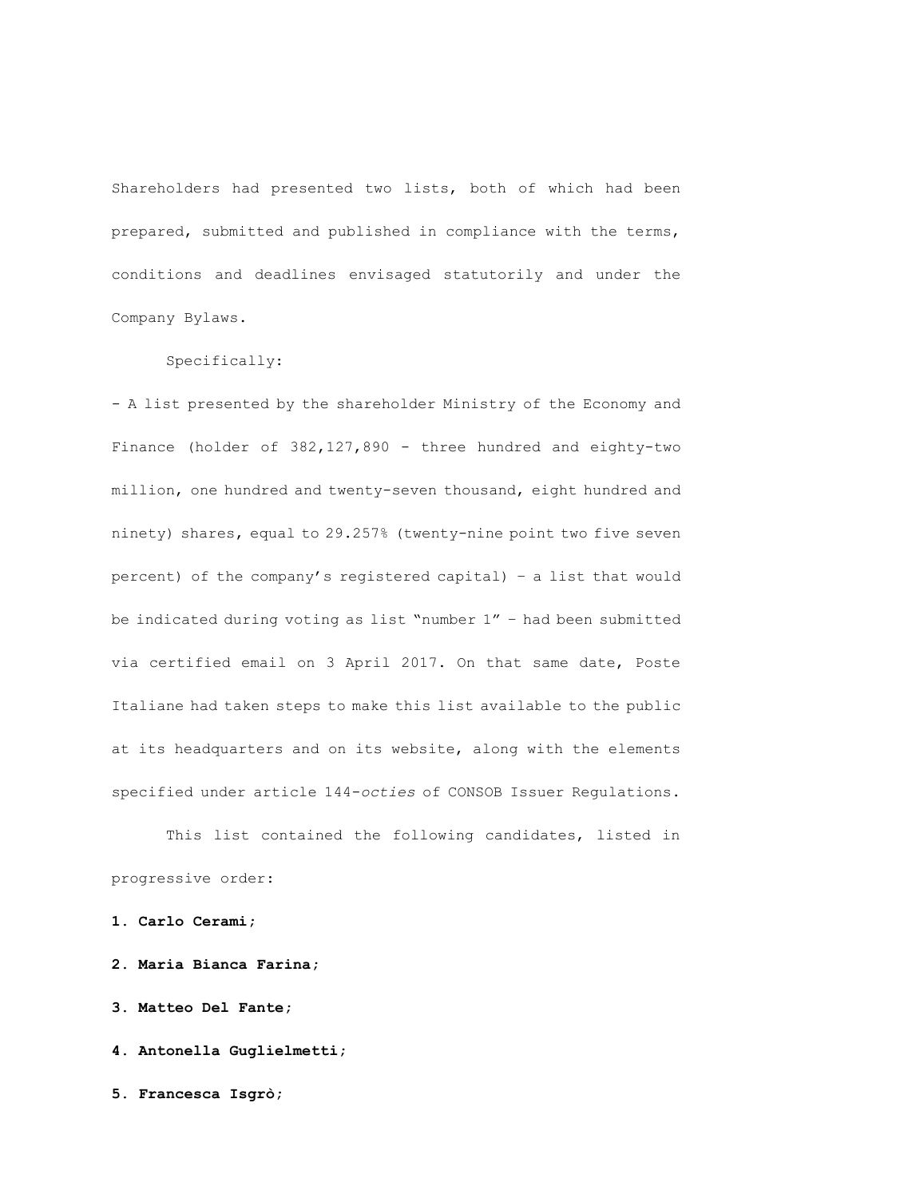Shareholders had presented two lists, both of which had been prepared, submitted and published in compliance with the terms, conditions and deadlines envisaged statutorily and under the Company Bylaws.

# Specifically:

- A list presented by the shareholder Ministry of the Economy and Finance (holder of 382,127,890 - three hundred and eighty-two million, one hundred and twenty-seven thousand, eight hundred and ninety) shares, equal to 29.257% (twenty-nine point two five seven percent) of the company's registered capital) – a list that would be indicated during voting as list "number 1" – had been submitted via certified email on 3 April 2017. On that same date, Poste Italiane had taken steps to make this list available to the public at its headquarters and on its website, along with the elements specified under article 144-*octies* of CONSOB Issuer Regulations.

This list contained the following candidates, listed in progressive order:

**1. Carlo Cerami;**

**2. Maria Bianca Farina;**

**3. Matteo Del Fante;**

**4. Antonella Guglielmetti;**

**5. Francesca Isgrò;**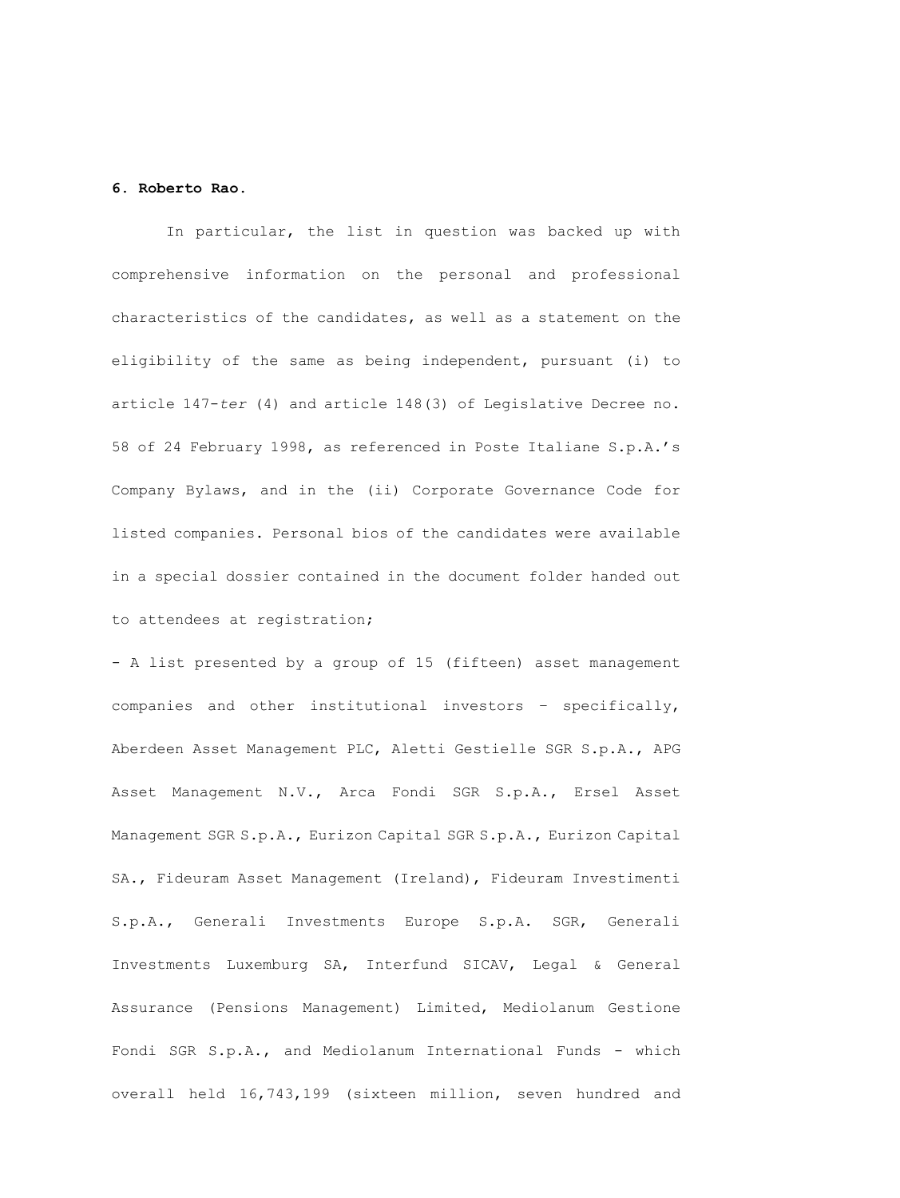## **6. Roberto Rao.**

In particular, the list in question was backed up with comprehensive information on the personal and professional characteristics of the candidates, as well as a statement on the eligibility of the same as being independent, pursuant (i) to article 147-*ter* (4) and article 148(3) of Legislative Decree no. 58 of 24 February 1998, as referenced in Poste Italiane S.p.A.'s Company Bylaws, and in the (ii) Corporate Governance Code for listed companies. Personal bios of the candidates were available in a special dossier contained in the document folder handed out to attendees at registration;

- A list presented by a group of 15 (fifteen) asset management companies and other institutional investors – specifically, Aberdeen Asset Management PLC, Aletti Gestielle SGR S.p.A., APG Asset Management N.V., Arca Fondi SGR S.p.A., Ersel Asset Management SGR S.p.A., Eurizon Capital SGR S.p.A., Eurizon Capital SA., Fideuram Asset Management (Ireland), Fideuram Investimenti S.p.A., Generali Investments Europe S.p.A. SGR, Generali Investments Luxemburg SA, Interfund SICAV, Legal & General Assurance (Pensions Management) Limited, Mediolanum Gestione Fondi SGR S.p.A., and Mediolanum International Funds - which overall held 16,743,199 (sixteen million, seven hundred and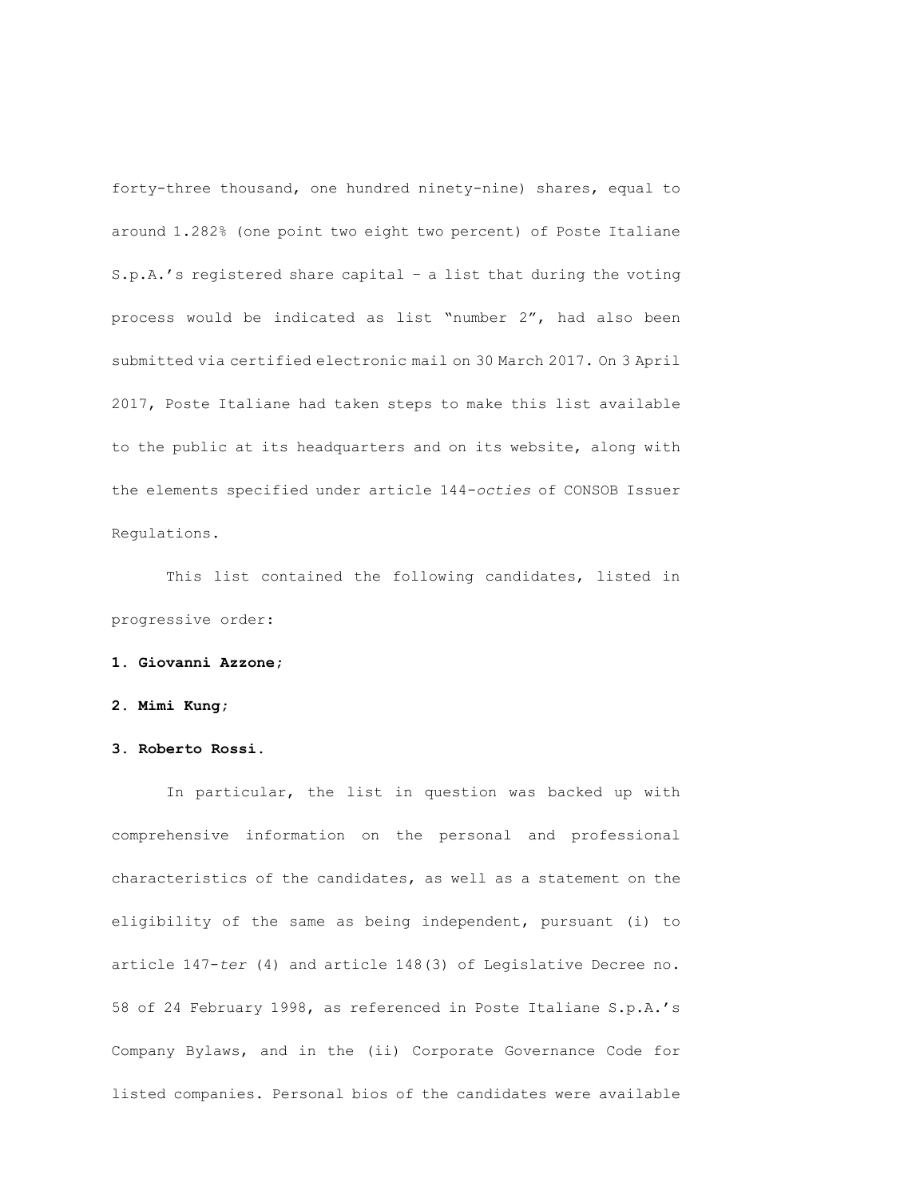forty-three thousand, one hundred ninety-nine) shares, equal to around 1.282% (one point two eight two percent) of Poste Italiane S.p.A.'s registered share capital – a list that during the voting process would be indicated as list "number 2", had also been submitted via certified electronic mail on 30 March 2017. On 3 April 2017, Poste Italiane had taken steps to make this list available to the public at its headquarters and on its website, along with the elements specified under article 144-*octies* of CONSOB Issuer Regulations.

This list contained the following candidates, listed in progressive order:

# **1. Giovanni Azzone;**

### **2. Mimi Kung;**

# **3. Roberto Rossi.**

In particular, the list in question was backed up with comprehensive information on the personal and professional characteristics of the candidates, as well as a statement on the eligibility of the same as being independent, pursuant (i) to article 147-*ter* (4) and article 148(3) of Legislative Decree no. 58 of 24 February 1998, as referenced in Poste Italiane S.p.A.'s Company Bylaws, and in the (ii) Corporate Governance Code for listed companies. Personal bios of the candidates were available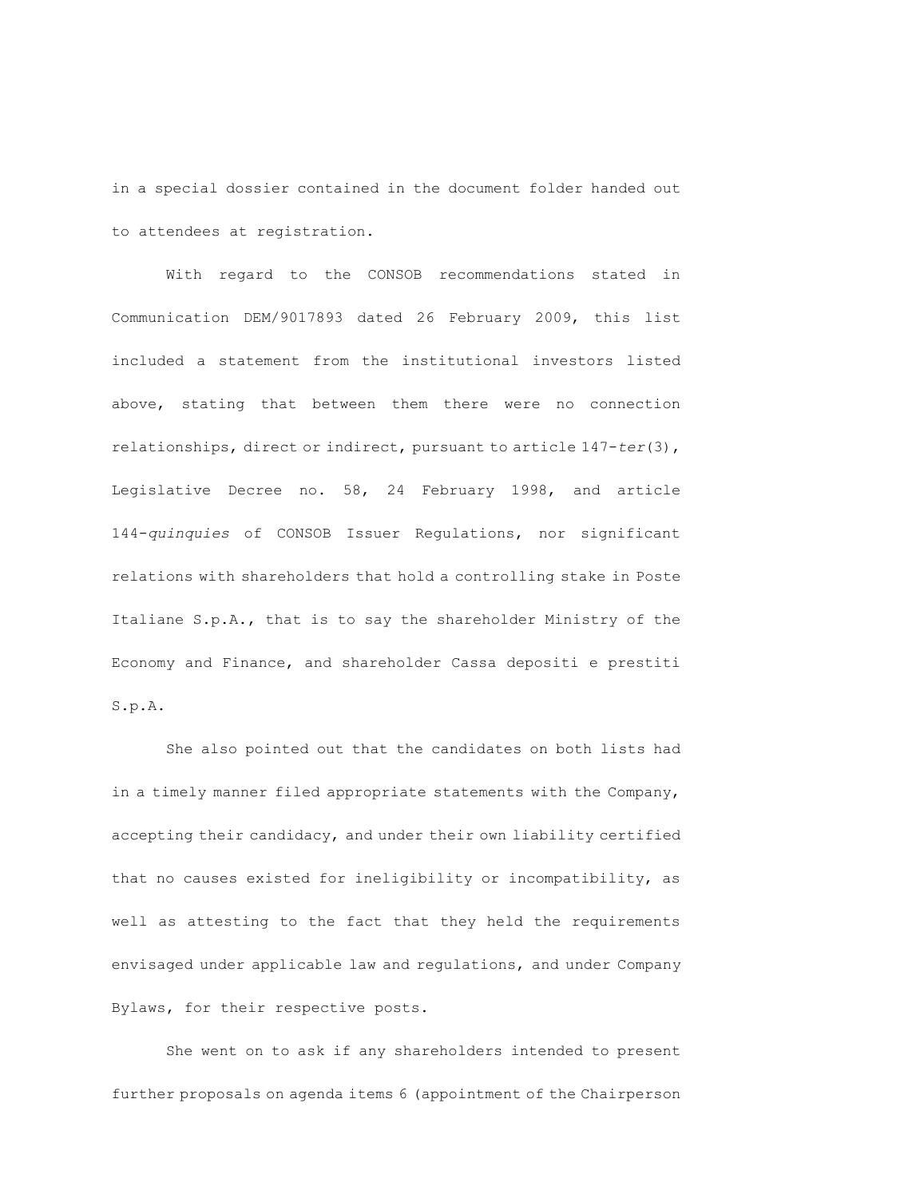in a special dossier contained in the document folder handed out to attendees at registration.

With regard to the CONSOB recommendations stated in Communication DEM/9017893 dated 26 February 2009, this list included a statement from the institutional investors listed above, stating that between them there were no connection relationships, direct or indirect, pursuant to article 147-*ter*(3), Legislative Decree no. 58, 24 February 1998, and article 144-*quinquies* of CONSOB Issuer Regulations, nor significant relations with shareholders that hold a controlling stake in Poste Italiane S.p.A., that is to say the shareholder Ministry of the Economy and Finance, and shareholder Cassa depositi e prestiti S.p.A.

She also pointed out that the candidates on both lists had in a timely manner filed appropriate statements with the Company, accepting their candidacy, and under their own liability certified that no causes existed for ineligibility or incompatibility, as well as attesting to the fact that they held the requirements envisaged under applicable law and regulations, and under Company Bylaws, for their respective posts.

She went on to ask if any shareholders intended to present further proposals on agenda items 6 (appointment of the Chairperson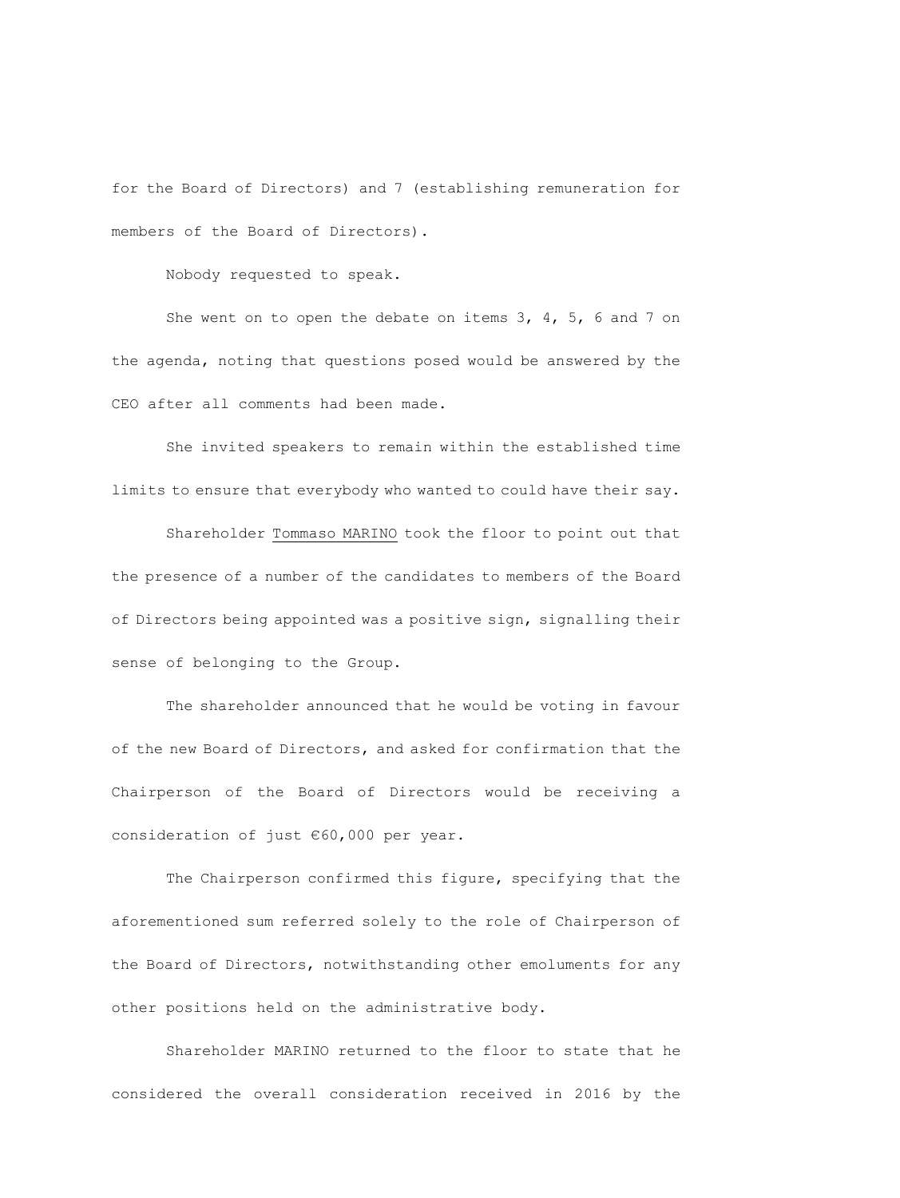for the Board of Directors) and 7 (establishing remuneration for members of the Board of Directors).

Nobody requested to speak.

She went on to open the debate on items 3, 4, 5, 6 and 7 on the agenda, noting that questions posed would be answered by the CEO after all comments had been made.

She invited speakers to remain within the established time limits to ensure that everybody who wanted to could have their say.

Shareholder Tommaso MARINO took the floor to point out that the presence of a number of the candidates to members of the Board of Directors being appointed was a positive sign, signalling their sense of belonging to the Group.

The shareholder announced that he would be voting in favour of the new Board of Directors, and asked for confirmation that the Chairperson of the Board of Directors would be receiving a consideration of just €60,000 per year.

The Chairperson confirmed this figure, specifying that the aforementioned sum referred solely to the role of Chairperson of the Board of Directors, notwithstanding other emoluments for any other positions held on the administrative body.

Shareholder MARINO returned to the floor to state that he considered the overall consideration received in 2016 by the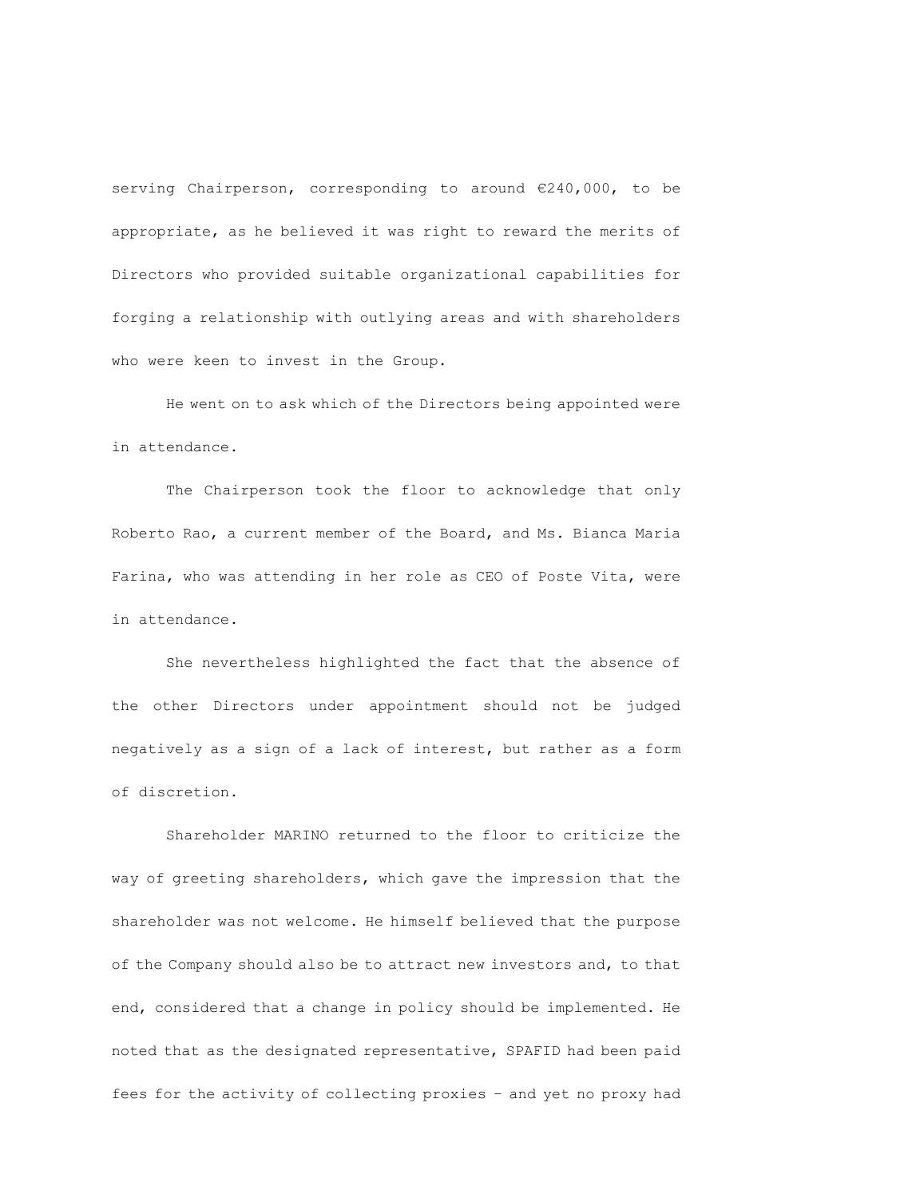serving Chairperson, corresponding to around €240,000, to be appropriate, as he believed it was right to reward the merits of Directors who provided suitable organizational capabilities for forging a relationship with outlying areas and with shareholders who were keen to invest in the Group.

He went on to ask which of the Directors being appointed were in attendance.

The Chairperson took the floor to acknowledge that only Roberto Rao, a current member of the Board, and Ms. Bianca Maria Farina, who was attending in her role as CEO of Poste Vita, were in attendance.

She nevertheless highlighted the fact that the absence of the other Directors under appointment should not be judged negatively as a sign of a lack of interest, but rather as a form of discretion.

Shareholder MARINO returned to the floor to criticize the way of greeting shareholders, which gave the impression that the shareholder was not welcome. He himself believed that the purpose of the Company should also be to attract new investors and, to that end, considered that a change in policy should be implemented. He noted that as the designated representative, SPAFID had been paid fees for the activity of collecting proxies – and yet no proxy had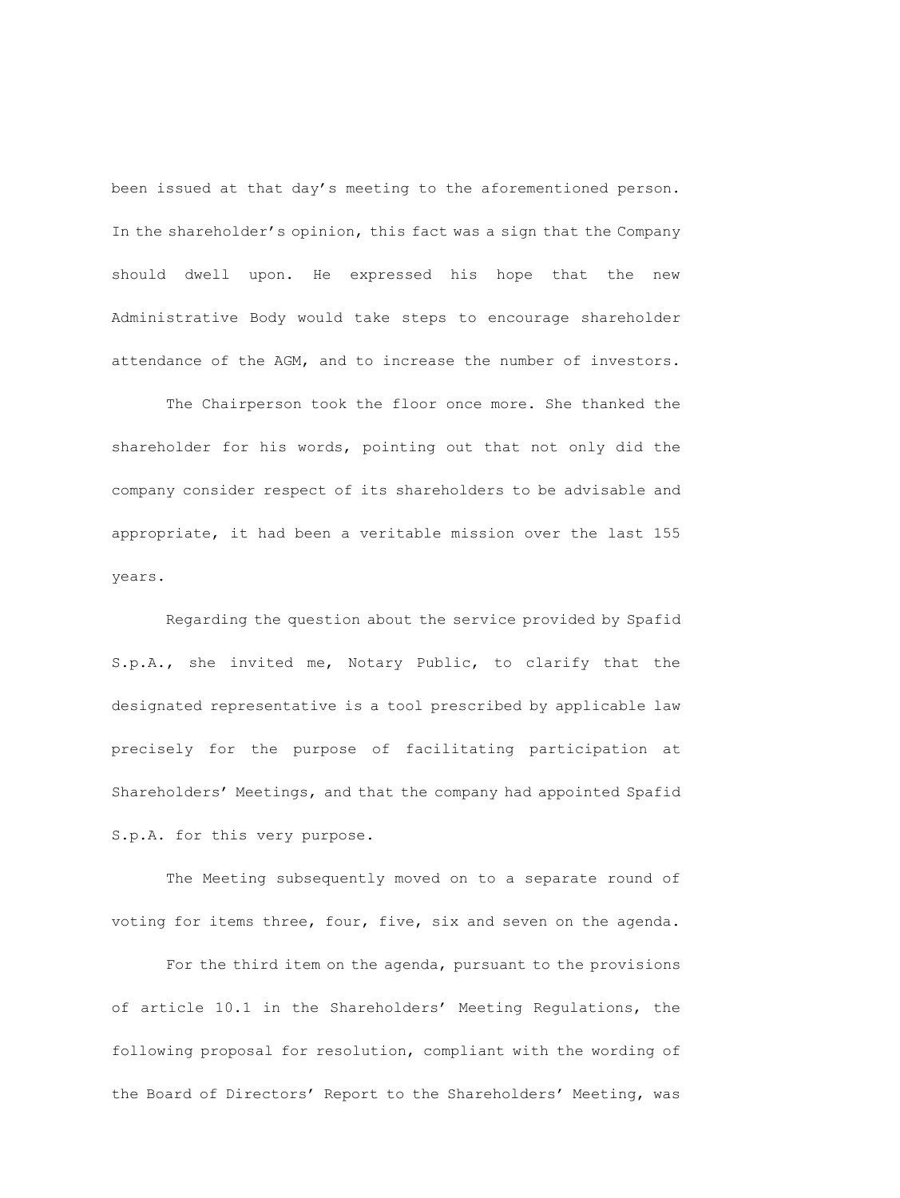been issued at that day's meeting to the aforementioned person. In the shareholder's opinion, this fact was a sign that the Company should dwell upon. He expressed his hope that the new Administrative Body would take steps to encourage shareholder attendance of the AGM, and to increase the number of investors.

The Chairperson took the floor once more. She thanked the shareholder for his words, pointing out that not only did the company consider respect of its shareholders to be advisable and appropriate, it had been a veritable mission over the last 155 years.

Regarding the question about the service provided by Spafid S.p.A., she invited me, Notary Public, to clarify that the designated representative is a tool prescribed by applicable law precisely for the purpose of facilitating participation at Shareholders' Meetings, and that the company had appointed Spafid S.p.A. for this very purpose.

The Meeting subsequently moved on to a separate round of voting for items three, four, five, six and seven on the agenda.

For the third item on the agenda, pursuant to the provisions of article 10.1 in the Shareholders' Meeting Regulations, the following proposal for resolution, compliant with the wording of the Board of Directors' Report to the Shareholders' Meeting, was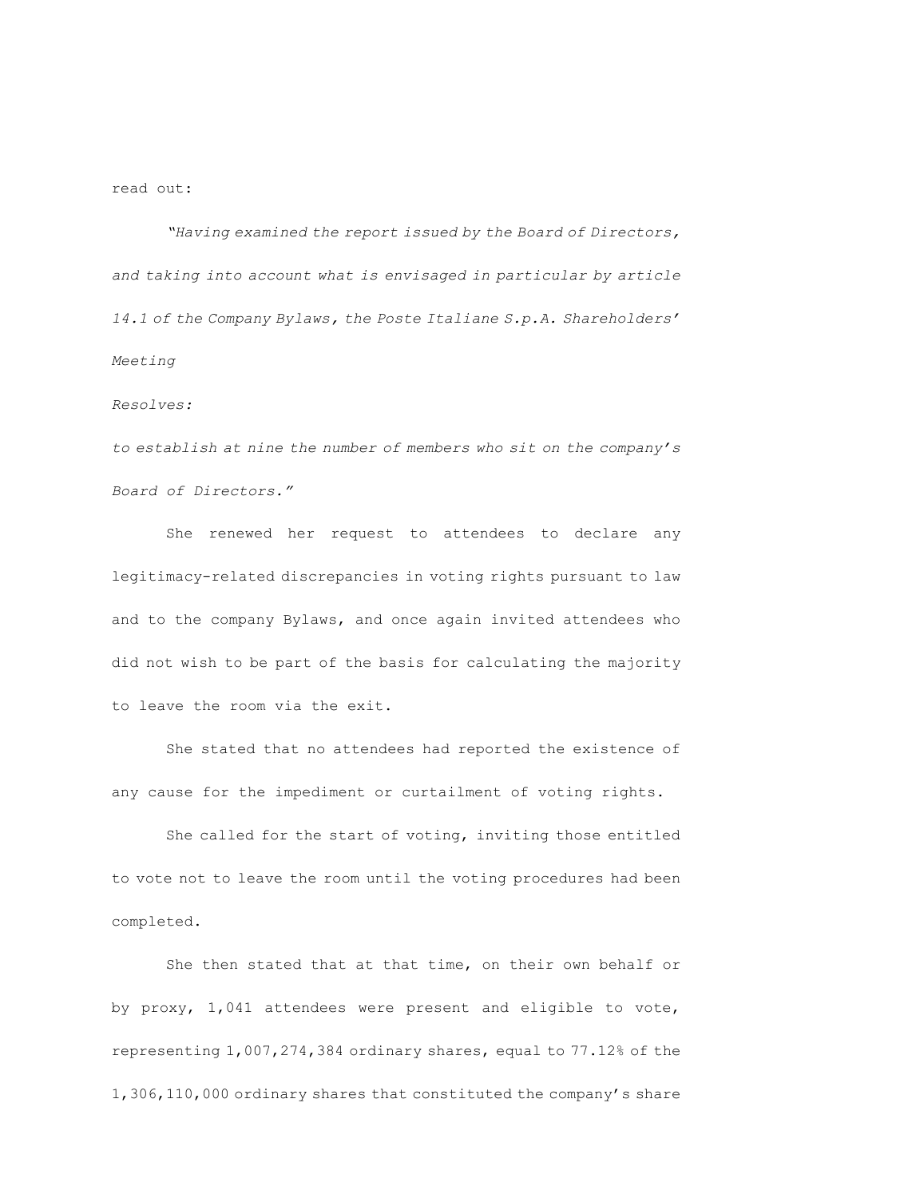# read out:

*"Having examined the report issued by the Board of Directors, and taking into account what is envisaged in particular by article 14.1 of the Company Bylaws, the Poste Italiane S.p.A. Shareholders' Meeting* 

#### *Resolves:*

*to establish at nine the number of members who sit on the company's Board of Directors."*

She renewed her request to attendees to declare any legitimacy-related discrepancies in voting rights pursuant to law and to the company Bylaws, and once again invited attendees who did not wish to be part of the basis for calculating the majority to leave the room via the exit.

She stated that no attendees had reported the existence of any cause for the impediment or curtailment of voting rights.

She called for the start of voting, inviting those entitled to vote not to leave the room until the voting procedures had been completed.

She then stated that at that time, on their own behalf or by proxy, 1,041 attendees were present and eligible to vote, representing 1,007,274,384 ordinary shares, equal to 77.12% of the 1,306,110,000 ordinary shares that constituted the company's share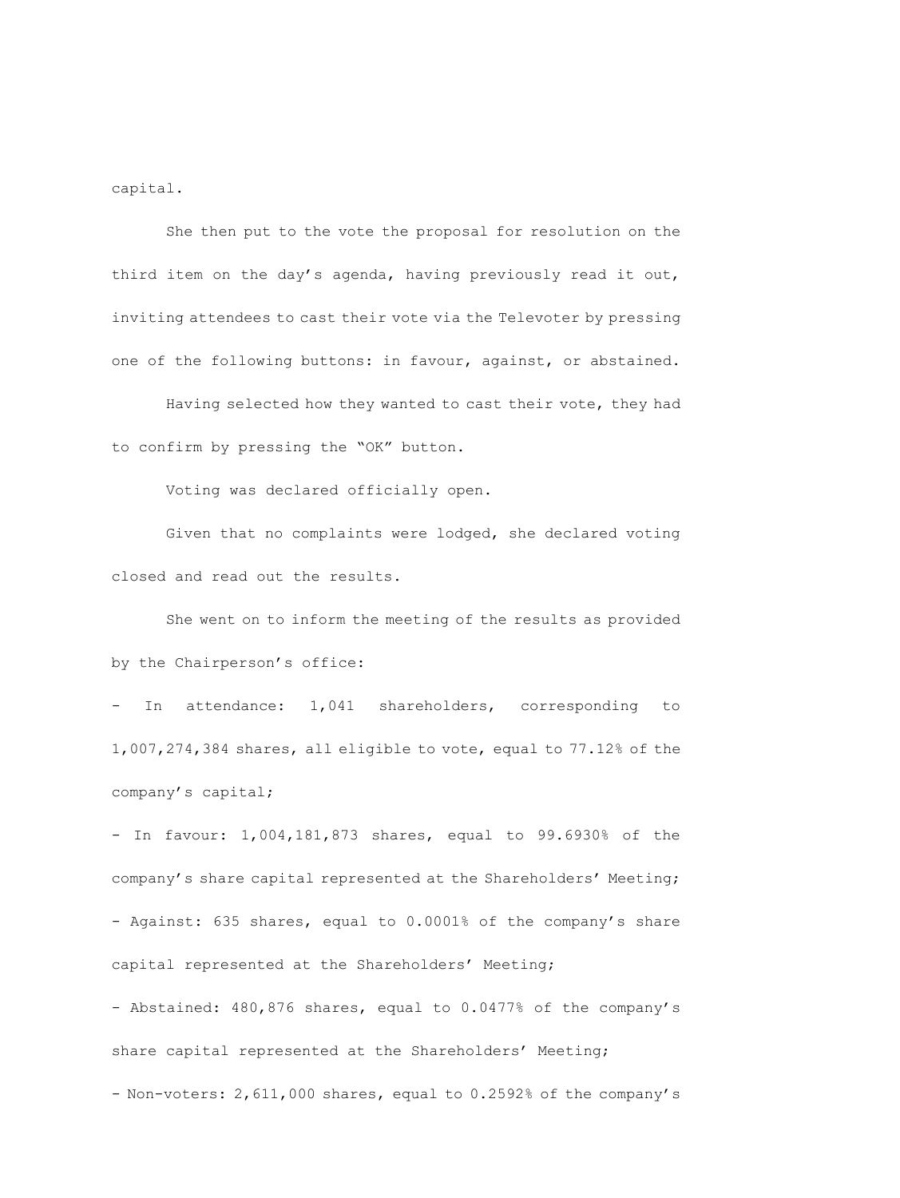capital.

She then put to the vote the proposal for resolution on the third item on the day's agenda, having previously read it out, inviting attendees to cast their vote via the Televoter by pressing one of the following buttons: in favour, against, or abstained.

Having selected how they wanted to cast their vote, they had to confirm by pressing the "OK" button.

Voting was declared officially open.

Given that no complaints were lodged, she declared voting closed and read out the results.

She went on to inform the meeting of the results as provided by the Chairperson's office:

- In attendance: 1,041 shareholders, corresponding to 1,007,274,384 shares, all eligible to vote, equal to 77.12% of the company's capital;

- In favour: 1,004,181,873 shares, equal to 99.6930% of the company's share capital represented at the Shareholders' Meeting; - Against: 635 shares, equal to 0.0001% of the company's share capital represented at the Shareholders' Meeting;

- Abstained: 480,876 shares, equal to 0.0477% of the company's share capital represented at the Shareholders' Meeting;

- Non-voters: 2,611,000 shares, equal to 0.2592% of the company's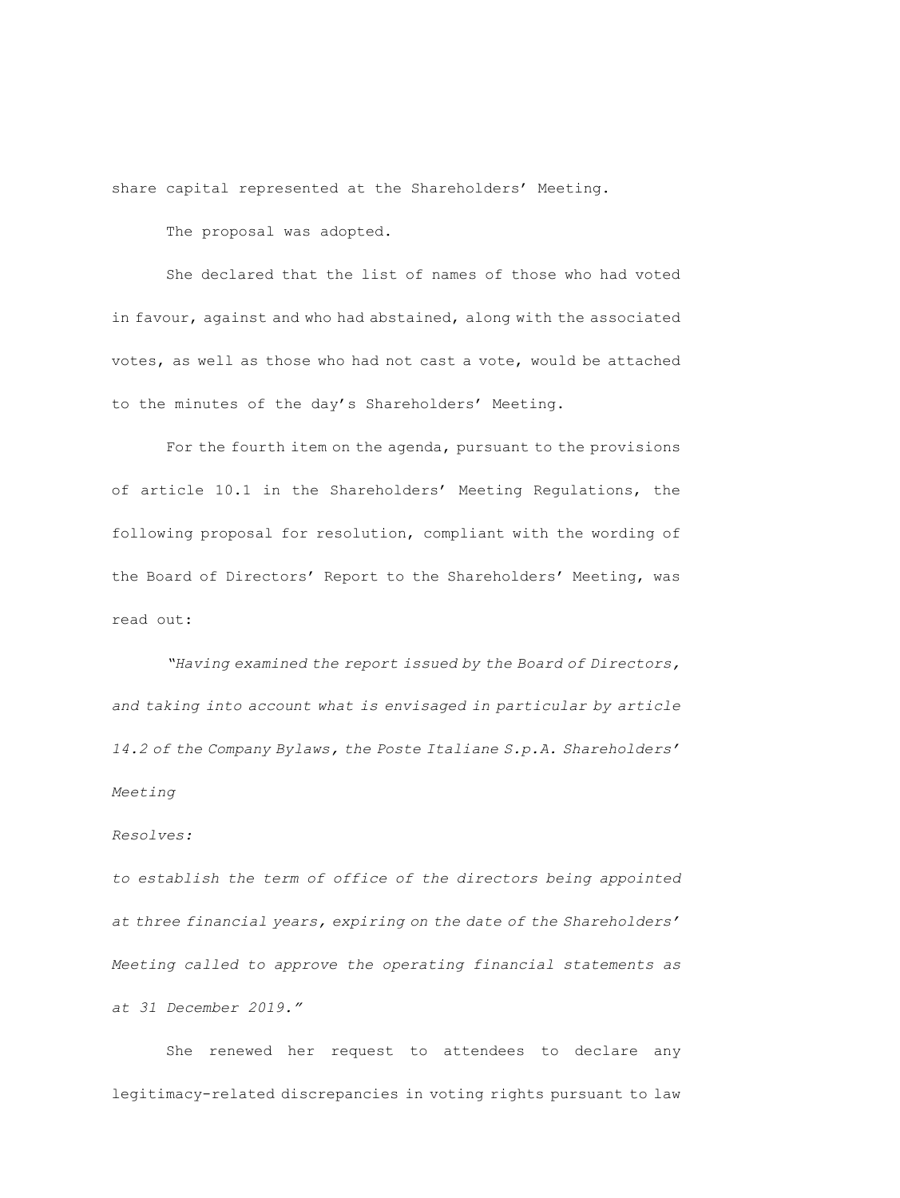share capital represented at the Shareholders' Meeting.

The proposal was adopted.

She declared that the list of names of those who had voted in favour, against and who had abstained, along with the associated votes, as well as those who had not cast a vote, would be attached to the minutes of the day's Shareholders' Meeting.

For the fourth item on the agenda, pursuant to the provisions of article 10.1 in the Shareholders' Meeting Regulations, the following proposal for resolution, compliant with the wording of the Board of Directors' Report to the Shareholders' Meeting, was read out:

*"Having examined the report issued by the Board of Directors, and taking into account what is envisaged in particular by article 14.2 of the Company Bylaws, the Poste Italiane S.p.A. Shareholders' Meeting* 

# *Resolves:*

*to establish the term of office of the directors being appointed at three financial years, expiring on the date of the Shareholders' Meeting called to approve the operating financial statements as at 31 December 2019."*

She renewed her request to attendees to declare any legitimacy-related discrepancies in voting rights pursuant to law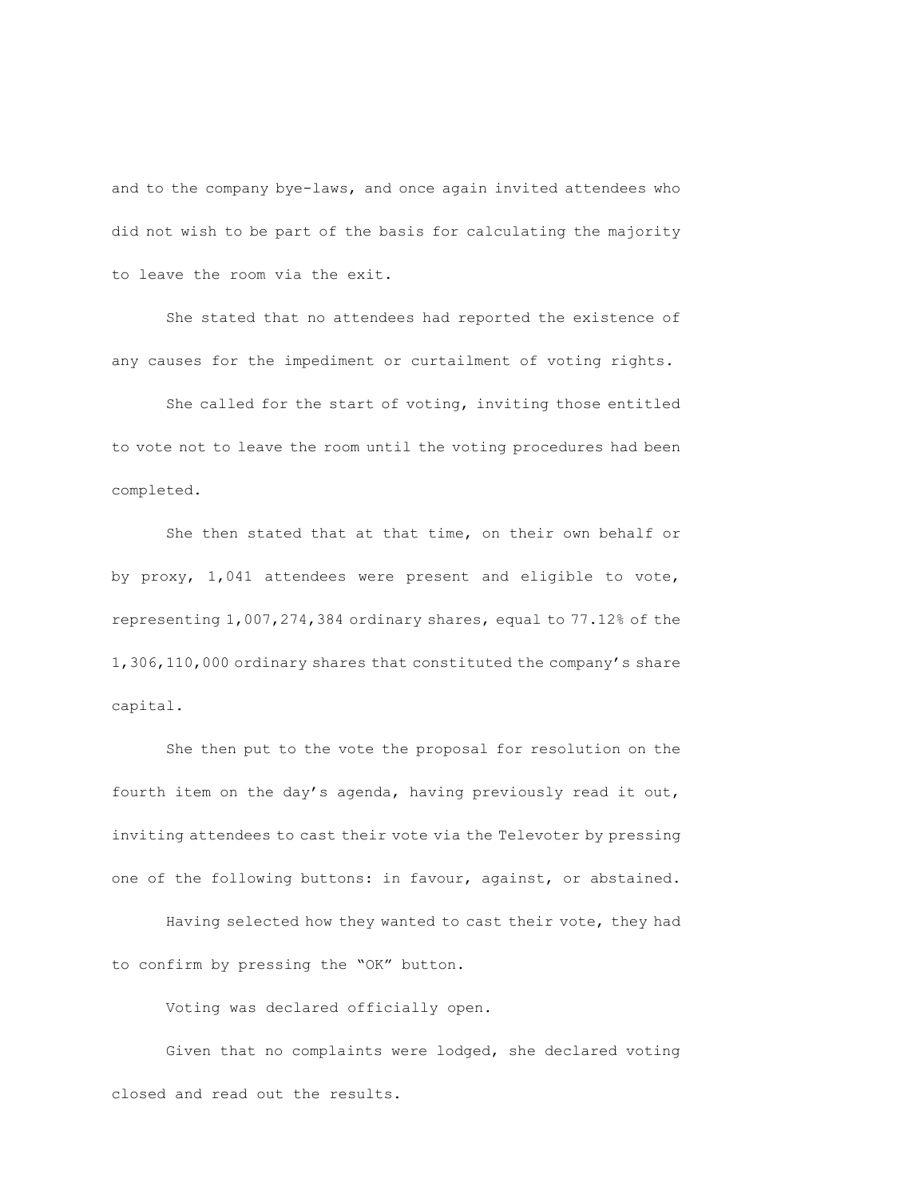and to the company bye-laws, and once again invited attendees who did not wish to be part of the basis for calculating the majority to leave the room via the exit.

She stated that no attendees had reported the existence of any causes for the impediment or curtailment of voting rights.

She called for the start of voting, inviting those entitled to vote not to leave the room until the voting procedures had been completed.

She then stated that at that time, on their own behalf or by proxy, 1,041 attendees were present and eligible to vote, representing 1,007,274,384 ordinary shares, equal to 77.12% of the 1,306,110,000 ordinary shares that constituted the company's share capital.

She then put to the vote the proposal for resolution on the fourth item on the day's agenda, having previously read it out, inviting attendees to cast their vote via the Televoter by pressing one of the following buttons: in favour, against, or abstained.

Having selected how they wanted to cast their vote, they had to confirm by pressing the "OK" button.

Voting was declared officially open.

Given that no complaints were lodged, she declared voting closed and read out the results.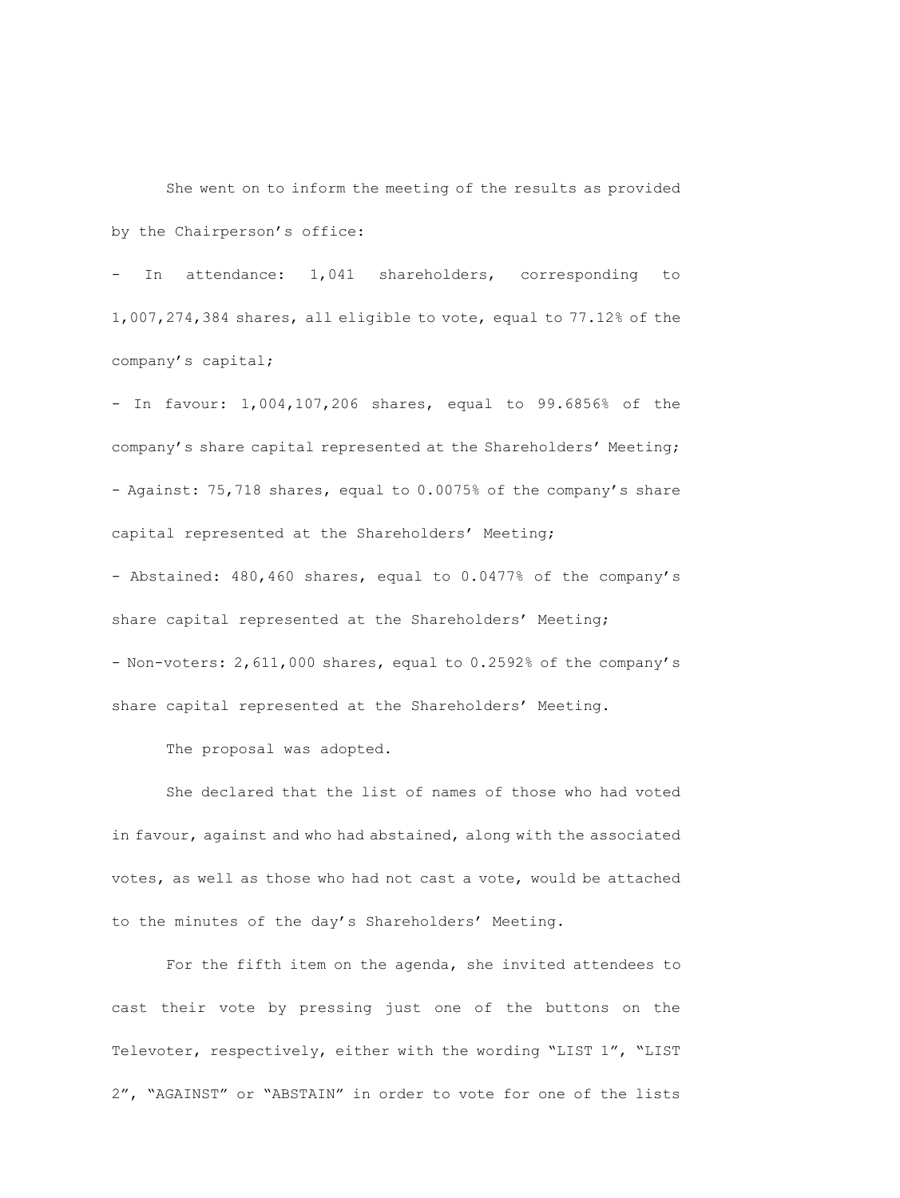She went on to inform the meeting of the results as provided by the Chairperson's office:

- In attendance: 1,041 shareholders, corresponding to 1,007,274,384 shares, all eligible to vote, equal to 77.12% of the company's capital;

- In favour: 1,004,107,206 shares, equal to 99.6856% of the company's share capital represented at the Shareholders' Meeting; - Against: 75,718 shares, equal to 0.0075% of the company's share capital represented at the Shareholders' Meeting;

- Abstained: 480,460 shares, equal to 0.0477% of the company's share capital represented at the Shareholders' Meeting; - Non-voters: 2,611,000 shares, equal to 0.2592% of the company's share capital represented at the Shareholders' Meeting.

The proposal was adopted.

She declared that the list of names of those who had voted in favour, against and who had abstained, along with the associated votes, as well as those who had not cast a vote, would be attached to the minutes of the day's Shareholders' Meeting.

For the fifth item on the agenda, she invited attendees to cast their vote by pressing just one of the buttons on the Televoter, respectively, either with the wording "LIST 1", "LIST 2", "AGAINST" or "ABSTAIN" in order to vote for one of the lists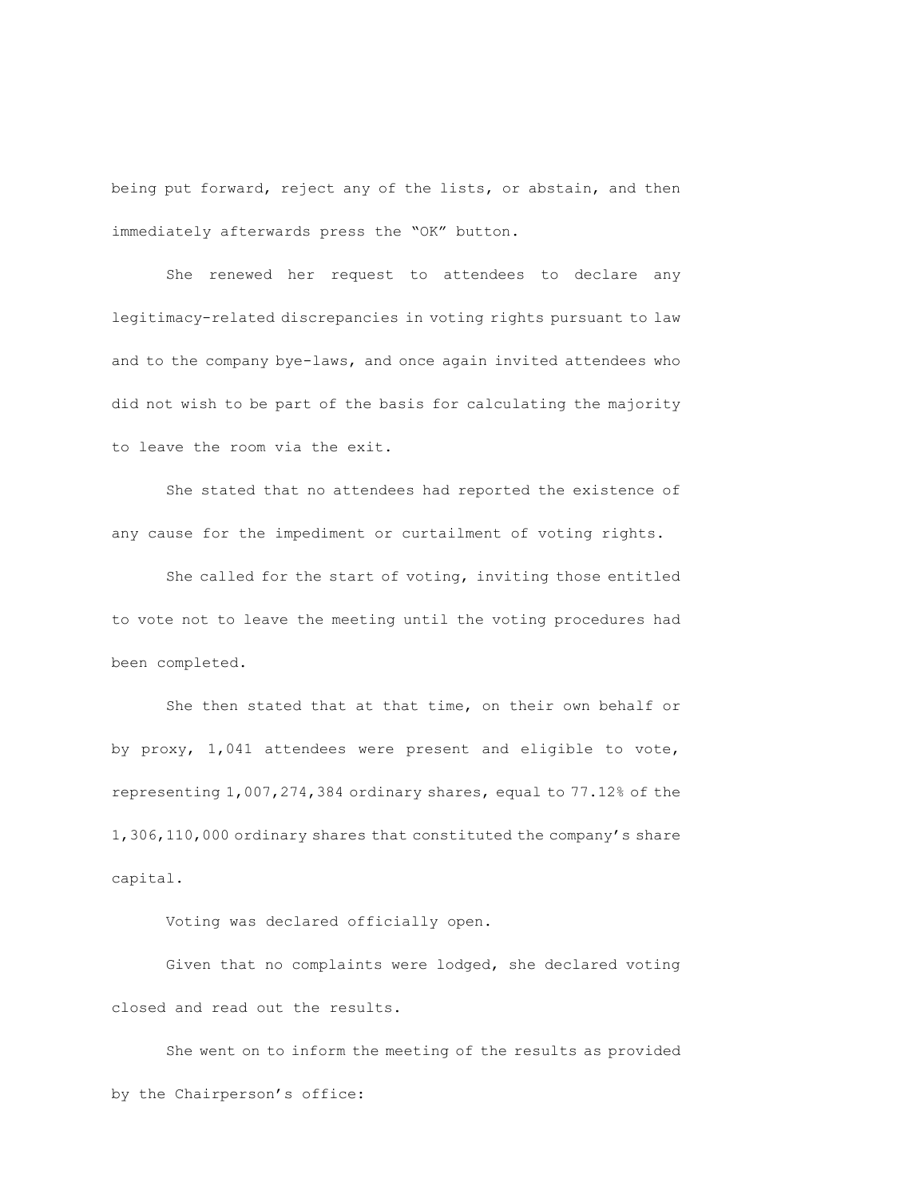being put forward, reject any of the lists, or abstain, and then immediately afterwards press the "OK" button.

She renewed her request to attendees to declare any legitimacy-related discrepancies in voting rights pursuant to law and to the company bye-laws, and once again invited attendees who did not wish to be part of the basis for calculating the majority to leave the room via the exit.

She stated that no attendees had reported the existence of any cause for the impediment or curtailment of voting rights.

She called for the start of voting, inviting those entitled to vote not to leave the meeting until the voting procedures had been completed.

She then stated that at that time, on their own behalf or by proxy, 1,041 attendees were present and eligible to vote, representing 1,007,274,384 ordinary shares, equal to 77.12% of the 1,306,110,000 ordinary shares that constituted the company's share capital.

Voting was declared officially open.

Given that no complaints were lodged, she declared voting closed and read out the results.

She went on to inform the meeting of the results as provided by the Chairperson's office: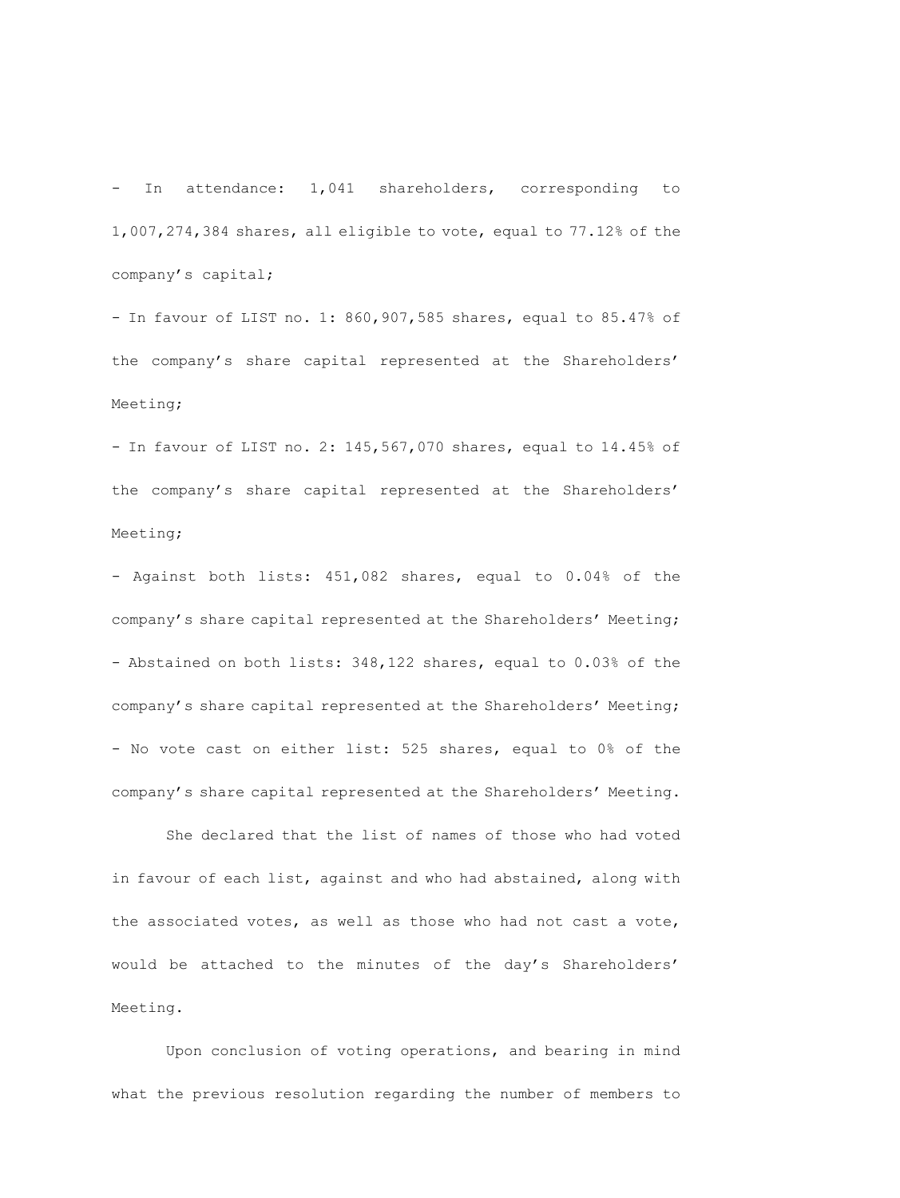- In attendance: 1,041 shareholders, corresponding to 1,007,274,384 shares, all eligible to vote, equal to 77.12% of the company's capital;

- In favour of LIST no. 1: 860,907,585 shares, equal to 85.47% of the company's share capital represented at the Shareholders' Meeting;

- In favour of LIST no. 2: 145,567,070 shares, equal to 14.45% of the company's share capital represented at the Shareholders' Meeting;

- Against both lists: 451,082 shares, equal to 0.04% of the company's share capital represented at the Shareholders' Meeting; - Abstained on both lists: 348,122 shares, equal to 0.03% of the company's share capital represented at the Shareholders' Meeting; - No vote cast on either list: 525 shares, equal to 0% of the company's share capital represented at the Shareholders' Meeting.

She declared that the list of names of those who had voted in favour of each list, against and who had abstained, along with the associated votes, as well as those who had not cast a vote, would be attached to the minutes of the day's Shareholders' Meeting.

Upon conclusion of voting operations, and bearing in mind what the previous resolution regarding the number of members to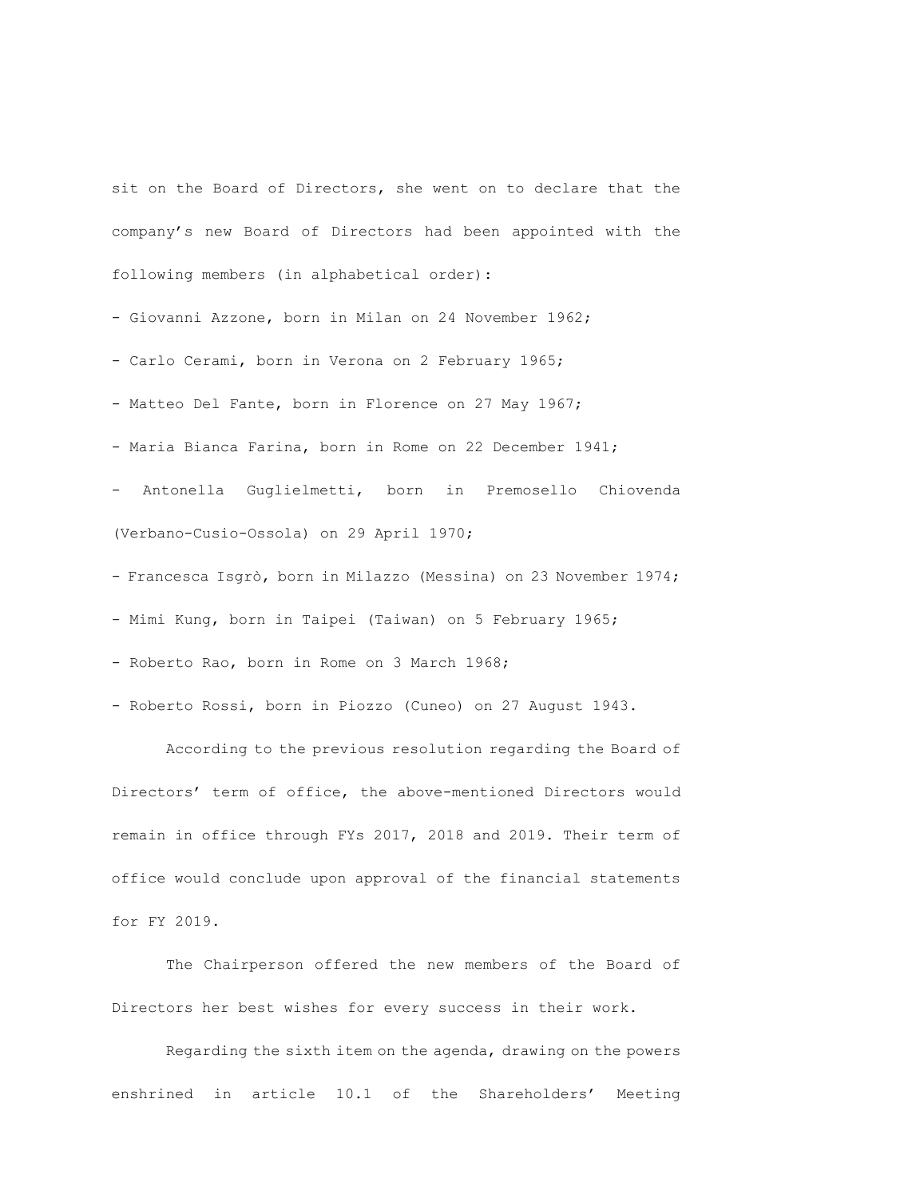sit on the Board of Directors, she went on to declare that the company's new Board of Directors had been appointed with the following members (in alphabetical order):

- Giovanni Azzone, born in Milan on 24 November 1962;

- Carlo Cerami, born in Verona on 2 February 1965;

- Matteo Del Fante, born in Florence on 27 May 1967;

- Maria Bianca Farina, born in Rome on 22 December 1941;

- Antonella Guglielmetti, born in Premosello Chiovenda (Verbano-Cusio-Ossola) on 29 April 1970;

- Francesca Isgrò, born in Milazzo (Messina) on 23 November 1974;

- Mimi Kung, born in Taipei (Taiwan) on 5 February 1965;

- Roberto Rao, born in Rome on 3 March 1968;

- Roberto Rossi, born in Piozzo (Cuneo) on 27 August 1943.

According to the previous resolution regarding the Board of Directors' term of office, the above-mentioned Directors would remain in office through FYs 2017, 2018 and 2019. Their term of office would conclude upon approval of the financial statements for FY 2019.

The Chairperson offered the new members of the Board of Directors her best wishes for every success in their work.

Regarding the sixth item on the agenda, drawing on the powers enshrined in article 10.1 of the Shareholders' Meeting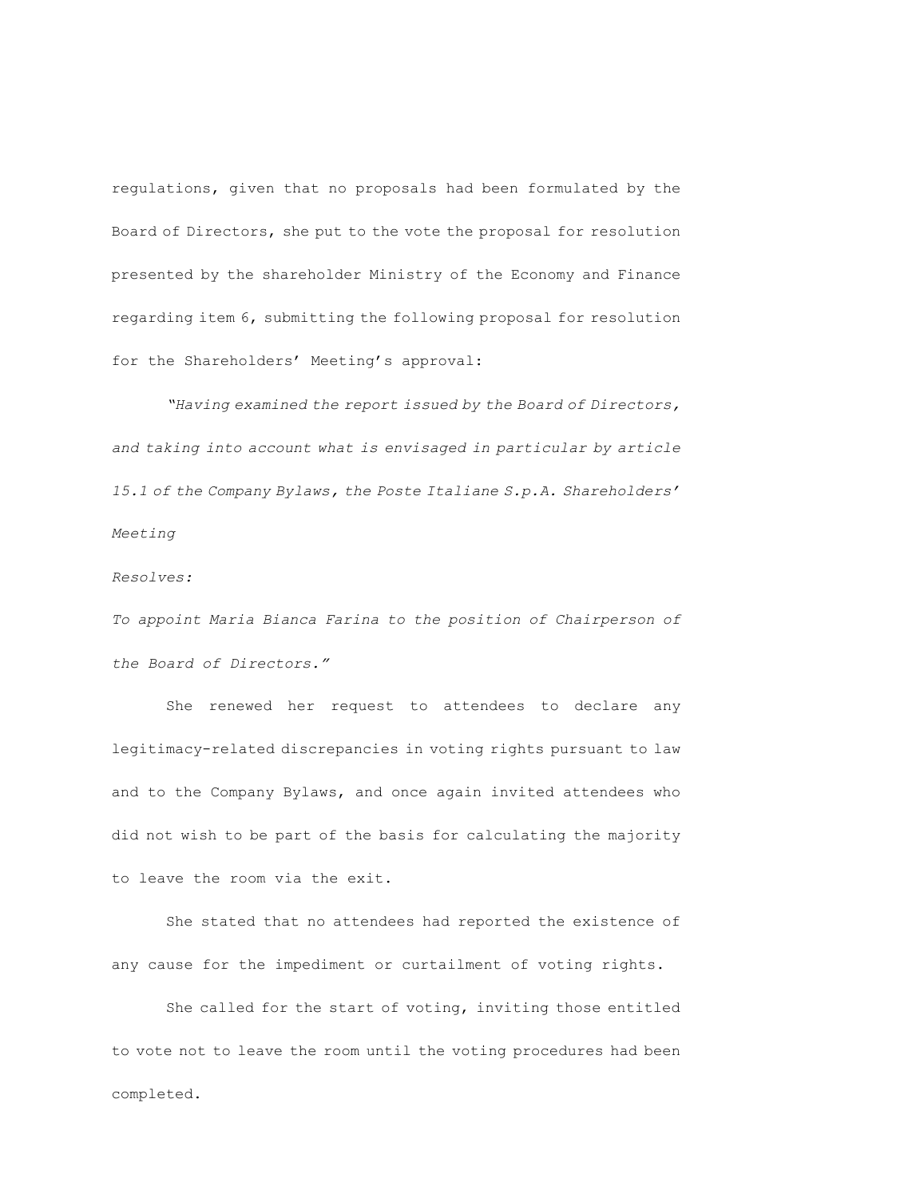regulations, given that no proposals had been formulated by the Board of Directors, she put to the vote the proposal for resolution presented by the shareholder Ministry of the Economy and Finance regarding item 6, submitting the following proposal for resolution for the Shareholders' Meeting's approval:

*"Having examined the report issued by the Board of Directors, and taking into account what is envisaged in particular by article 15.1 of the Company Bylaws, the Poste Italiane S.p.A. Shareholders' Meeting* 

*Resolves:*

*To appoint Maria Bianca Farina to the position of Chairperson of the Board of Directors."*

She renewed her request to attendees to declare any legitimacy-related discrepancies in voting rights pursuant to law and to the Company Bylaws, and once again invited attendees who did not wish to be part of the basis for calculating the majority to leave the room via the exit.

She stated that no attendees had reported the existence of any cause for the impediment or curtailment of voting rights.

She called for the start of voting, inviting those entitled to vote not to leave the room until the voting procedures had been completed.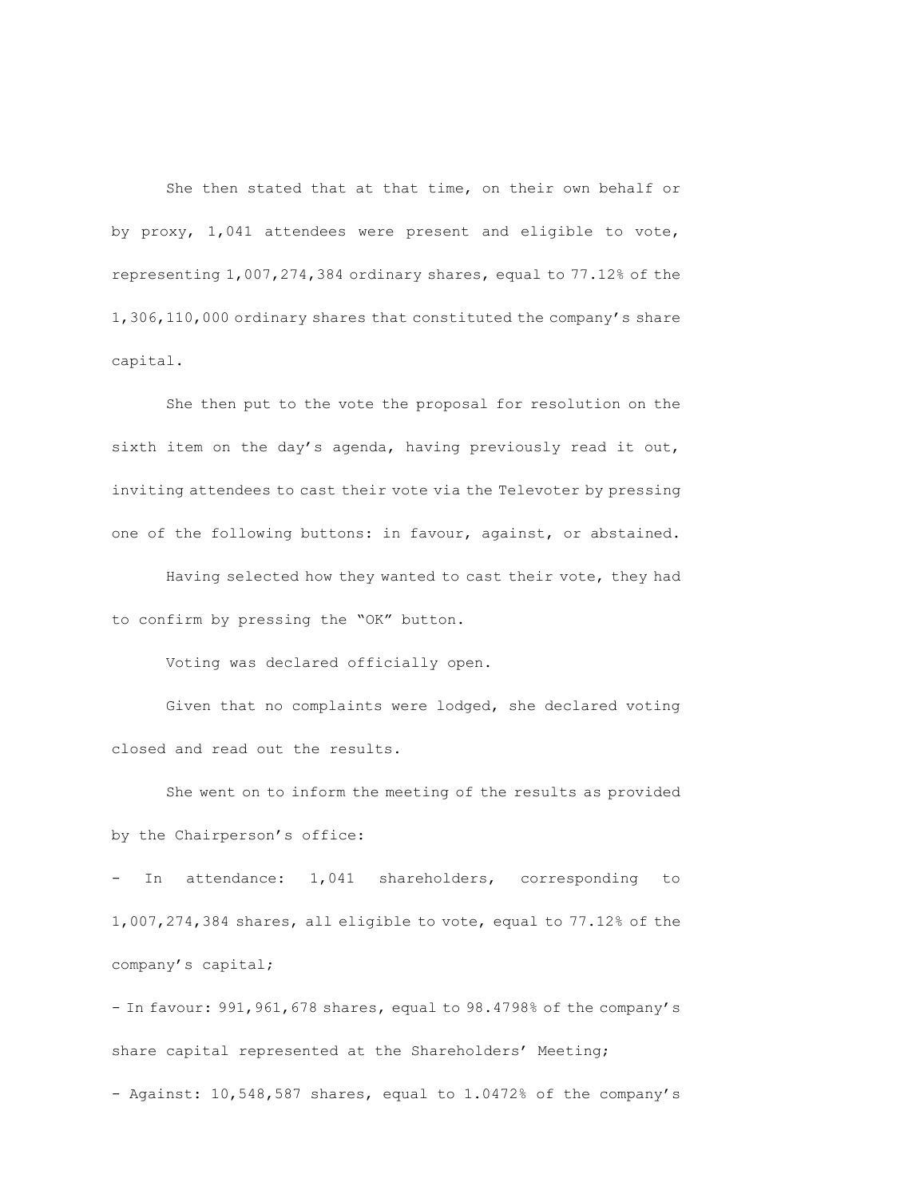She then stated that at that time, on their own behalf or by proxy, 1,041 attendees were present and eligible to vote, representing 1,007,274,384 ordinary shares, equal to 77.12% of the 1,306,110,000 ordinary shares that constituted the company's share capital.

She then put to the vote the proposal for resolution on the sixth item on the day's agenda, having previously read it out, inviting attendees to cast their vote via the Televoter by pressing one of the following buttons: in favour, against, or abstained.

Having selected how they wanted to cast their vote, they had to confirm by pressing the "OK" button.

Voting was declared officially open.

Given that no complaints were lodged, she declared voting closed and read out the results.

She went on to inform the meeting of the results as provided by the Chairperson's office:

In attendance: 1,041 shareholders, corresponding to 1,007,274,384 shares, all eligible to vote, equal to 77.12% of the company's capital;

- In favour: 991,961,678 shares, equal to 98.4798% of the company's share capital represented at the Shareholders' Meeting; - Against: 10,548,587 shares, equal to 1.0472% of the company's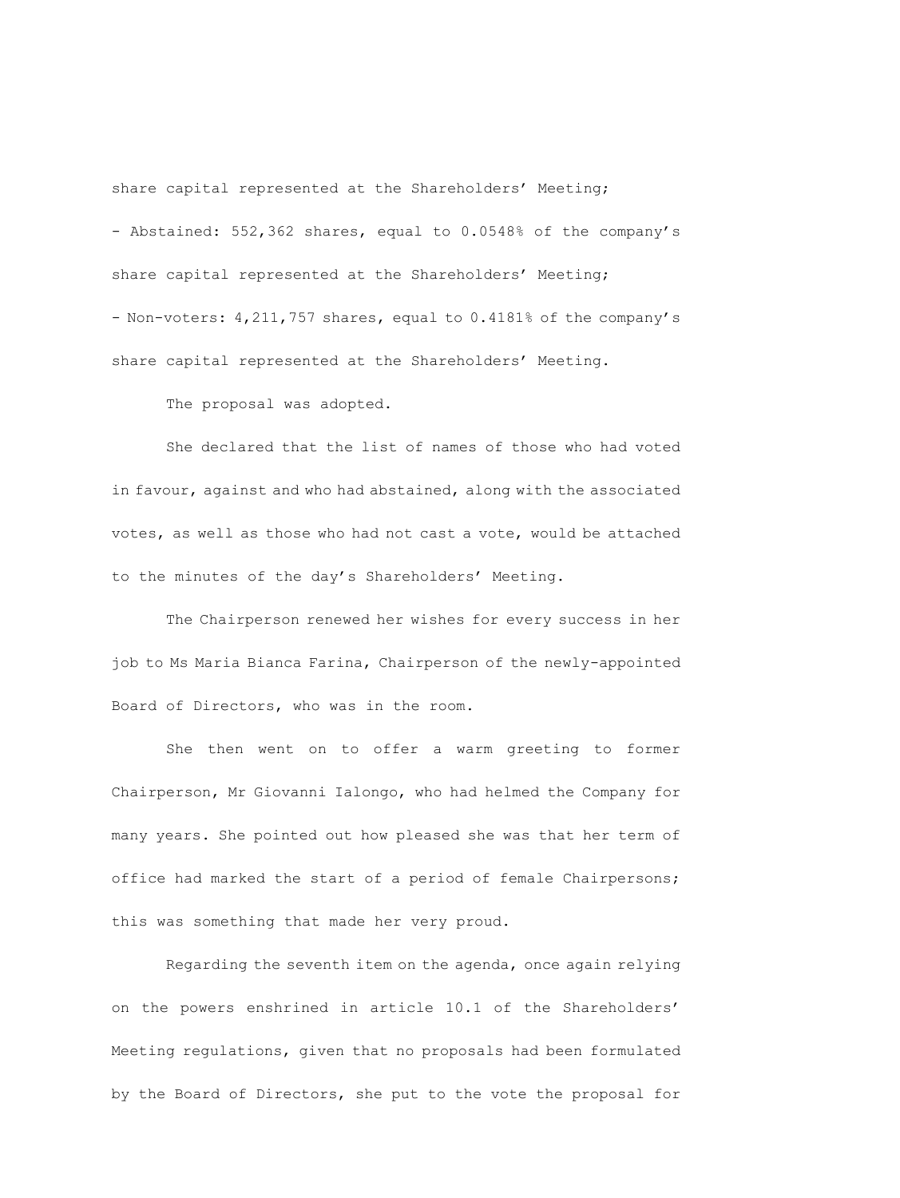share capital represented at the Shareholders' Meeting; - Abstained: 552,362 shares, equal to 0.0548% of the company's share capital represented at the Shareholders' Meeting; - Non-voters: 4,211,757 shares, equal to 0.4181% of the company's share capital represented at the Shareholders' Meeting.

The proposal was adopted.

She declared that the list of names of those who had voted in favour, against and who had abstained, along with the associated votes, as well as those who had not cast a vote, would be attached to the minutes of the day's Shareholders' Meeting.

The Chairperson renewed her wishes for every success in her job to Ms Maria Bianca Farina, Chairperson of the newly-appointed Board of Directors, who was in the room.

She then went on to offer a warm greeting to former Chairperson, Mr Giovanni Ialongo, who had helmed the Company for many years. She pointed out how pleased she was that her term of office had marked the start of a period of female Chairpersons; this was something that made her very proud.

Regarding the seventh item on the agenda, once again relying on the powers enshrined in article 10.1 of the Shareholders' Meeting regulations, given that no proposals had been formulated by the Board of Directors, she put to the vote the proposal for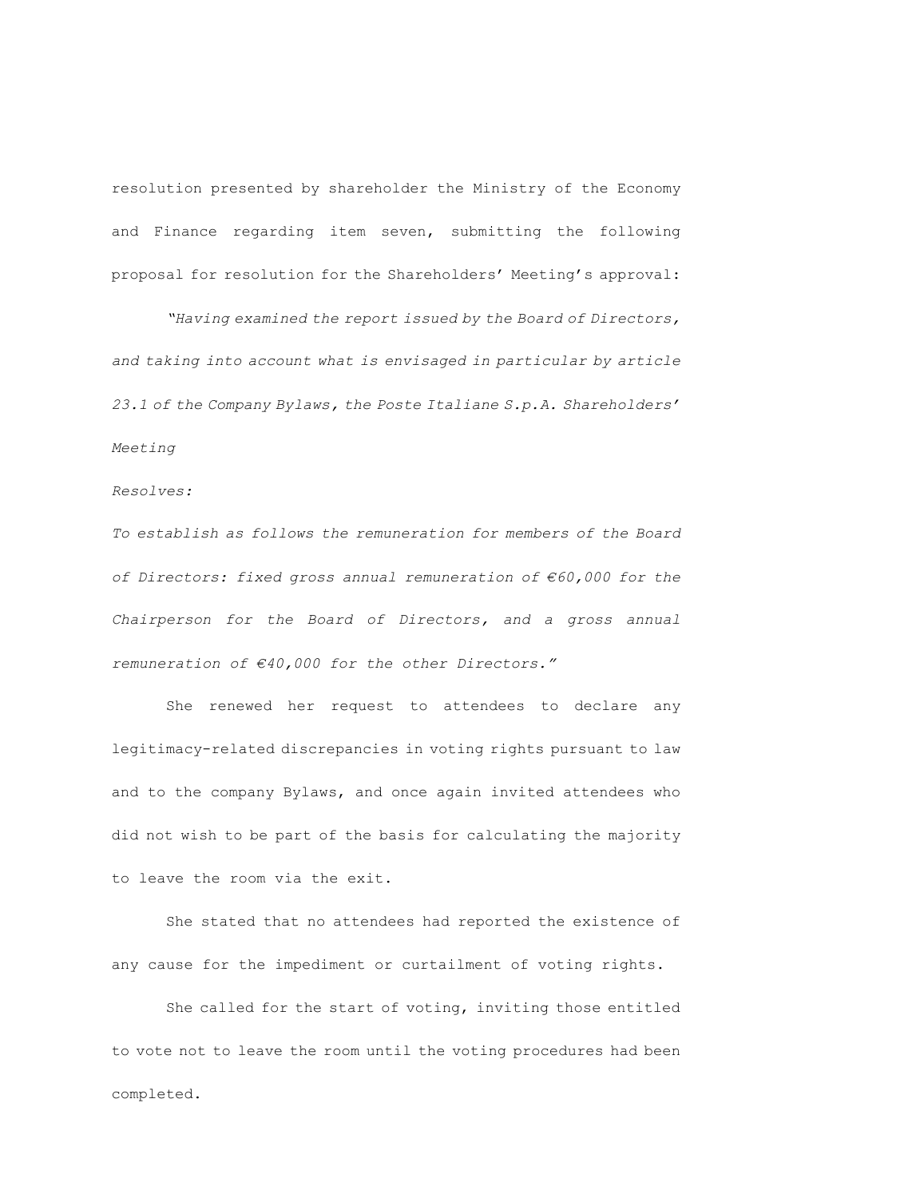resolution presented by shareholder the Ministry of the Economy and Finance regarding item seven, submitting the following proposal for resolution for the Shareholders' Meeting's approval:

*"Having examined the report issued by the Board of Directors, and taking into account what is envisaged in particular by article 23.1 of the Company Bylaws, the Poste Italiane S.p.A. Shareholders' Meeting* 

# *Resolves:*

*To establish as follows the remuneration for members of the Board of Directors: fixed gross annual remuneration of €60,000 for the Chairperson for the Board of Directors, and a gross annual remuneration of €40,000 for the other Directors."*

She renewed her request to attendees to declare any legitimacy-related discrepancies in voting rights pursuant to law and to the company Bylaws, and once again invited attendees who did not wish to be part of the basis for calculating the majority to leave the room via the exit.

She stated that no attendees had reported the existence of any cause for the impediment or curtailment of voting rights.

She called for the start of voting, inviting those entitled to vote not to leave the room until the voting procedures had been completed.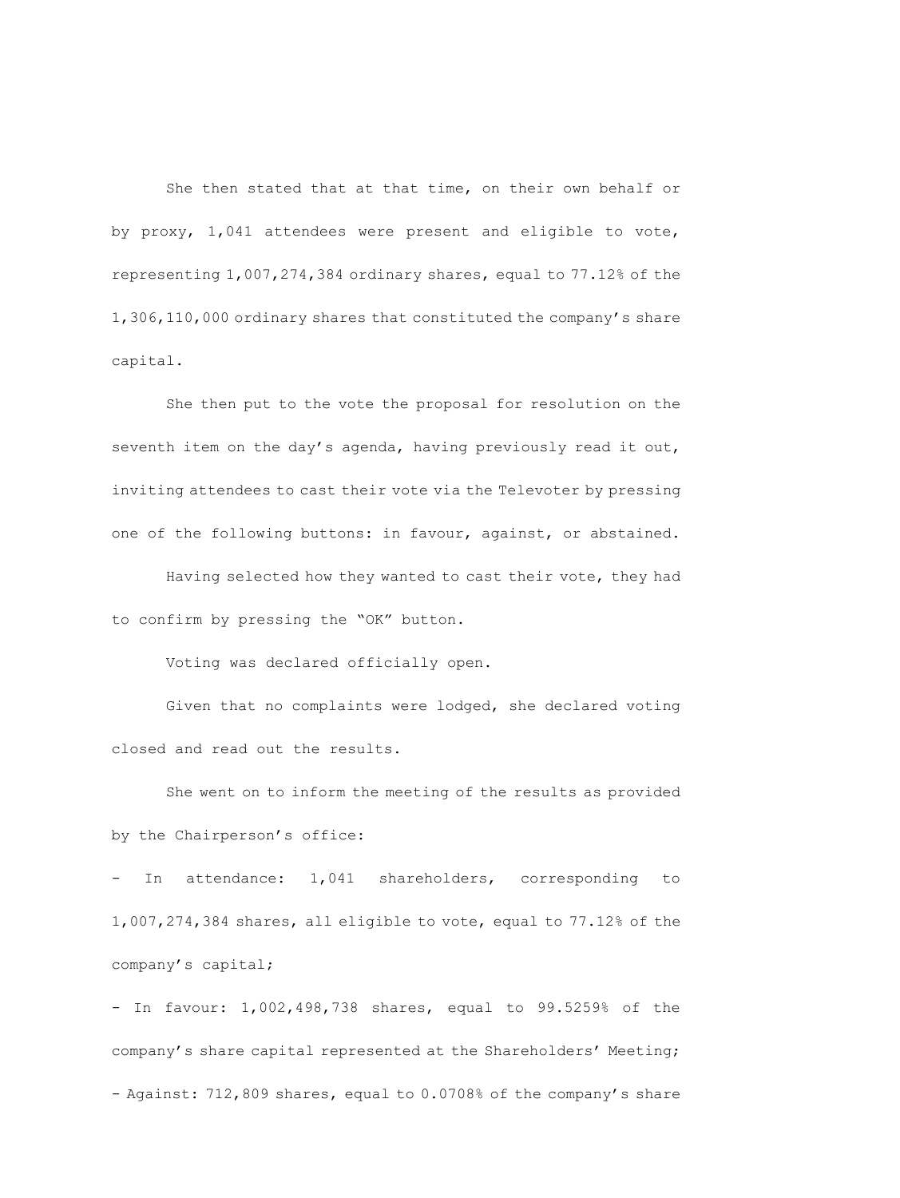She then stated that at that time, on their own behalf or by proxy, 1,041 attendees were present and eligible to vote, representing 1,007,274,384 ordinary shares, equal to 77.12% of the 1,306,110,000 ordinary shares that constituted the company's share capital.

She then put to the vote the proposal for resolution on the seventh item on the day's agenda, having previously read it out, inviting attendees to cast their vote via the Televoter by pressing one of the following buttons: in favour, against, or abstained.

Having selected how they wanted to cast their vote, they had to confirm by pressing the "OK" button.

Voting was declared officially open.

Given that no complaints were lodged, she declared voting closed and read out the results.

She went on to inform the meeting of the results as provided by the Chairperson's office:

In attendance: 1,041 shareholders, corresponding to 1,007,274,384 shares, all eligible to vote, equal to 77.12% of the company's capital;

- In favour: 1,002,498,738 shares, equal to 99.5259% of the company's share capital represented at the Shareholders' Meeting; - Against: 712,809 shares, equal to 0.0708% of the company's share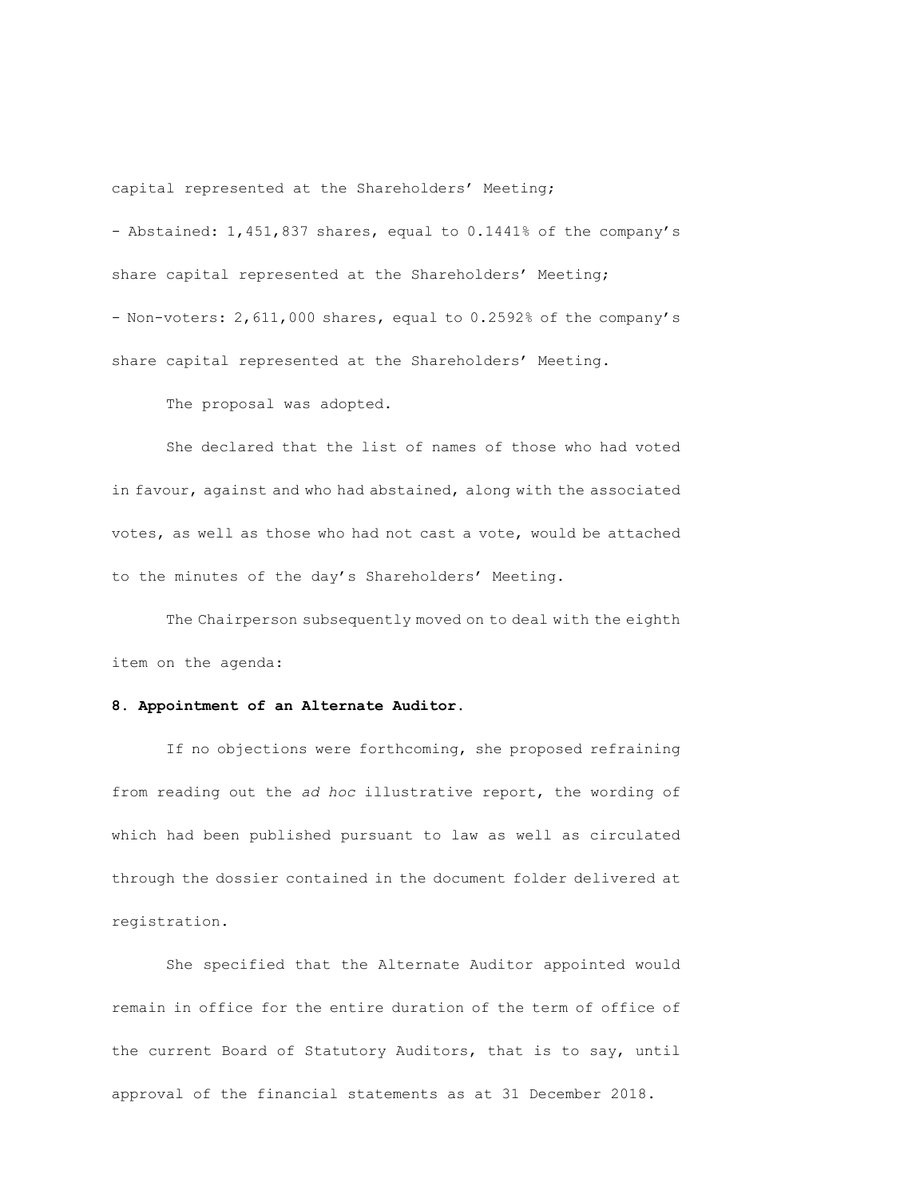capital represented at the Shareholders' Meeting;

- Abstained: 1,451,837 shares, equal to 0.1441% of the company's share capital represented at the Shareholders' Meeting; - Non-voters: 2,611,000 shares, equal to 0.2592% of the company's

share capital represented at the Shareholders' Meeting.

The proposal was adopted.

She declared that the list of names of those who had voted in favour, against and who had abstained, along with the associated votes, as well as those who had not cast a vote, would be attached to the minutes of the day's Shareholders' Meeting.

The Chairperson subsequently moved on to deal with the eighth item on the agenda:

## **8. Appointment of an Alternate Auditor.**

If no objections were forthcoming, she proposed refraining from reading out the *ad hoc* illustrative report, the wording of which had been published pursuant to law as well as circulated through the dossier contained in the document folder delivered at registration.

She specified that the Alternate Auditor appointed would remain in office for the entire duration of the term of office of the current Board of Statutory Auditors, that is to say, until approval of the financial statements as at 31 December 2018.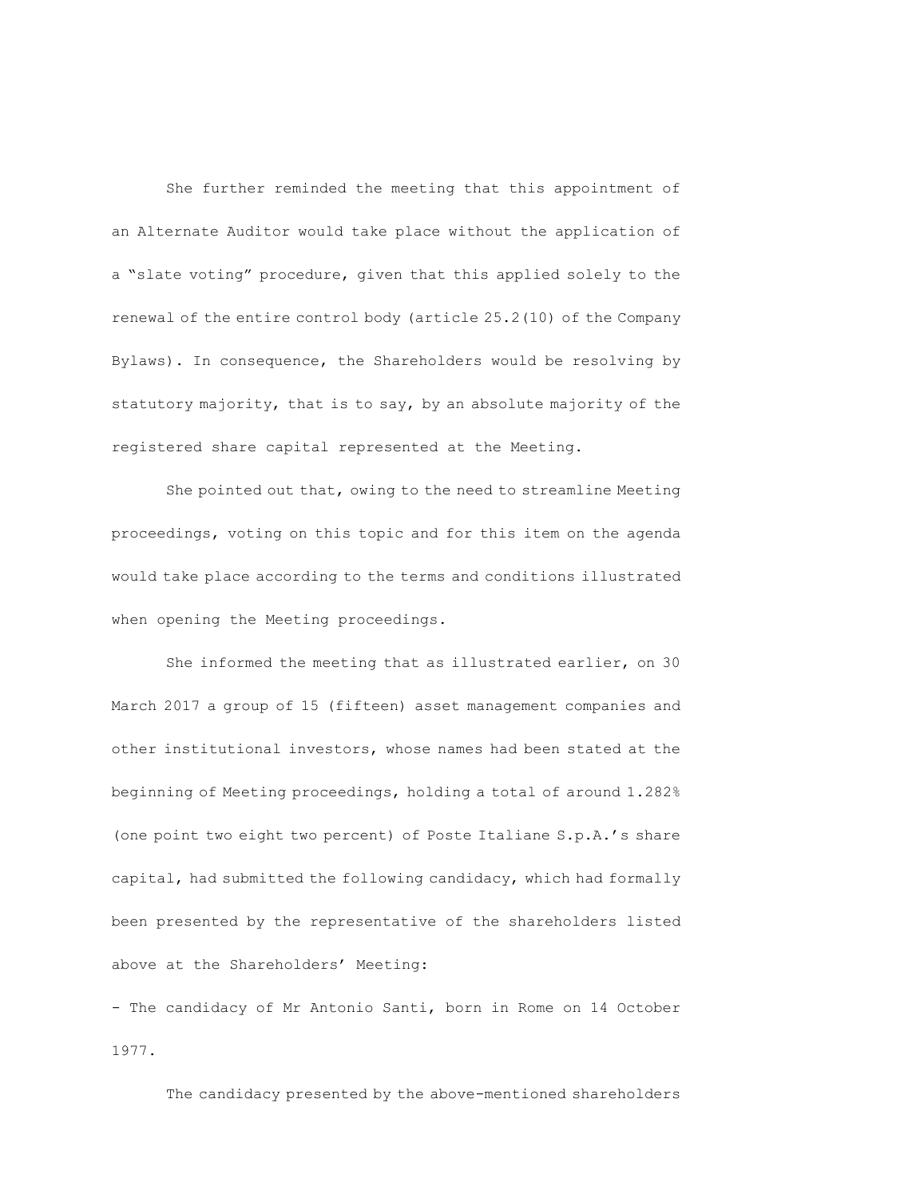She further reminded the meeting that this appointment of an Alternate Auditor would take place without the application of a "slate voting" procedure, given that this applied solely to the renewal of the entire control body (article 25.2(10) of the Company Bylaws). In consequence, the Shareholders would be resolving by statutory majority, that is to say, by an absolute majority of the registered share capital represented at the Meeting.

She pointed out that, owing to the need to streamline Meeting proceedings, voting on this topic and for this item on the agenda would take place according to the terms and conditions illustrated when opening the Meeting proceedings.

She informed the meeting that as illustrated earlier, on 30 March 2017 a group of 15 (fifteen) asset management companies and other institutional investors, whose names had been stated at the beginning of Meeting proceedings, holding a total of around 1.282% (one point two eight two percent) of Poste Italiane S.p.A.'s share capital, had submitted the following candidacy, which had formally been presented by the representative of the shareholders listed above at the Shareholders' Meeting:

- The candidacy of Mr Antonio Santi, born in Rome on 14 October 1977.

The candidacy presented by the above-mentioned shareholders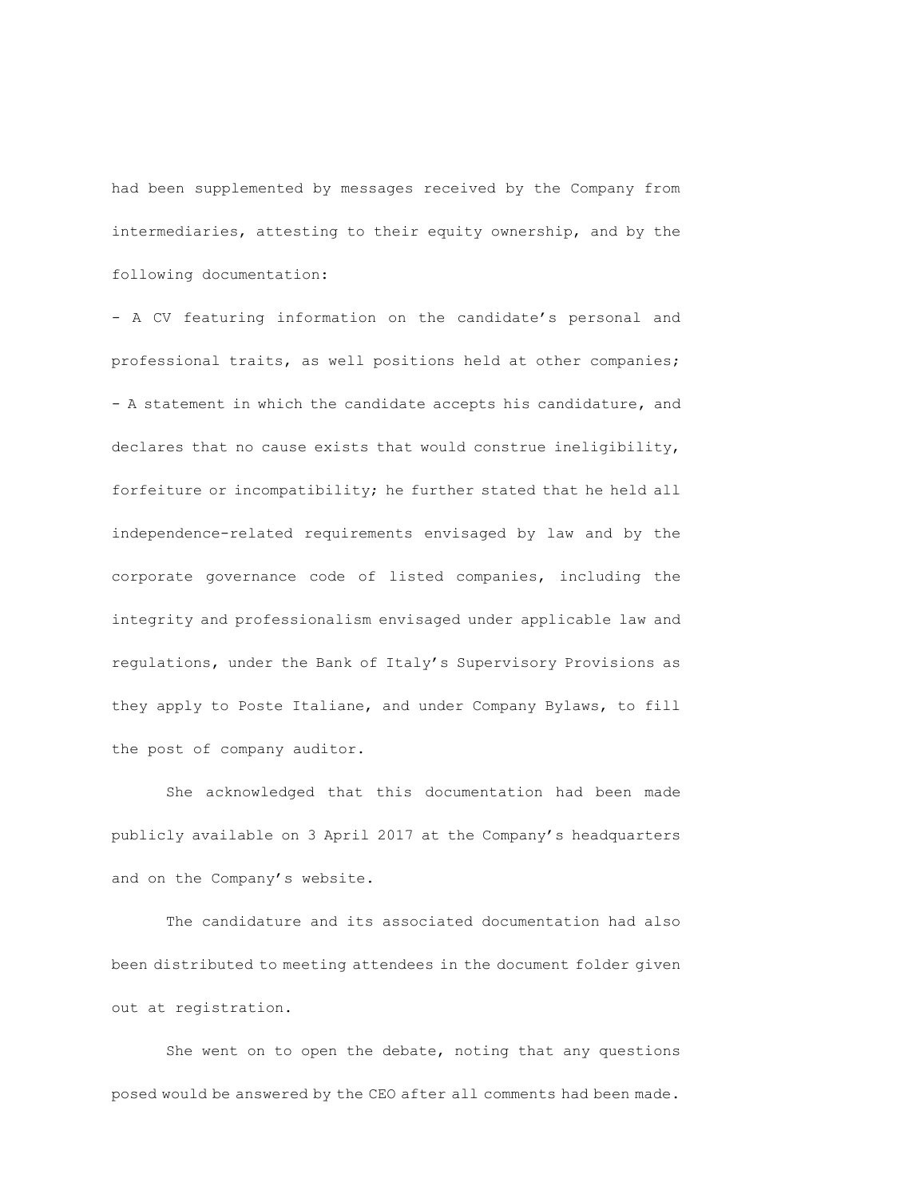had been supplemented by messages received by the Company from intermediaries, attesting to their equity ownership, and by the following documentation:

- A CV featuring information on the candidate's personal and professional traits, as well positions held at other companies; - A statement in which the candidate accepts his candidature, and declares that no cause exists that would construe ineligibility, forfeiture or incompatibility; he further stated that he held all independence-related requirements envisaged by law and by the corporate governance code of listed companies, including the integrity and professionalism envisaged under applicable law and regulations, under the Bank of Italy's Supervisory Provisions as they apply to Poste Italiane, and under Company Bylaws, to fill the post of company auditor.

She acknowledged that this documentation had been made publicly available on 3 April 2017 at the Company's headquarters and on the Company's website.

The candidature and its associated documentation had also been distributed to meeting attendees in the document folder given out at registration.

She went on to open the debate, noting that any questions posed would be answered by the CEO after all comments had been made.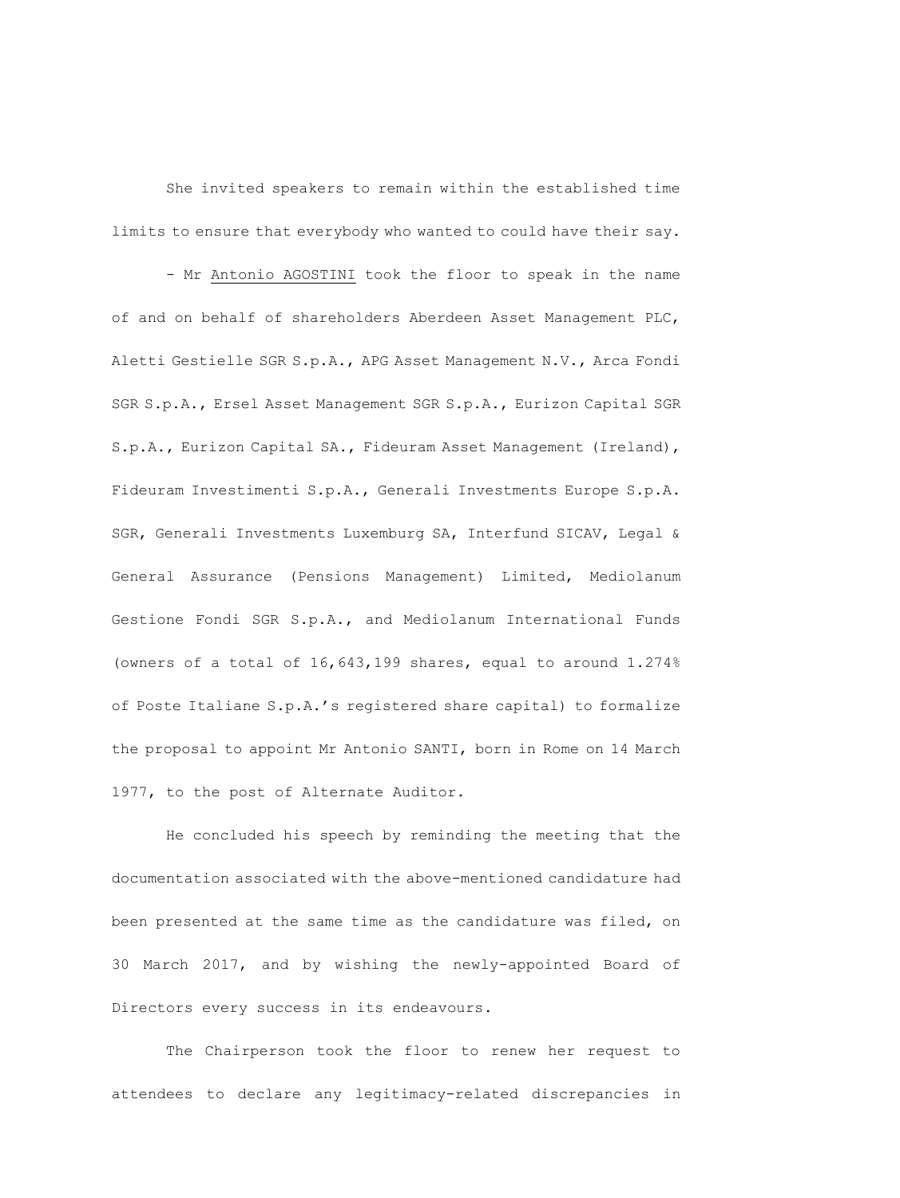She invited speakers to remain within the established time limits to ensure that everybody who wanted to could have their say.

- Mr Antonio AGOSTINI took the floor to speak in the name of and on behalf of shareholders Aberdeen Asset Management PLC, Aletti Gestielle SGR S.p.A., APG Asset Management N.V., Arca Fondi SGR S.p.A., Ersel Asset Management SGR S.p.A., Eurizon Capital SGR S.p.A., Eurizon Capital SA., Fideuram Asset Management (Ireland), Fideuram Investimenti S.p.A., Generali Investments Europe S.p.A. SGR, Generali Investments Luxemburg SA, Interfund SICAV, Legal & General Assurance (Pensions Management) Limited, Mediolanum Gestione Fondi SGR S.p.A., and Mediolanum International Funds (owners of a total of 16,643,199 shares, equal to around 1.274% of Poste Italiane S.p.A.'s registered share capital) to formalize the proposal to appoint Mr Antonio SANTI, born in Rome on 14 March 1977, to the post of Alternate Auditor.

He concluded his speech by reminding the meeting that the documentation associated with the above-mentioned candidature had been presented at the same time as the candidature was filed, on 30 March 2017, and by wishing the newly-appointed Board of Directors every success in its endeavours.

The Chairperson took the floor to renew her request to attendees to declare any legitimacy-related discrepancies in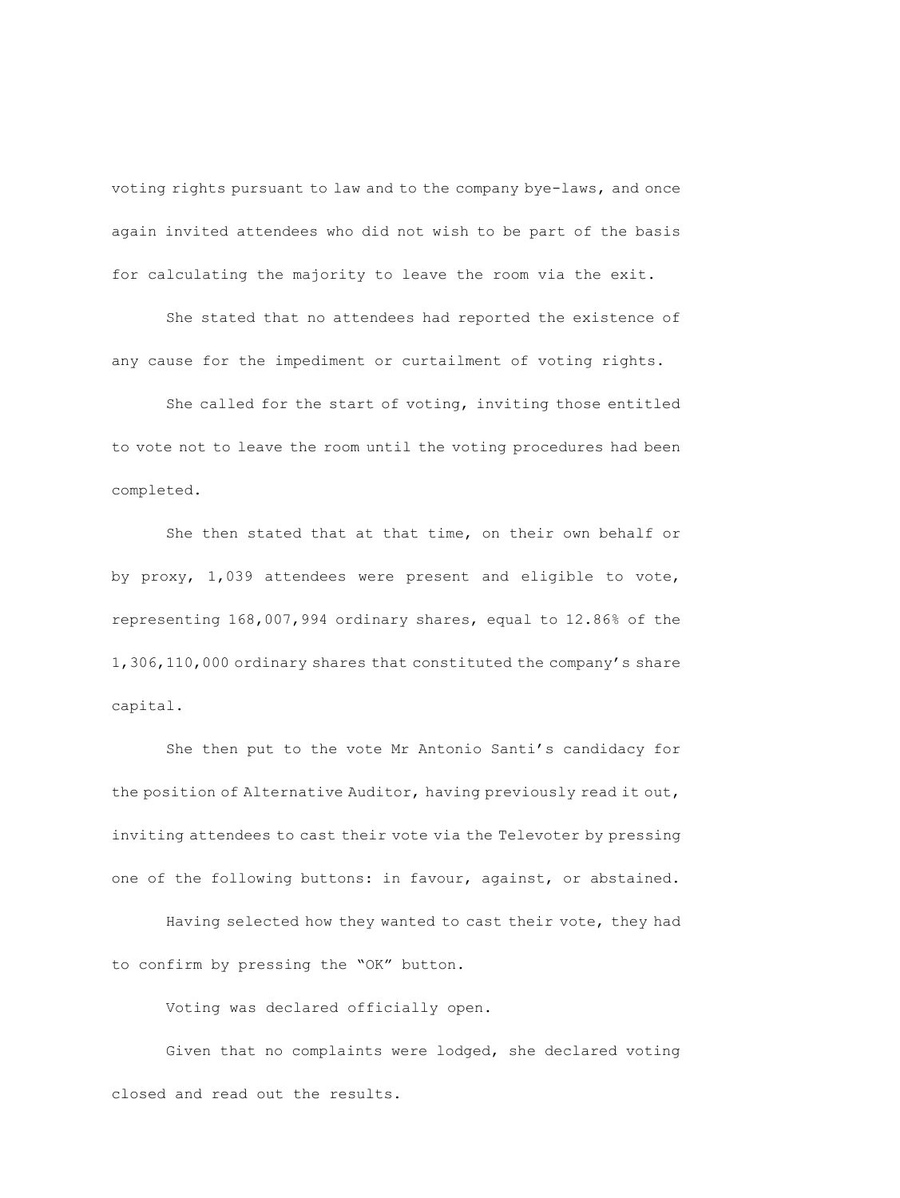voting rights pursuant to law and to the company bye-laws, and once again invited attendees who did not wish to be part of the basis for calculating the majority to leave the room via the exit.

She stated that no attendees had reported the existence of any cause for the impediment or curtailment of voting rights.

She called for the start of voting, inviting those entitled to vote not to leave the room until the voting procedures had been completed.

She then stated that at that time, on their own behalf or by proxy, 1,039 attendees were present and eligible to vote, representing 168,007,994 ordinary shares, equal to 12.86% of the 1,306,110,000 ordinary shares that constituted the company's share capital.

She then put to the vote Mr Antonio Santi's candidacy for the position of Alternative Auditor, having previously read it out, inviting attendees to cast their vote via the Televoter by pressing one of the following buttons: in favour, against, or abstained.

Having selected how they wanted to cast their vote, they had to confirm by pressing the "OK" button.

Voting was declared officially open.

Given that no complaints were lodged, she declared voting closed and read out the results.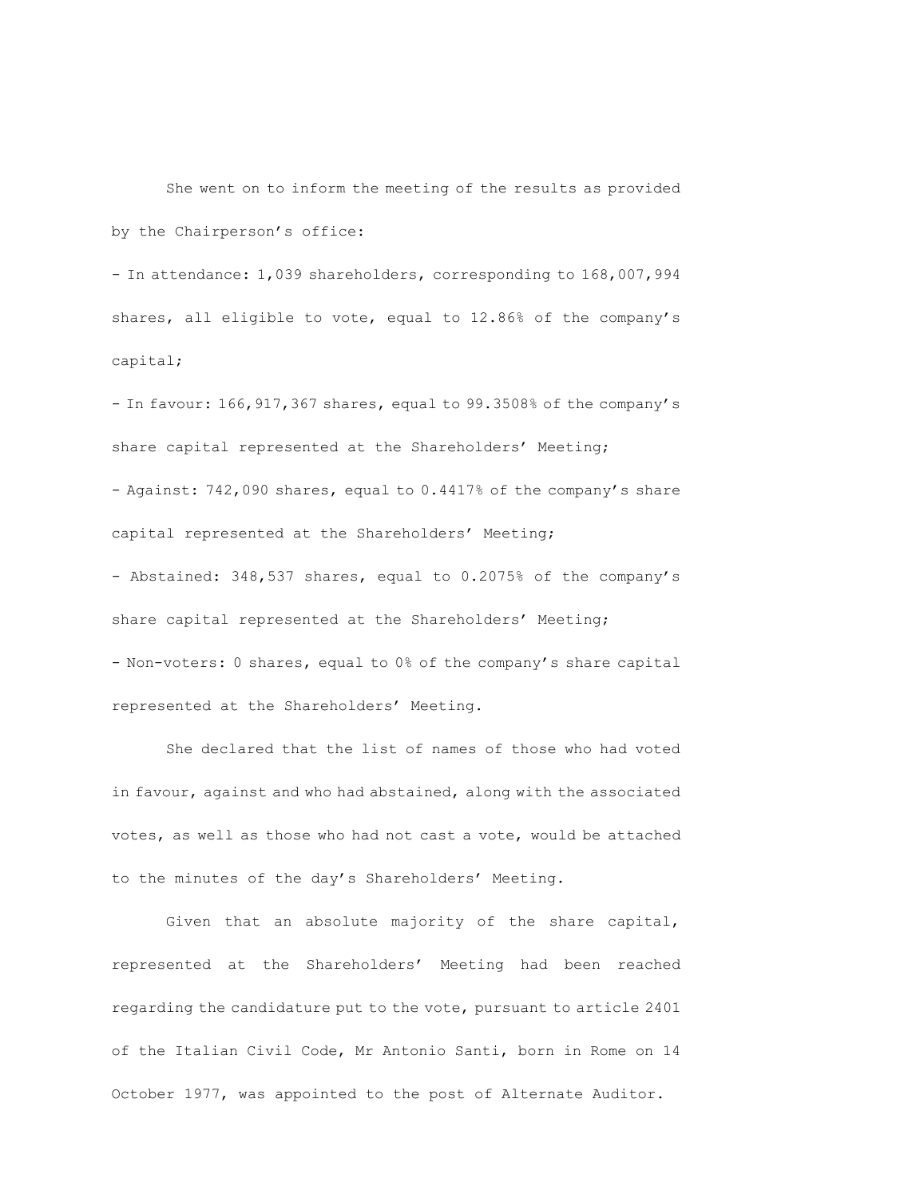She went on to inform the meeting of the results as provided by the Chairperson's office:

- In attendance: 1,039 shareholders, corresponding to 168,007,994 shares, all eligible to vote, equal to 12.86% of the company's capital;

- In favour: 166,917,367 shares, equal to 99.3508% of the company's share capital represented at the Shareholders' Meeting; - Against: 742,090 shares, equal to 0.4417% of the company's share capital represented at the Shareholders' Meeting; - Abstained: 348,537 shares, equal to 0.2075% of the company's share capital represented at the Shareholders' Meeting; - Non-voters: 0 shares, equal to 0% of the company's share capital represented at the Shareholders' Meeting.

She declared that the list of names of those who had voted in favour, against and who had abstained, along with the associated votes, as well as those who had not cast a vote, would be attached to the minutes of the day's Shareholders' Meeting.

Given that an absolute majority of the share capital, represented at the Shareholders' Meeting had been reached regarding the candidature put to the vote, pursuant to article 2401 of the Italian Civil Code, Mr Antonio Santi, born in Rome on 14 October 1977, was appointed to the post of Alternate Auditor.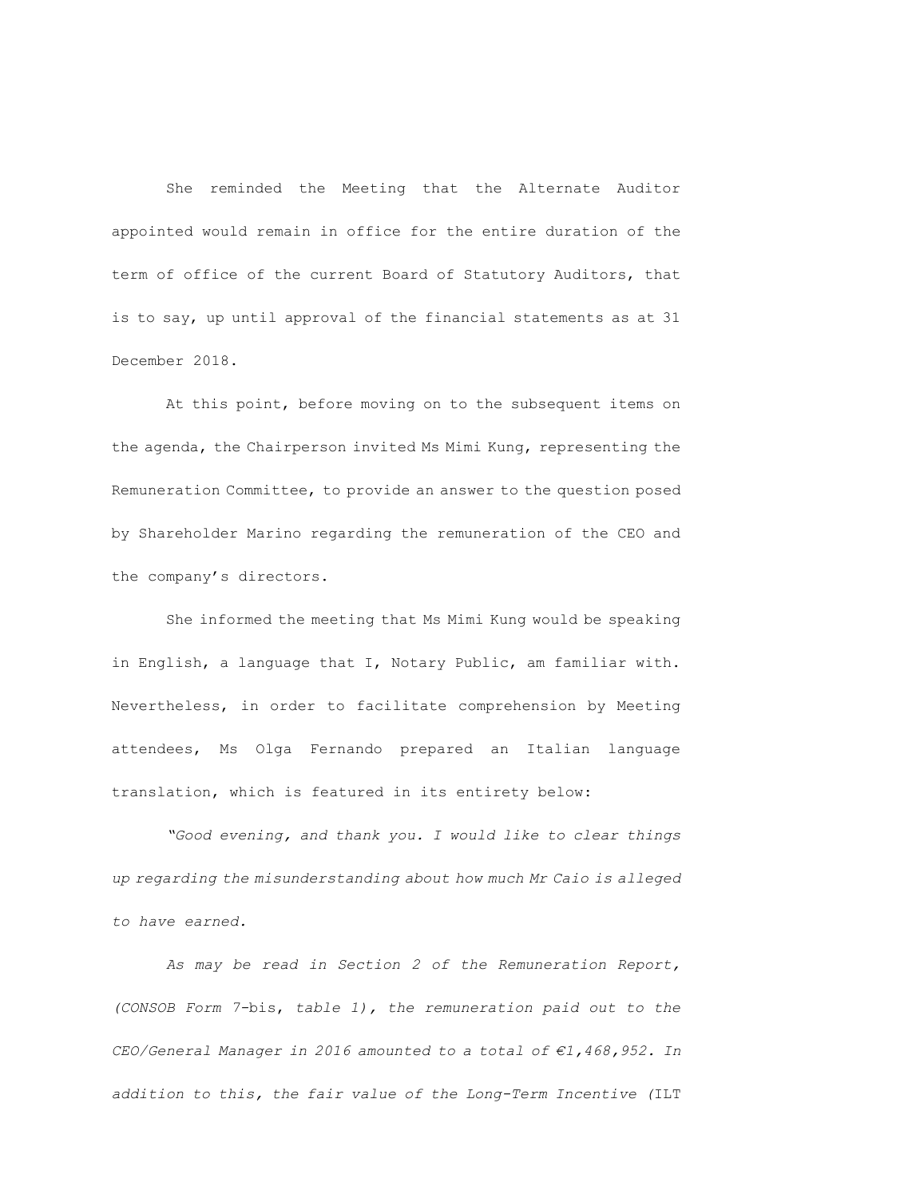She reminded the Meeting that the Alternate Auditor appointed would remain in office for the entire duration of the term of office of the current Board of Statutory Auditors, that is to say, up until approval of the financial statements as at 31 December 2018.

At this point, before moving on to the subsequent items on the agenda, the Chairperson invited Ms Mimi Kung, representing the Remuneration Committee, to provide an answer to the question posed by Shareholder Marino regarding the remuneration of the CEO and the company's directors.

She informed the meeting that Ms Mimi Kung would be speaking in English, a language that I, Notary Public, am familiar with. Nevertheless, in order to facilitate comprehension by Meeting attendees, Ms Olga Fernando prepared an Italian language translation, which is featured in its entirety below:

*"Good evening, and thank you. I would like to clear things up regarding the misunderstanding about how much Mr Caio is alleged to have earned.*

*As may be read in Section 2 of the Remuneration Report, (CONSOB Form 7-*bis, *table 1), the remuneration paid out to the CEO/General Manager in 2016 amounted to a total of €1,468,952. In addition to this, the fair value of the Long-Term Incentive (*ILT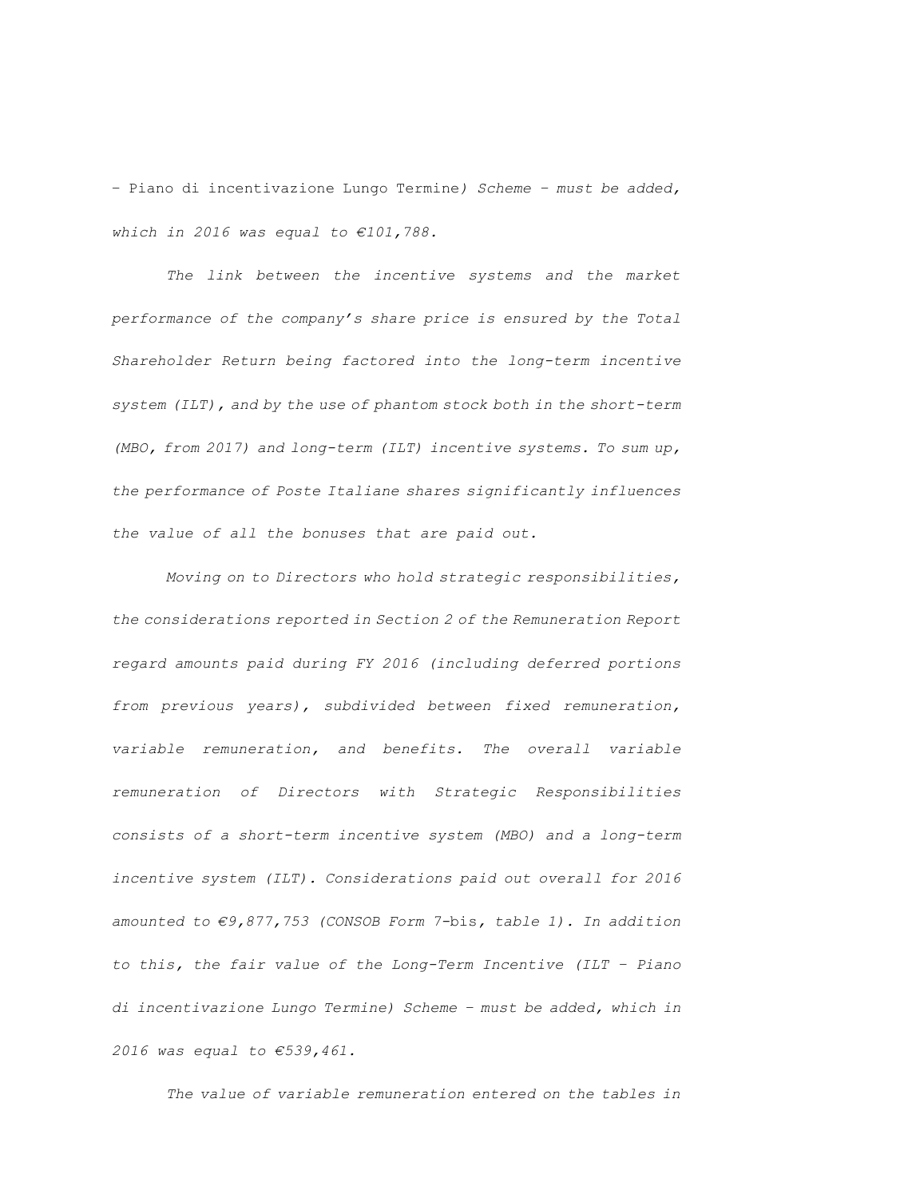– Piano di incentivazione Lungo Termine*) Scheme – must be added, which in 2016 was equal to €101,788.*

*The link between the incentive systems and the market performance of the company's share price is ensured by the Total Shareholder Return being factored into the long-term incentive system (ILT), and by the use of phantom stock both in the short-term (MBO, from 2017) and long-term (ILT) incentive systems. To sum up, the performance of Poste Italiane shares significantly influences the value of all the bonuses that are paid out.* 

*Moving on to Directors who hold strategic responsibilities, the considerations reported in Section 2 of the Remuneration Report regard amounts paid during FY 2016 (including deferred portions from previous years), subdivided between fixed remuneration, variable remuneration, and benefits. The overall variable remuneration of Directors with Strategic Responsibilities consists of a short-term incentive system (MBO) and a long-term incentive system (ILT). Considerations paid out overall for 2016 amounted to €9,877,753 (CONSOB Form 7-*bis*, table 1). In addition to this, the fair value of the Long-Term Incentive (ILT – Piano di incentivazione Lungo Termine) Scheme – must be added, which in 2016 was equal to €539,461.*

*The value of variable remuneration entered on the tables in*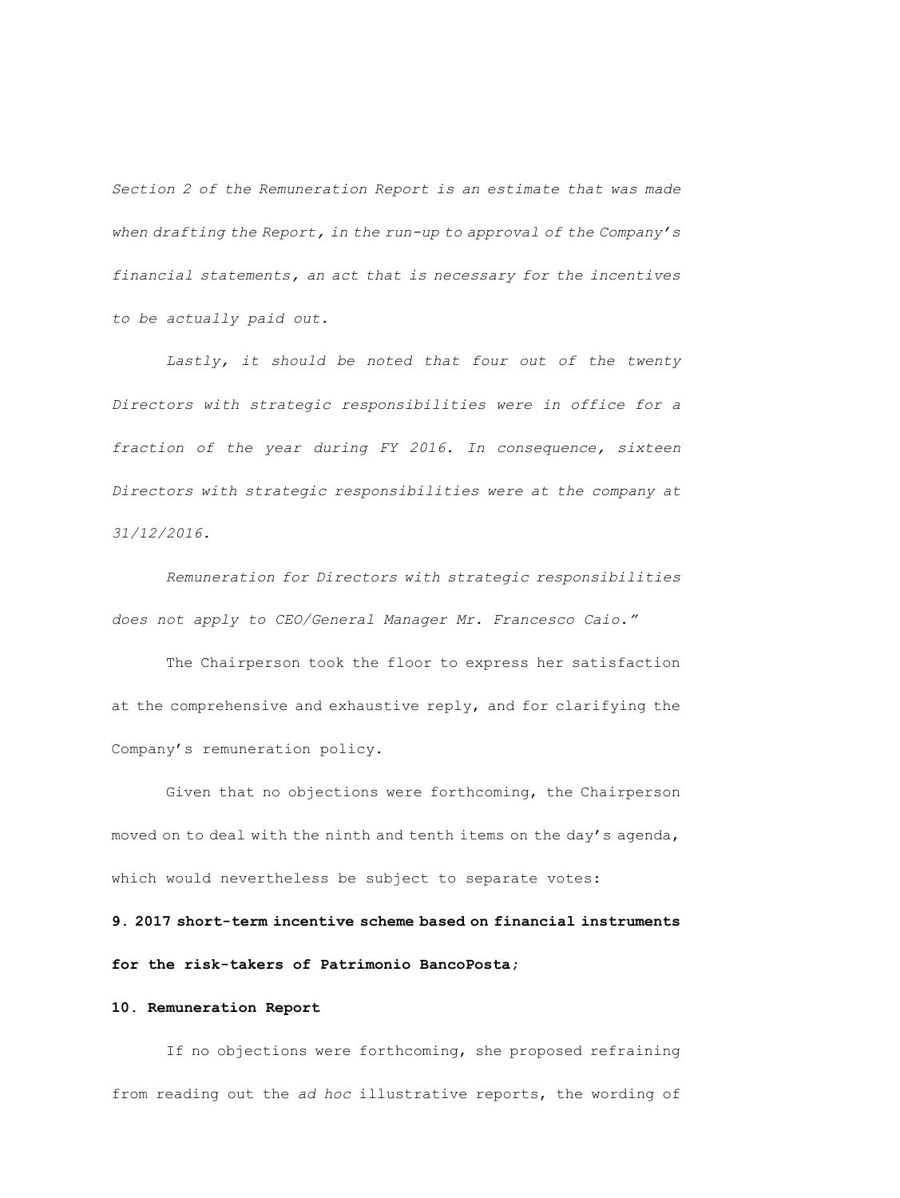*Section 2 of the Remuneration Report is an estimate that was made when drafting the Report, in the run-up to approval of the Company's financial statements, an act that is necessary for the incentives to be actually paid out.*

Lastly, it should be noted that four out of the twenty *Directors with strategic responsibilities were in office for a fraction of the year during FY 2016. In consequence, sixteen Directors with strategic responsibilities were at the company at 31/12/2016.*

*Remuneration for Directors with strategic responsibilities does not apply to CEO/General Manager Mr. Francesco Caio."*

The Chairperson took the floor to express her satisfaction at the comprehensive and exhaustive reply, and for clarifying the Company's remuneration policy.

Given that no objections were forthcoming, the Chairperson moved on to deal with the ninth and tenth items on the day's agenda, which would nevertheless be subject to separate votes:

**9. 2017 short-term incentive scheme based on financial instruments for the risk-takers of Patrimonio BancoPosta;**

## **10. Remuneration Report**

If no objections were forthcoming, she proposed refraining from reading out the *ad hoc* illustrative reports, the wording of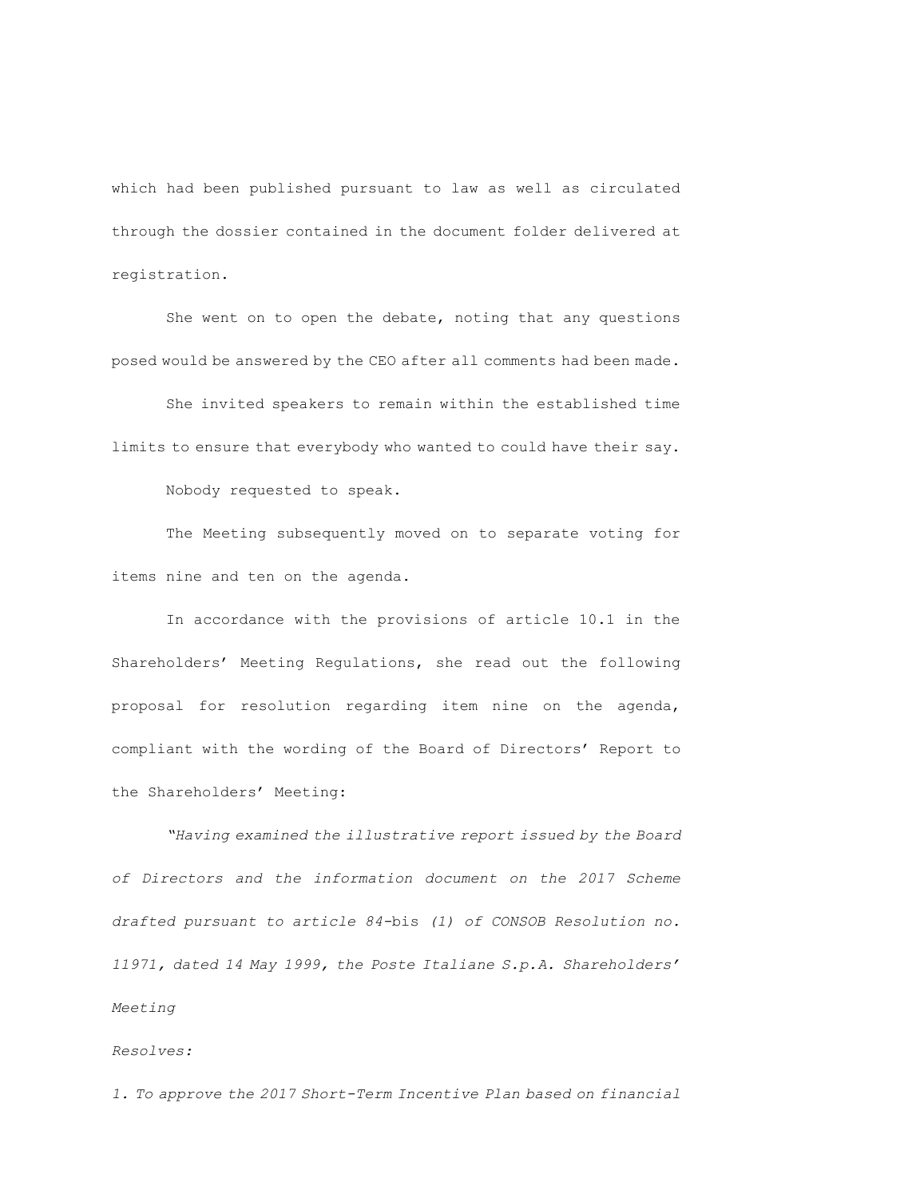which had been published pursuant to law as well as circulated through the dossier contained in the document folder delivered at registration.

She went on to open the debate, noting that any questions posed would be answered by the CEO after all comments had been made.

She invited speakers to remain within the established time limits to ensure that everybody who wanted to could have their say.

Nobody requested to speak.

The Meeting subsequently moved on to separate voting for items nine and ten on the agenda.

In accordance with the provisions of article 10.1 in the Shareholders' Meeting Regulations, she read out the following proposal for resolution regarding item nine on the agenda, compliant with the wording of the Board of Directors' Report to the Shareholders' Meeting:

*"Having examined the illustrative report issued by the Board of Directors and the information document on the 2017 Scheme drafted pursuant to article 84-*bis *(1) of CONSOB Resolution no. 11971, dated 14 May 1999, the Poste Italiane S.p.A. Shareholders' Meeting* 

## *Resolves:*

*1. To approve the 2017 Short-Term Incentive Plan based on financial*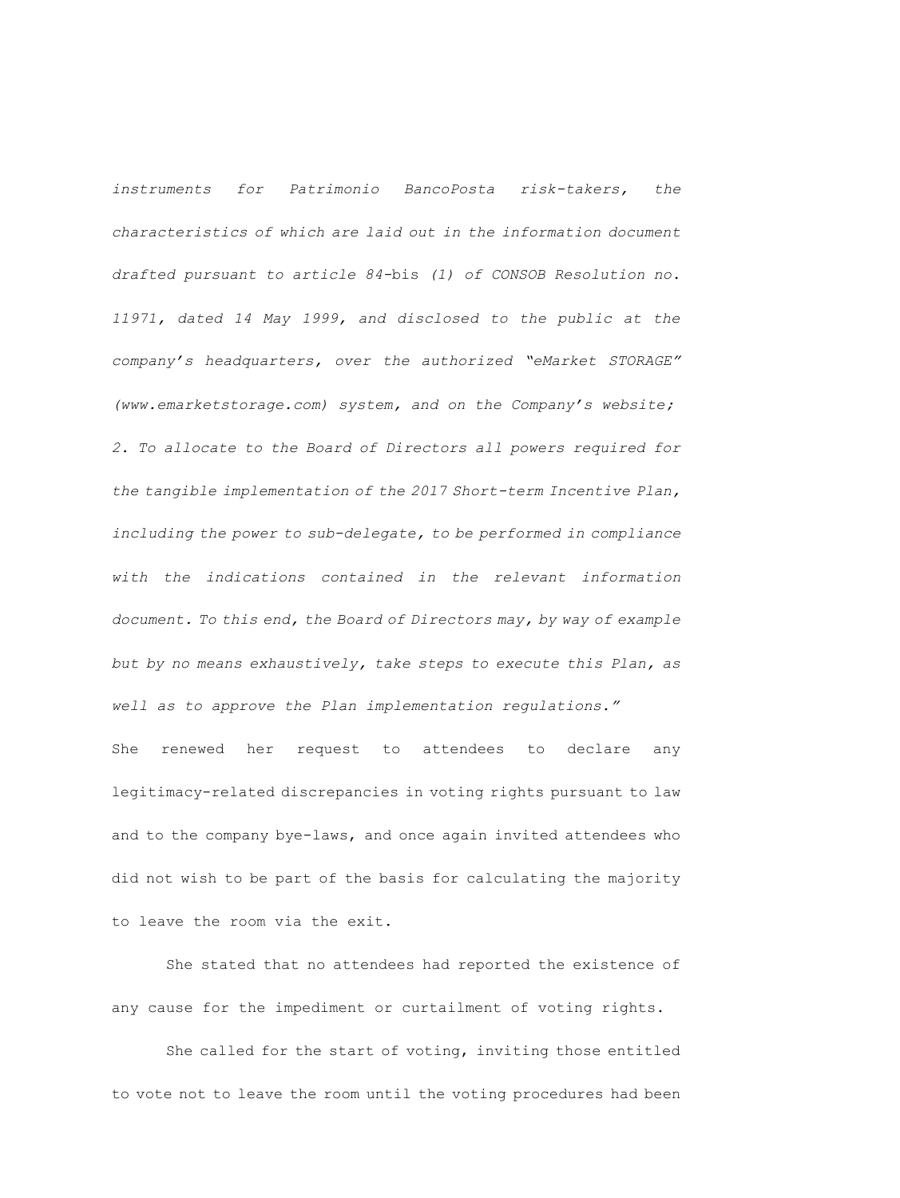*instruments for Patrimonio BancoPosta risk-takers, the characteristics of which are laid out in the information document drafted pursuant to article 84-*bis *(1) of CONSOB Resolution no. 11971, dated 14 May 1999, and disclosed to the public at the company's headquarters, over the authorized "eMarket STORAGE" (www.emarketstorage.com) system, and on the Company's website; 2. To allocate to the Board of Directors all powers required for the tangible implementation of the 2017 Short-term Incentive Plan, including the power to sub-delegate, to be performed in compliance with the indications contained in the relevant information document. To this end, the Board of Directors may, by way of example but by no means exhaustively, take steps to execute this Plan, as well as to approve the Plan implementation regulations."* She renewed her request to attendees to declare any

legitimacy-related discrepancies in voting rights pursuant to law and to the company bye-laws, and once again invited attendees who did not wish to be part of the basis for calculating the majority to leave the room via the exit.

She stated that no attendees had reported the existence of any cause for the impediment or curtailment of voting rights.

She called for the start of voting, inviting those entitled to vote not to leave the room until the voting procedures had been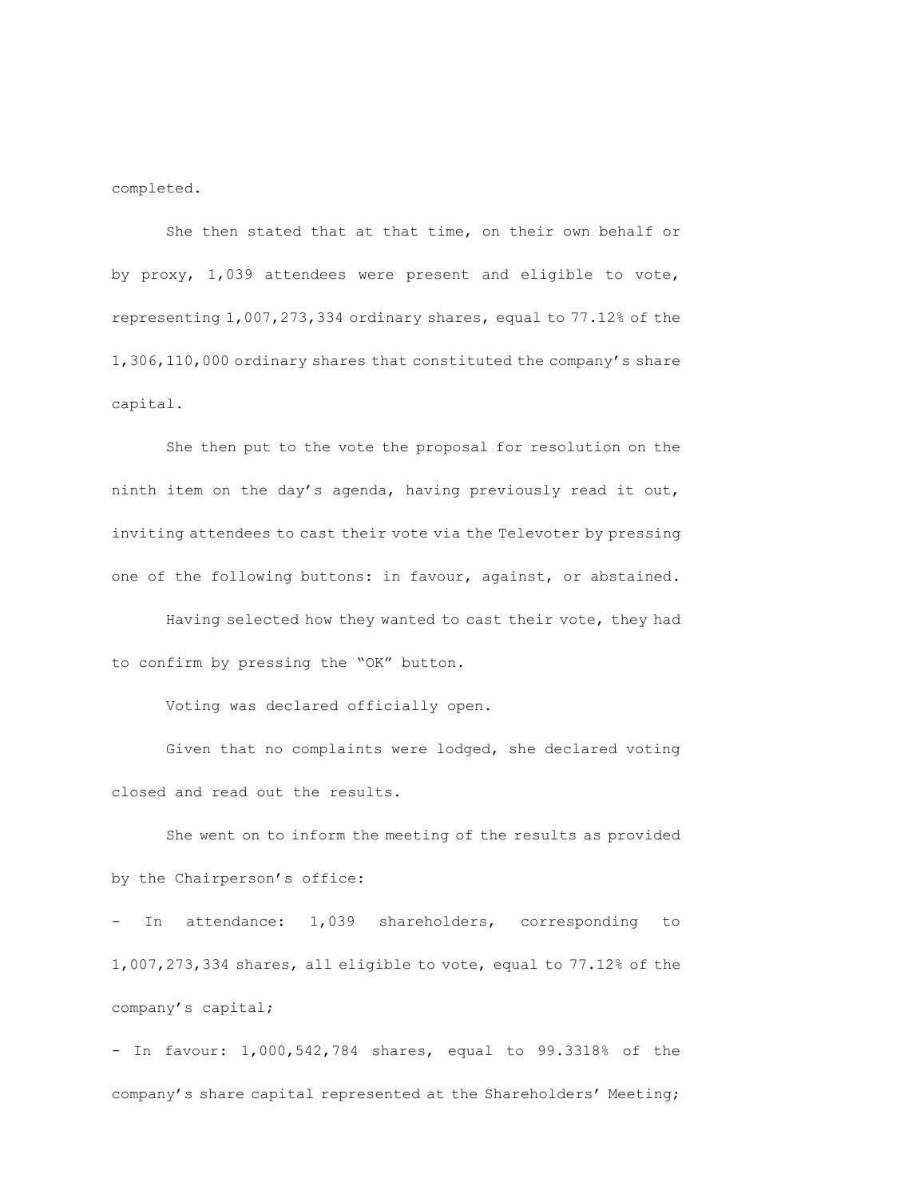completed.

She then stated that at that time, on their own behalf or by proxy, 1,039 attendees were present and eligible to vote, representing 1,007,273,334 ordinary shares, equal to 77.12% of the 1,306,110,000 ordinary shares that constituted the company's share capital.

She then put to the vote the proposal for resolution on the ninth item on the day's agenda, having previously read it out, inviting attendees to cast their vote via the Televoter by pressing one of the following buttons: in favour, against, or abstained.

Having selected how they wanted to cast their vote, they had to confirm by pressing the "OK" button.

Voting was declared officially open.

Given that no complaints were lodged, she declared voting closed and read out the results.

She went on to inform the meeting of the results as provided by the Chairperson's office:

- In attendance: 1,039 shareholders, corresponding to 1,007,273,334 shares, all eligible to vote, equal to 77.12% of the company's capital;

- In favour: 1,000,542,784 shares, equal to 99.3318% of the company's share capital represented at the Shareholders' Meeting;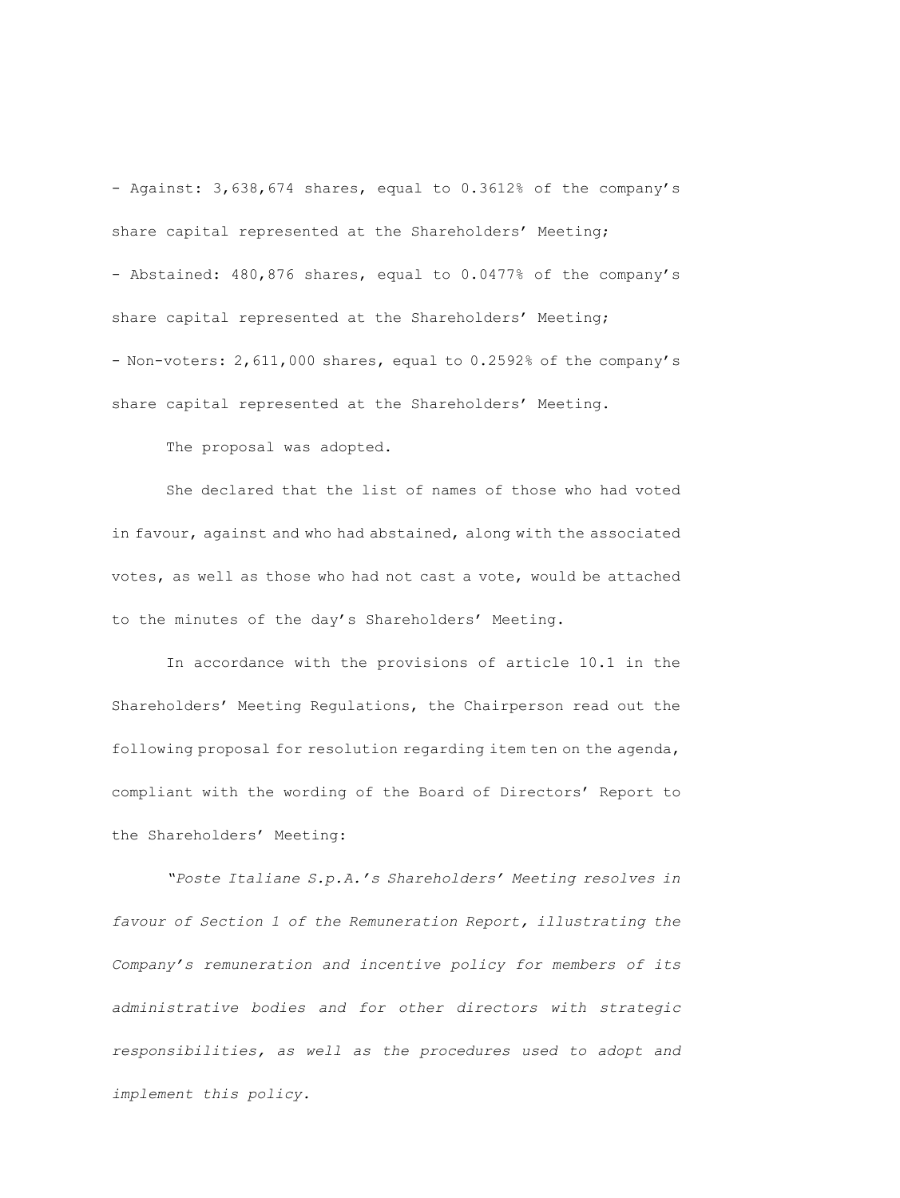- Against: 3,638,674 shares, equal to 0.3612% of the company's share capital represented at the Shareholders' Meeting; - Abstained: 480,876 shares, equal to 0.0477% of the company's share capital represented at the Shareholders' Meeting; - Non-voters: 2,611,000 shares, equal to 0.2592% of the company's share capital represented at the Shareholders' Meeting.

The proposal was adopted.

She declared that the list of names of those who had voted in favour, against and who had abstained, along with the associated votes, as well as those who had not cast a vote, would be attached to the minutes of the day's Shareholders' Meeting.

In accordance with the provisions of article 10.1 in the Shareholders' Meeting Regulations, the Chairperson read out the following proposal for resolution regarding item ten on the agenda, compliant with the wording of the Board of Directors' Report to the Shareholders' Meeting:

*"Poste Italiane S.p.A.'s Shareholders' Meeting resolves in favour of Section 1 of the Remuneration Report, illustrating the Company's remuneration and incentive policy for members of its administrative bodies and for other directors with strategic responsibilities, as well as the procedures used to adopt and implement this policy.*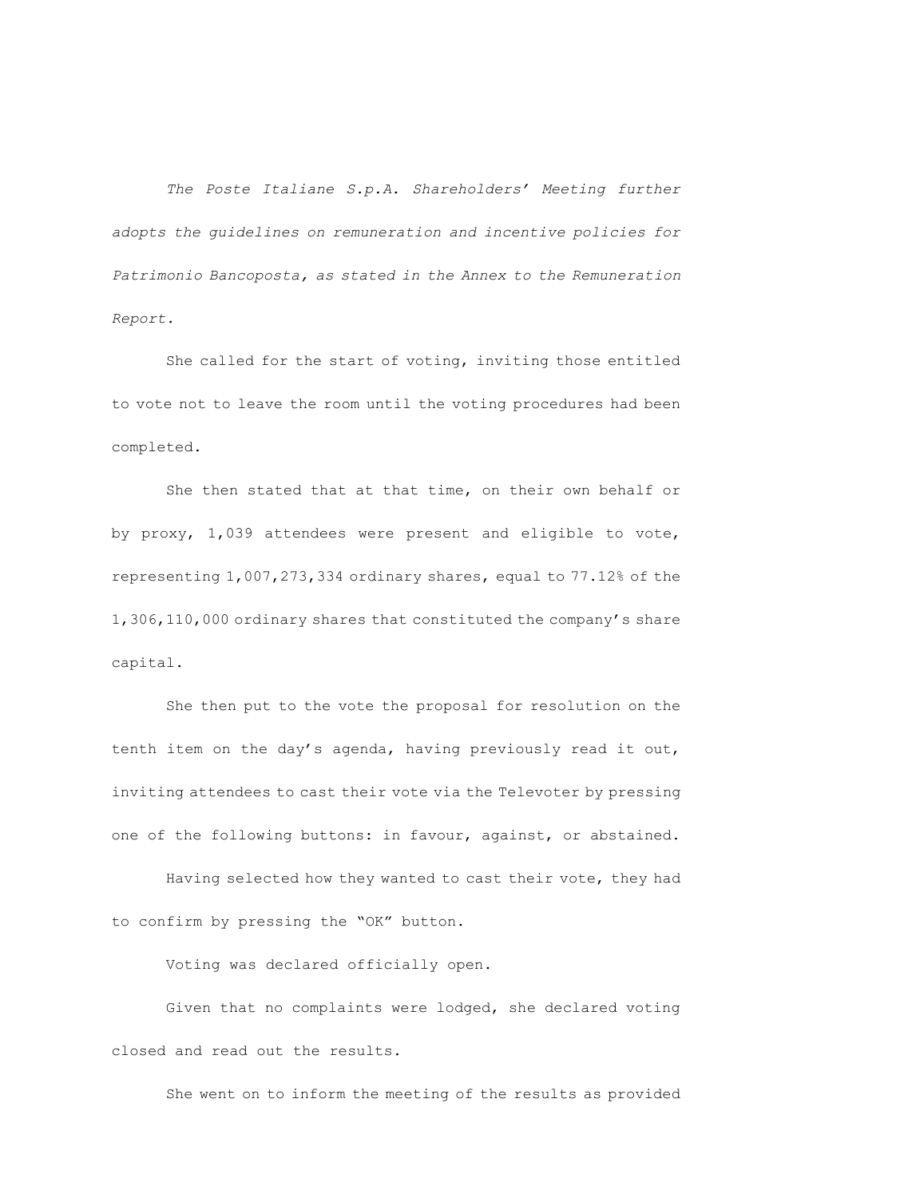*The Poste Italiane S.p.A. Shareholders' Meeting further adopts the guidelines on remuneration and incentive policies for Patrimonio Bancoposta, as stated in the Annex to the Remuneration Report.*

She called for the start of voting, inviting those entitled to vote not to leave the room until the voting procedures had been completed.

She then stated that at that time, on their own behalf or by proxy, 1,039 attendees were present and eligible to vote, representing 1,007,273,334 ordinary shares, equal to 77.12% of the 1,306,110,000 ordinary shares that constituted the company's share capital.

She then put to the vote the proposal for resolution on the tenth item on the day's agenda, having previously read it out, inviting attendees to cast their vote via the Televoter by pressing one of the following buttons: in favour, against, or abstained.

Having selected how they wanted to cast their vote, they had to confirm by pressing the "OK" button.

Voting was declared officially open.

Given that no complaints were lodged, she declared voting closed and read out the results.

She went on to inform the meeting of the results as provided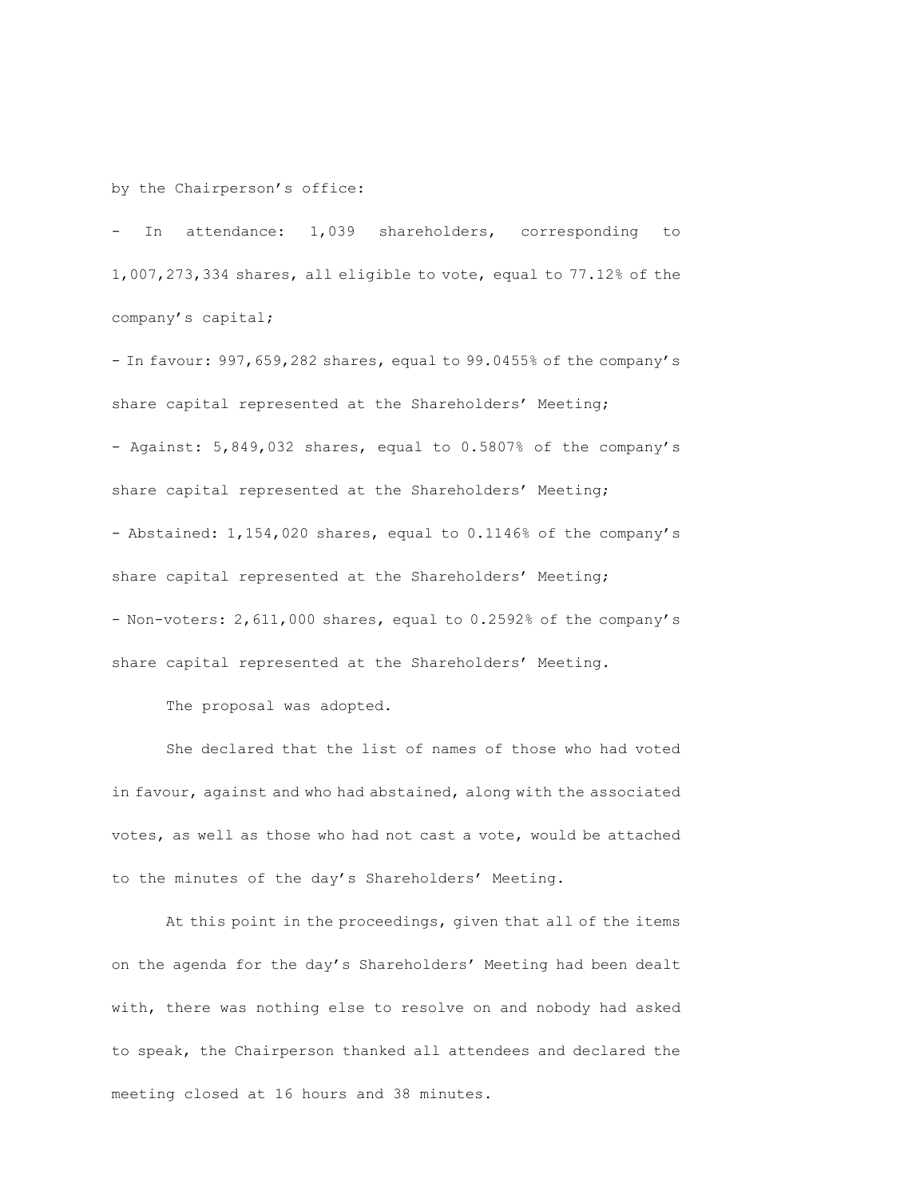by the Chairperson's office:

- In attendance: 1,039 shareholders, corresponding to 1,007,273,334 shares, all eligible to vote, equal to 77.12% of the company's capital;

- In favour: 997,659,282 shares, equal to 99.0455% of the company's share capital represented at the Shareholders' Meeting; - Against: 5,849,032 shares, equal to 0.5807% of the company's share capital represented at the Shareholders' Meeting; - Abstained: 1,154,020 shares, equal to 0.1146% of the company's share capital represented at the Shareholders' Meeting; - Non-voters: 2,611,000 shares, equal to 0.2592% of the company's share capital represented at the Shareholders' Meeting.

The proposal was adopted.

She declared that the list of names of those who had voted in favour, against and who had abstained, along with the associated votes, as well as those who had not cast a vote, would be attached to the minutes of the day's Shareholders' Meeting.

At this point in the proceedings, given that all of the items on the agenda for the day's Shareholders' Meeting had been dealt with, there was nothing else to resolve on and nobody had asked to speak, the Chairperson thanked all attendees and declared the meeting closed at 16 hours and 38 minutes.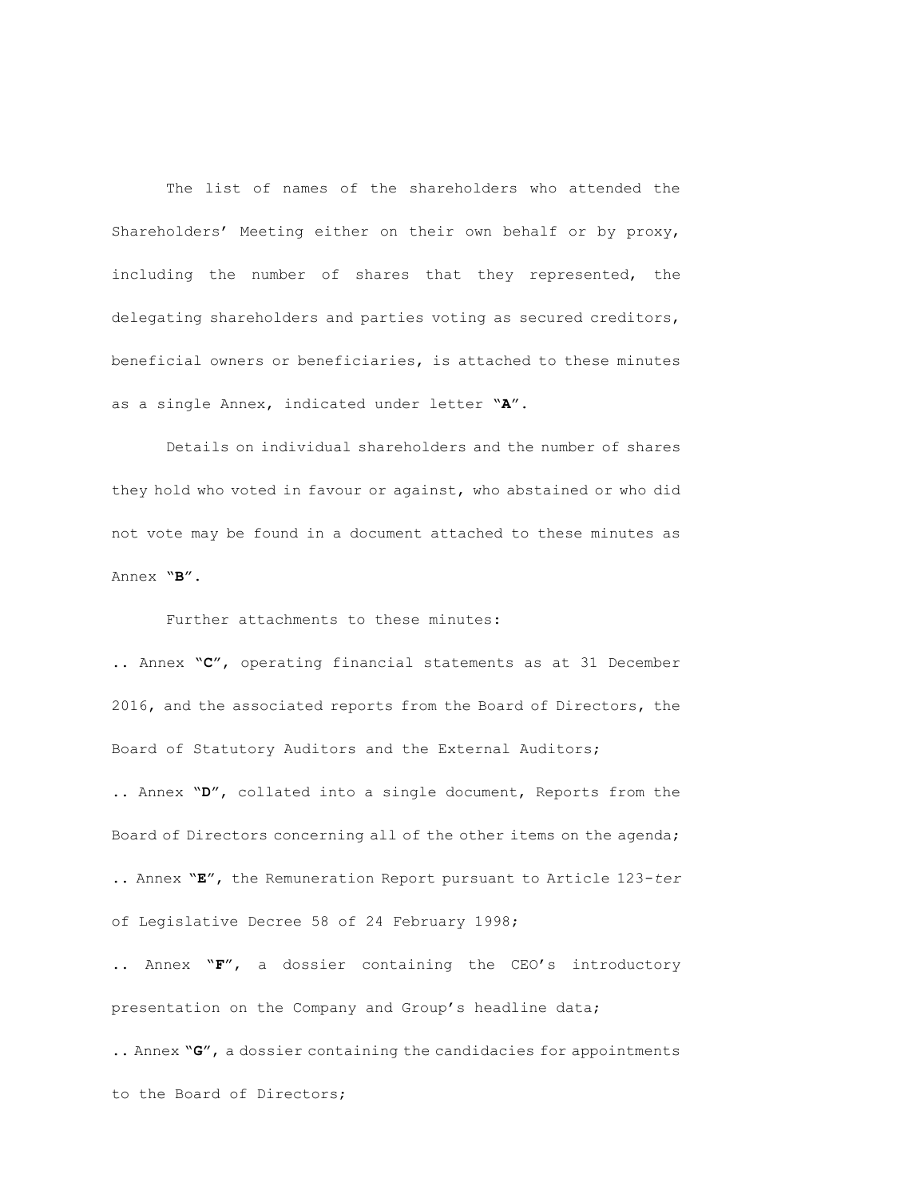The list of names of the shareholders who attended the Shareholders' Meeting either on their own behalf or by proxy, including the number of shares that they represented, the delegating shareholders and parties voting as secured creditors, beneficial owners or beneficiaries, is attached to these minutes as a single Annex, indicated under letter "**A**".

Details on individual shareholders and the number of shares they hold who voted in favour or against, who abstained or who did not vote may be found in a document attached to these minutes as Annex "**B**".

Further attachments to these minutes:

.. Annex "**C**", operating financial statements as at 31 December 2016, and the associated reports from the Board of Directors, the Board of Statutory Auditors and the External Auditors;

.. Annex "**D**", collated into a single document, Reports from the Board of Directors concerning all of the other items on the agenda; .. Annex "**E**", the Remuneration Report pursuant to Article 123-*ter* of Legislative Decree 58 of 24 February 1998;

.. Annex "**F**", a dossier containing the CEO's introductory presentation on the Company and Group's headline data;

.. Annex "**G**", a dossier containing the candidacies for appointments to the Board of Directors;